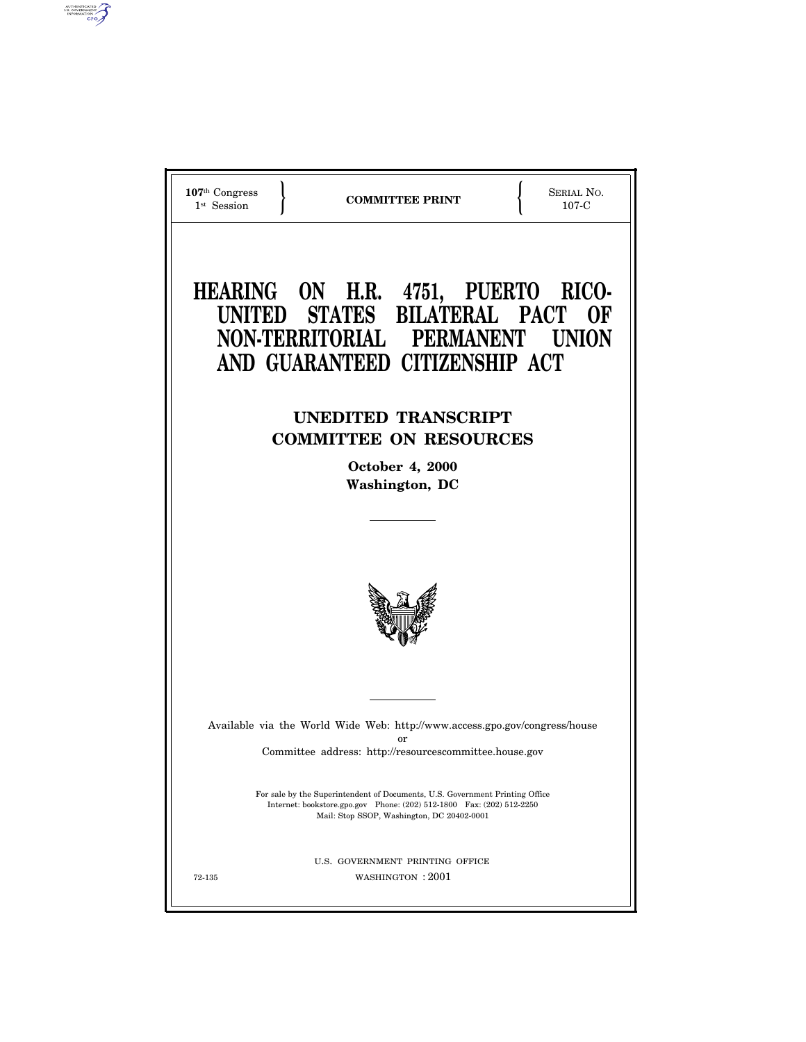

AUTHENTICATED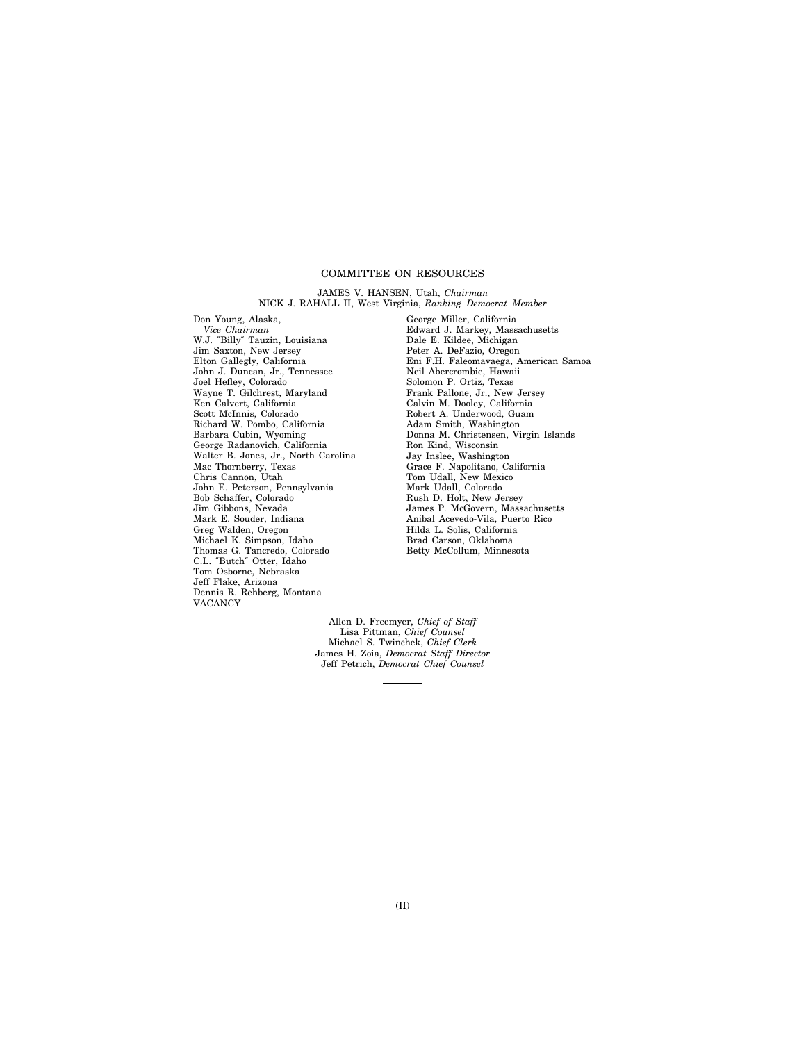# COMMITTEE ON RESOURCES

#### JAMES V. HANSEN, Utah, *Chairman* NICK J. RAHALL II, West Virginia, *Ranking Democrat Member*

Don Young, Alaska, *Vice Chairman* W.J. ″Billy″ Tauzin, Louisiana Jim Saxton, New Jersey Elton Gallegly, California John J. Duncan, Jr., Tennessee Joel Hefley, Colorado Wayne T. Gilchrest, Maryland Ken Calvert, California Scott McInnis, Colorado Richard W. Pombo, California Barbara Cubin, Wyoming George Radanovich, California Walter B. Jones, Jr., North Carolina Mac Thornberry, Texas Chris Cannon, Utah John E. Peterson, Pennsylvania Bob Schaffer, Colorado Jim Gibbons, Nevada Mark E. Souder, Indiana Greg Walden, Oregon Michael K. Simpson, Idaho Thomas G. Tancredo, Colorado C.L. ″Butch″ Otter, Idaho Tom Osborne, Nebraska Jeff Flake, Arizona Dennis R. Rehberg, Montana VACANCY

George Miller, California Edward J. Markey, Massachusetts Dale E. Kildee, Michigan Peter A. DeFazio, Oregon Eni F.H. Faleomavaega, American Samoa Neil Abercrombie, Hawaii Solomon P. Ortiz, Texas Frank Pallone, Jr., New Jersey Calvin M. Dooley, California Robert A. Underwood, Guam Adam Smith, Washington Donna M. Christensen, Virgin Islands Ron Kind, Wisconsin Jay Inslee, Washington Grace F. Napolitano, California Tom Udall, New Mexico Mark Udall, Colorado Rush D. Holt, New Jersey James P. McGovern, Massachusetts Anibal Acevedo-Vila, Puerto Rico Hilda L. Solis, California Brad Carson, Oklahoma Betty McCollum, Minnesota

Allen D. Freemyer, *Chief of Staff* Lisa Pittman, *Chief Counsel* Michael S. Twinchek, *Chief Clerk* James H. Zoia, *Democrat Staff Director* Jeff Petrich, *Democrat Chief Counsel*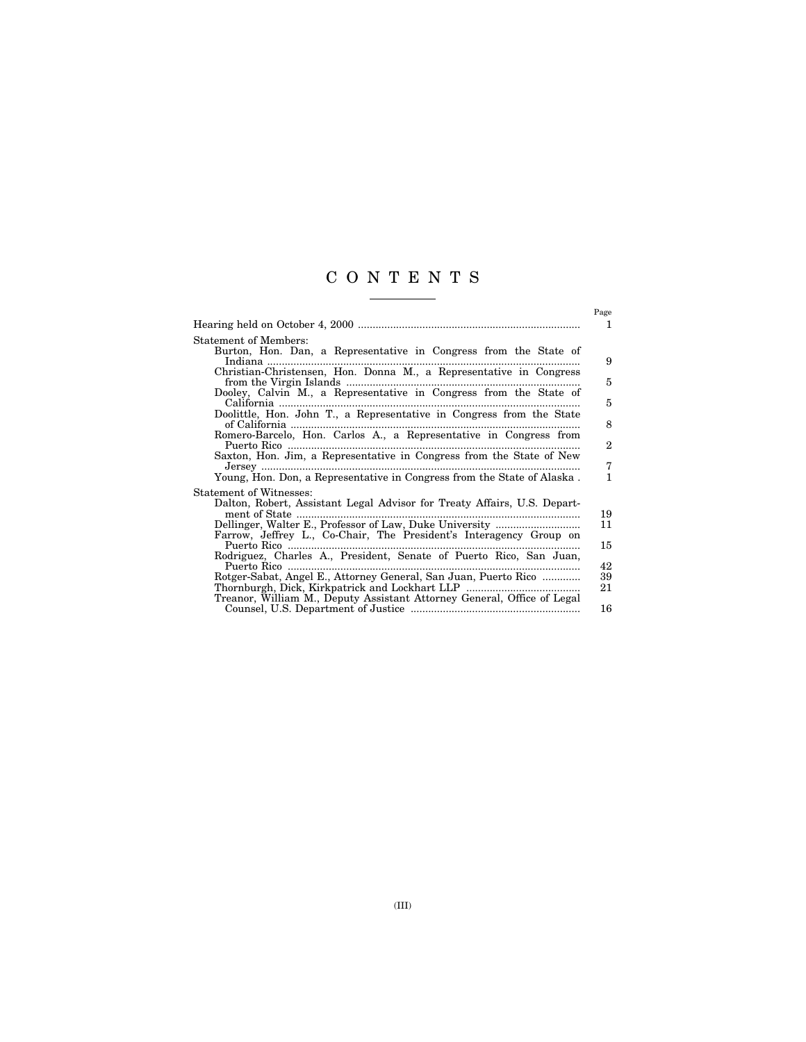# CONTENTS

|                                                                                                                                                                                                                                                                                                                                                                                                                                                                                                                                                              | Page<br>1                                               |
|--------------------------------------------------------------------------------------------------------------------------------------------------------------------------------------------------------------------------------------------------------------------------------------------------------------------------------------------------------------------------------------------------------------------------------------------------------------------------------------------------------------------------------------------------------------|---------------------------------------------------------|
| <b>Statement of Members:</b><br>Burton, Hon. Dan, a Representative in Congress from the State of<br>Christian-Christensen, Hon. Donna M., a Representative in Congress<br>Dooley, Calvin M., a Representative in Congress from the State of<br>Doolittle, Hon. John T., a Representative in Congress from the State<br>of California<br>Romero-Barcelo, Hon. Carlos A., a Representative in Congress from<br>Saxton, Hon. Jim, a Representative in Congress from the State of New<br>Young, Hon. Don, a Representative in Congress from the State of Alaska. | 9<br>5<br>$\overline{5}$<br>8<br>$\mathbf{2}$<br>7<br>1 |
| Statement of Witnesses:<br>Dalton, Robert, Assistant Legal Advisor for Treaty Affairs, U.S. Depart-<br>Farrow, Jeffrey L., Co-Chair, The President's Interagency Group on<br>Puerto Rico<br>Rodriguez, Charles A., President, Senate of Puerto Rico, San Juan,<br>Puerto Rico<br>Rotger-Sabat, Angel E., Attorney General, San Juan, Puerto Rico<br>Treanor, William M., Deputy Assistant Attorney General, Office of Legal                                                                                                                                  | 19<br>11<br>15<br>42<br>39<br>21<br>16                  |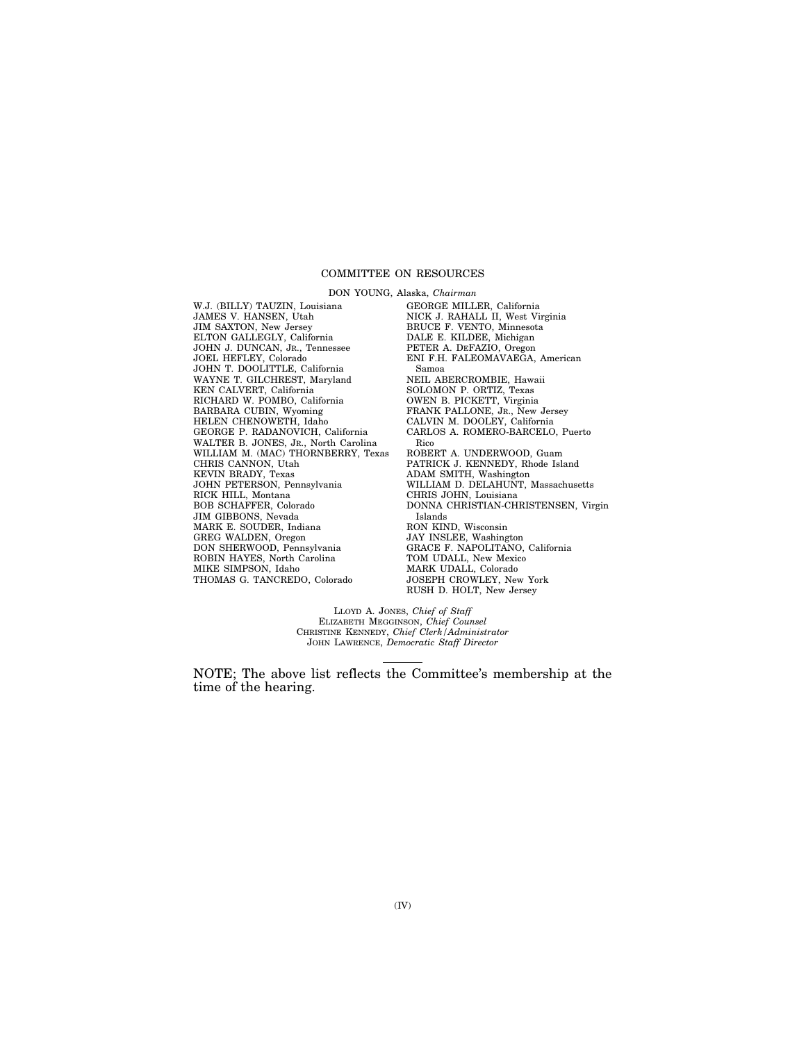#### COMMITTEE ON RESOURCES

DON YOUNG, Alaska, *Chairman* W.J. (BILLY) TAUZIN, Louisiana JAMES V. HANSEN, Utah JIM SAXTON, New Jersey ELTON GALLEGLY, California JOHN J. DUNCAN, JR., Tennessee JOEL HEFLEY, Colorado JOHN T. DOOLITTLE, California WAYNE T. GILCHREST, Maryland KEN CALVERT, California RICHARD W. POMBO, California BARBARA CUBIN, Wyoming HELEN CHENOWETH, Idaho GEORGE P. RADANOVICH, California WALTER B. JONES, JR., North Carolina WILLIAM M. (MAC) THORNBERRY, Texas CHRIS CANNON, Utah KEVIN BRADY, Texas JOHN PETERSON, Pennsylvania RICK HILL, Montana BOB SCHAFFER, Colorado JIM GIBBONS, Nevada MARK E. SOUDER, Indiana GREG WALDEN, Oregon DON SHERWOOD, Pennsylvania ROBIN HAYES, North Carolina MIKE SIMPSON, Idaho THOMAS G. TANCREDO, Colorado

GEORGE MILLER, California NICK J. RAHALL II, West Virginia BRUCE F. VENTO, Minnesota DALE E. KILDEE, Michigan PETER A. DEFAZIO, Oregon ENI F.H. FALEOMAVAEGA, American Samoa NEIL ABERCROMBIE, Hawaii SOLOMON P. ORTIZ, Texas OWEN B. PICKETT, Virginia FRANK PALLONE, JR., New Jersey CALVIN M. DOOLEY, California CARLOS A. ROMERO-BARCELO, Puerto Rico ROBERT A. UNDERWOOD, Guam PATRICK J. KENNEDY, Rhode Island ADAM SMITH, Washington WILLIAM D. DELAHUNT, Massachusetts CHRIS JOHN, Louisiana DONNA CHRISTIAN-CHRISTENSEN, Virgin Islands RON KIND, Wisconsin JAY INSLEE, Washington GRACE F. NAPOLITANO, California TOM UDALL, New Mexico MARK UDALL, Colorado JOSEPH CROWLEY, New York RUSH D. HOLT, New Jersey

LLOYD A. JONES, *Chief of Staff* ELIZABETH MEGGINSON, *Chief Counsel* CHRISTINE KENNEDY, *Chief Clerk/Administrator* JOHN LAWRENCE, *Democratic Staff Director*

NOTE; The above list reflects the Committee's membership at the time of the hearing.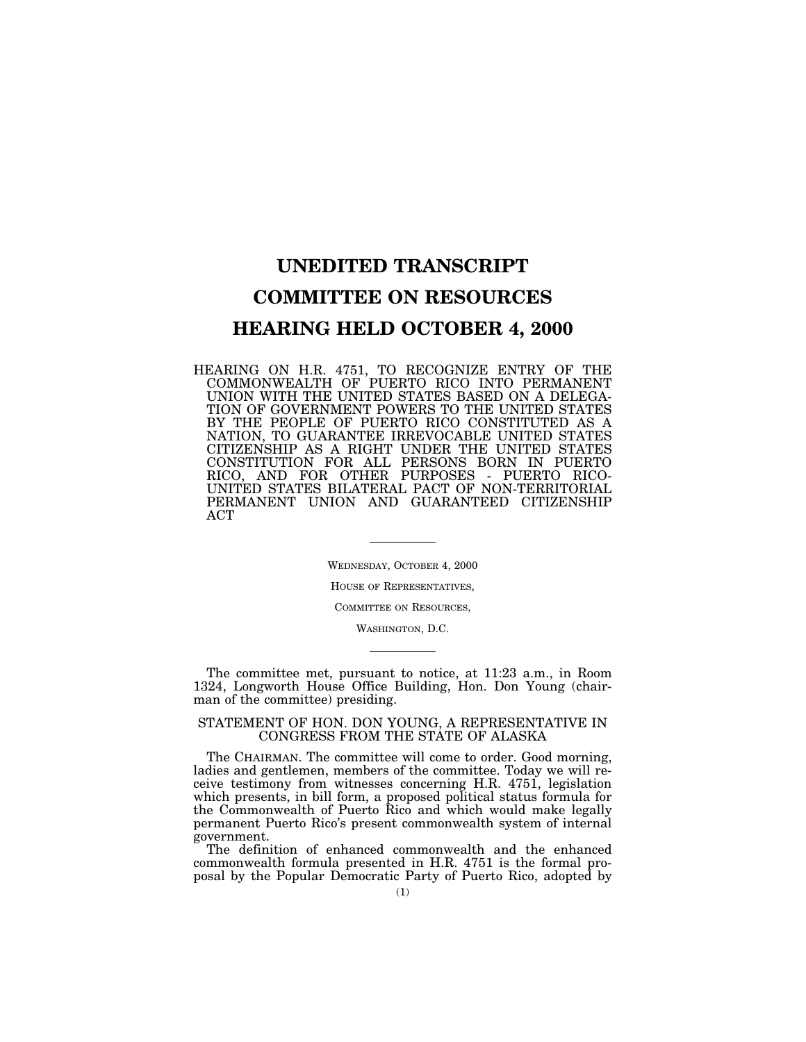# **UNEDITED TRANSCRIPT COMMITTEE ON RESOURCES HEARING HELD OCTOBER 4, 2000**

HEARING ON H.R. 4751, TO RECOGNIZE ENTRY OF THE COMMONWEALTH OF PUERTO RICO INTO PERMANENT UNION WITH THE UNITED STATES BASED ON A DELEGA-TION OF GOVERNMENT POWERS TO THE UNITED STATES BY THE PEOPLE OF PUERTO RICO CONSTITUTED AS A NATION, TO GUARANTEE IRREVOCABLE UNITED STATES CITIZENSHIP AS A RIGHT UNDER THE UNITED STATES CONSTITUTION FOR ALL PERSONS BORN IN PUERTO RICO, AND FOR OTHER PURPOSES - PUERTO RICO-UNITED STATES BILATERAL PACT OF NON-TERRITORIAL PERMANENT UNION AND GUARANTEED CITIZENSHIP ACT

> WEDNESDAY, OCTOBER 4, 2000 HOUSE OF REPRESENTATIVES, COMMITTEE ON RESOURCES,

> > WASHINGTON, D.C.

The committee met, pursuant to notice, at 11:23 a.m., in Room 1324, Longworth House Office Building, Hon. Don Young (chairman of the committee) presiding.

# STATEMENT OF HON. DON YOUNG, A REPRESENTATIVE IN CONGRESS FROM THE STATE OF ALASKA

The CHAIRMAN. The committee will come to order. Good morning, ladies and gentlemen, members of the committee. Today we will receive testimony from witnesses concerning H.R. 4751, legislation which presents, in bill form, a proposed political status formula for the Commonwealth of Puerto Rico and which would make legally permanent Puerto Rico's present commonwealth system of internal government.

The definition of enhanced commonwealth and the enhanced commonwealth formula presented in H.R. 4751 is the formal proposal by the Popular Democratic Party of Puerto Rico, adopted by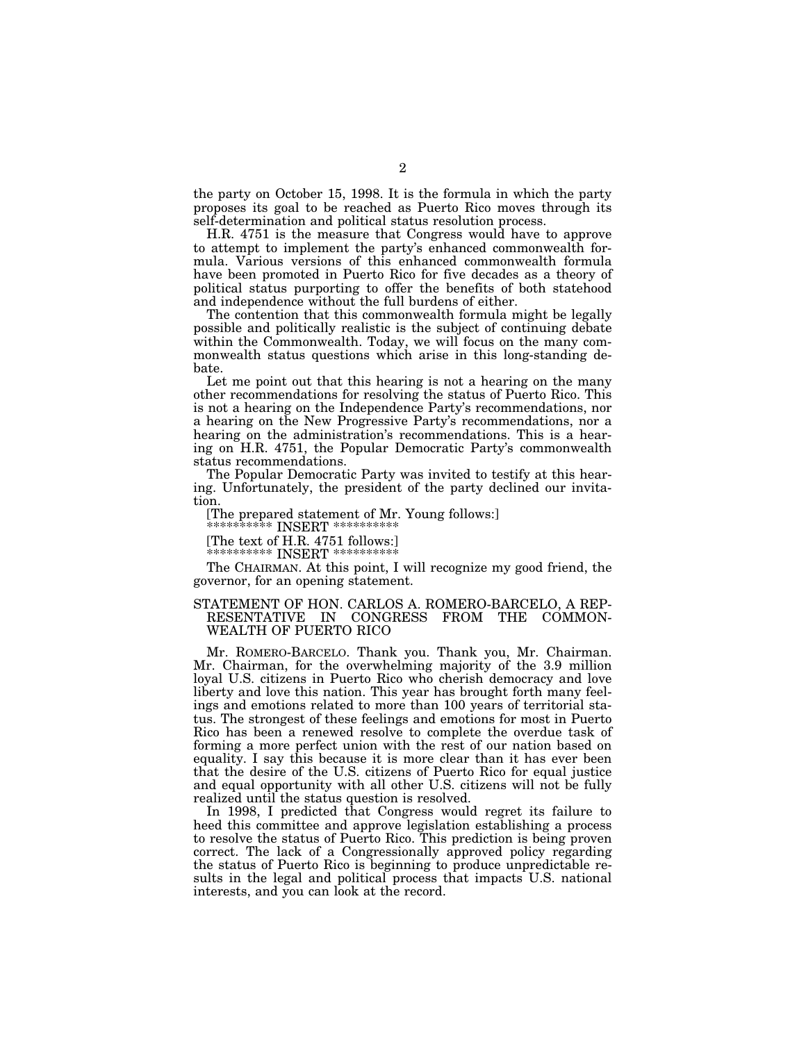the party on October 15, 1998. It is the formula in which the party proposes its goal to be reached as Puerto Rico moves through its self-determination and political status resolution process.

H.R. 4751 is the measure that Congress would have to approve to attempt to implement the party's enhanced commonwealth formula. Various versions of this enhanced commonwealth formula have been promoted in Puerto Rico for five decades as a theory of political status purporting to offer the benefits of both statehood and independence without the full burdens of either.

The contention that this commonwealth formula might be legally possible and politically realistic is the subject of continuing debate within the Commonwealth. Today, we will focus on the many commonwealth status questions which arise in this long-standing debate.

Let me point out that this hearing is not a hearing on the many other recommendations for resolving the status of Puerto Rico. This is not a hearing on the Independence Party's recommendations, nor a hearing on the New Progressive Party's recommendations, nor a hearing on the administration's recommendations. This is a hearing on H.R. 4751, the Popular Democratic Party's commonwealth status recommendations.

The Popular Democratic Party was invited to testify at this hearing. Unfortunately, the president of the party declined our invitation.

[The prepared statement of Mr. Young follows:]

 $***$  INSERT  $*****$ 

[The text of H.R. 4751 follows:]

\*\*\*\*\*\*\*\*\*\*\* INSERT \*

The CHAIRMAN. At this point, I will recognize my good friend, the governor, for an opening statement.

# STATEMENT OF HON. CARLOS A. ROMERO-BARCELO, A REP-RESENTATIVE IN CONGRESS FROM THE COMMON-WEALTH OF PUERTO RICO

Mr. ROMERO-BARCELO. Thank you. Thank you, Mr. Chairman. Mr. Chairman, for the overwhelming majority of the 3.9 million loyal U.S. citizens in Puerto Rico who cherish democracy and love liberty and love this nation. This year has brought forth many feelings and emotions related to more than 100 years of territorial status. The strongest of these feelings and emotions for most in Puerto Rico has been a renewed resolve to complete the overdue task of forming a more perfect union with the rest of our nation based on equality. I say this because it is more clear than it has ever been that the desire of the U.S. citizens of Puerto Rico for equal justice and equal opportunity with all other U.S. citizens will not be fully realized until the status question is resolved.

In 1998, I predicted that Congress would regret its failure to heed this committee and approve legislation establishing a process to resolve the status of Puerto Rico. This prediction is being proven correct. The lack of a Congressionally approved policy regarding the status of Puerto Rico is beginning to produce unpredictable results in the legal and political process that impacts U.S. national interests, and you can look at the record.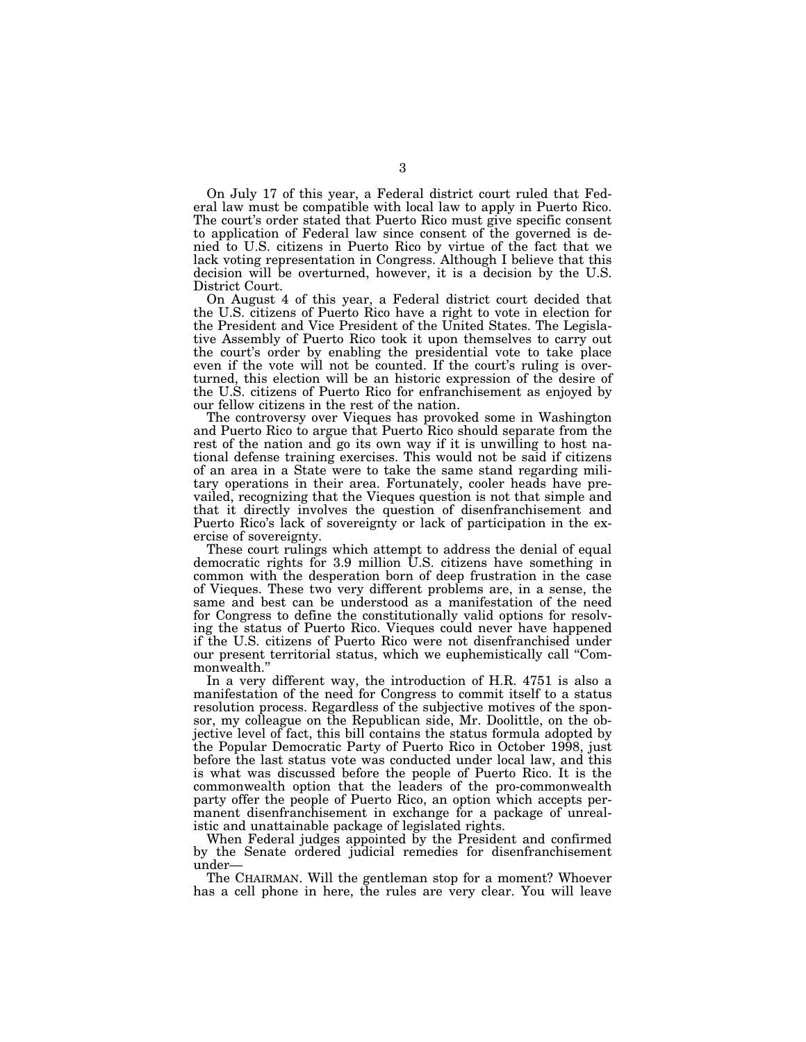On July 17 of this year, a Federal district court ruled that Federal law must be compatible with local law to apply in Puerto Rico. The court's order stated that Puerto Rico must give specific consent to application of Federal law since consent of the governed is denied to U.S. citizens in Puerto Rico by virtue of the fact that we lack voting representation in Congress. Although I believe that this decision will be overturned, however, it is a decision by the U.S. District Court.

On August 4 of this year, a Federal district court decided that the U.S. citizens of Puerto Rico have a right to vote in election for the President and Vice President of the United States. The Legislative Assembly of Puerto Rico took it upon themselves to carry out the court's order by enabling the presidential vote to take place even if the vote will not be counted. If the court's ruling is overturned, this election will be an historic expression of the desire of the U.S. citizens of Puerto Rico for enfranchisement as enjoyed by our fellow citizens in the rest of the nation.

The controversy over Vieques has provoked some in Washington and Puerto Rico to argue that Puerto Rico should separate from the rest of the nation and go its own way if it is unwilling to host national defense training exercises. This would not be said if citizens of an area in a State were to take the same stand regarding military operations in their area. Fortunately, cooler heads have prevailed, recognizing that the Vieques question is not that simple and that it directly involves the question of disenfranchisement and Puerto Rico's lack of sovereignty or lack of participation in the exercise of sovereignty.

These court rulings which attempt to address the denial of equal democratic rights for 3.9 million U.S. citizens have something in common with the desperation born of deep frustration in the case of Vieques. These two very different problems are, in a sense, the same and best can be understood as a manifestation of the need for Congress to define the constitutionally valid options for resolving the status of Puerto Rico. Vieques could never have happened if the U.S. citizens of Puerto Rico were not disenfranchised under our present territorial status, which we euphemistically call ''Commonwealth.''

In a very different way, the introduction of H.R. 4751 is also a manifestation of the need for Congress to commit itself to a status resolution process. Regardless of the subjective motives of the sponsor, my colleague on the Republican side, Mr. Doolittle, on the objective level of fact, this bill contains the status formula adopted by the Popular Democratic Party of Puerto Rico in October 1998, just before the last status vote was conducted under local law, and this is what was discussed before the people of Puerto Rico. It is the commonwealth option that the leaders of the pro-commonwealth party offer the people of Puerto Rico, an option which accepts permanent disenfranchisement in exchange for a package of unrealistic and unattainable package of legislated rights.

When Federal judges appointed by the President and confirmed by the Senate ordered judicial remedies for disenfranchisement under—

The CHAIRMAN. Will the gentleman stop for a moment? Whoever has a cell phone in here, the rules are very clear. You will leave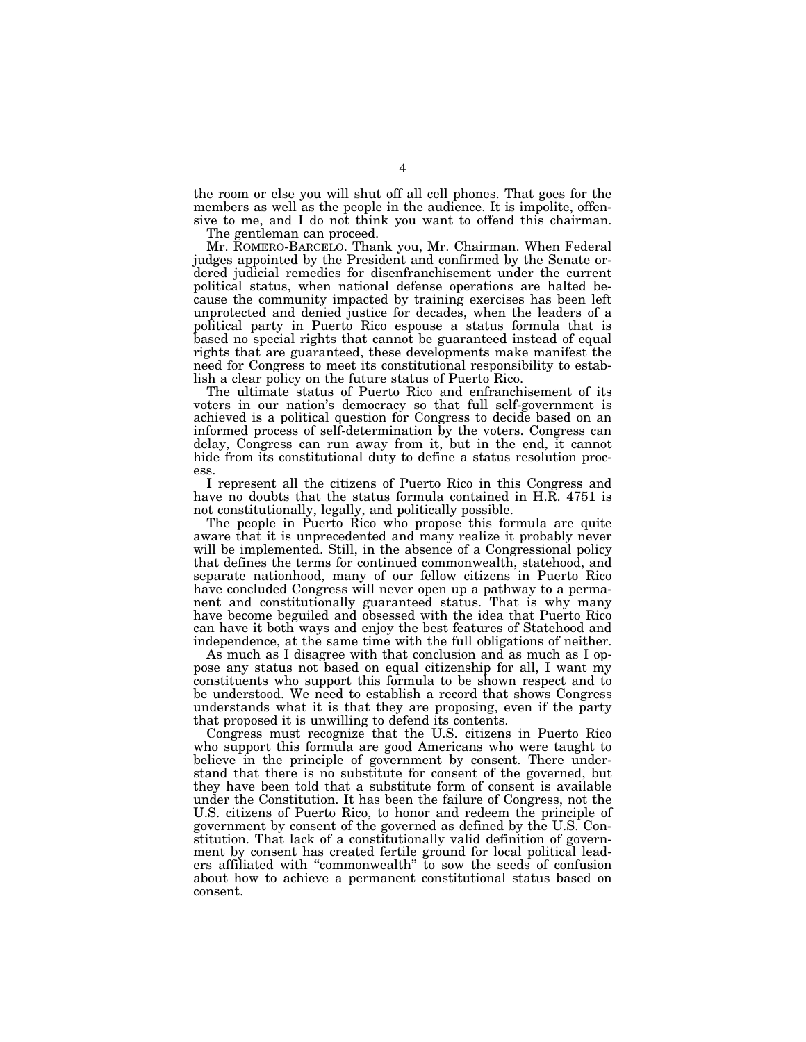the room or else you will shut off all cell phones. That goes for the members as well as the people in the audience. It is impolite, offensive to me, and I do not think you want to offend this chairman.

The gentleman can proceed.

Mr. ROMERO-BARCELO. Thank you, Mr. Chairman. When Federal judges appointed by the President and confirmed by the Senate ordered judicial remedies for disenfranchisement under the current political status, when national defense operations are halted because the community impacted by training exercises has been left unprotected and denied justice for decades, when the leaders of a political party in Puerto Rico espouse a status formula that is based no special rights that cannot be guaranteed instead of equal rights that are guaranteed, these developments make manifest the need for Congress to meet its constitutional responsibility to establish a clear policy on the future status of Puerto Rico.

The ultimate status of Puerto Rico and enfranchisement of its voters in our nation's democracy so that full self-government is achieved is a political question for Congress to decide based on an informed process of self-determination by the voters. Congress can delay, Congress can run away from it, but in the end, it cannot hide from its constitutional duty to define a status resolution process.

I represent all the citizens of Puerto Rico in this Congress and have no doubts that the status formula contained in H.R. 4751 is not constitutionally, legally, and politically possible.

The people in Puerto Rico who propose this formula are quite aware that it is unprecedented and many realize it probably never will be implemented. Still, in the absence of a Congressional policy that defines the terms for continued commonwealth, statehood, and separate nationhood, many of our fellow citizens in Puerto Rico have concluded Congress will never open up a pathway to a permanent and constitutionally guaranteed status. That is why many have become beguiled and obsessed with the idea that Puerto Rico can have it both ways and enjoy the best features of Statehood and independence, at the same time with the full obligations of neither.

As much as I disagree with that conclusion and as much as I oppose any status not based on equal citizenship for all, I want my constituents who support this formula to be shown respect and to be understood. We need to establish a record that shows Congress understands what it is that they are proposing, even if the party that proposed it is unwilling to defend its contents.

Congress must recognize that the U.S. citizens in Puerto Rico who support this formula are good Americans who were taught to believe in the principle of government by consent. There understand that there is no substitute for consent of the governed, but they have been told that a substitute form of consent is available under the Constitution. It has been the failure of Congress, not the U.S. citizens of Puerto Rico, to honor and redeem the principle of government by consent of the governed as defined by the U.S. Constitution. That lack of a constitutionally valid definition of government by consent has created fertile ground for local political leaders affiliated with ''commonwealth'' to sow the seeds of confusion about how to achieve a permanent constitutional status based on consent.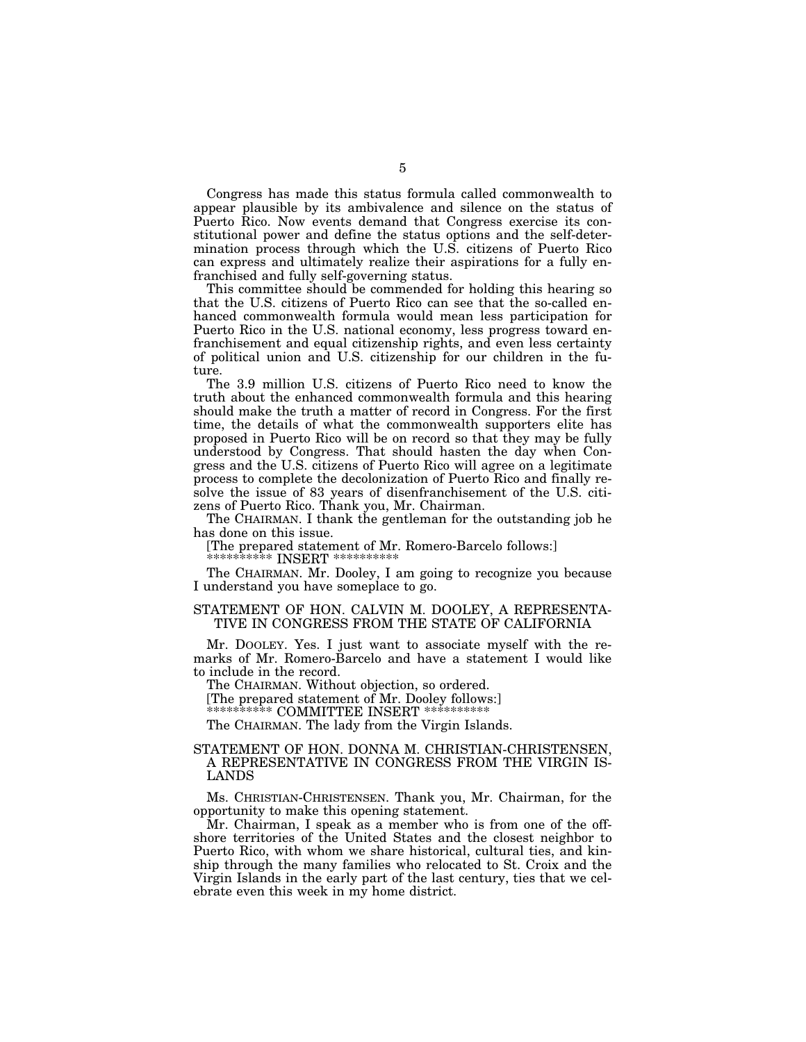Congress has made this status formula called commonwealth to appear plausible by its ambivalence and silence on the status of Puerto Rico. Now events demand that Congress exercise its constitutional power and define the status options and the self-determination process through which the U.S. citizens of Puerto Rico can express and ultimately realize their aspirations for a fully enfranchised and fully self-governing status.

This committee should be commended for holding this hearing so that the U.S. citizens of Puerto Rico can see that the so-called enhanced commonwealth formula would mean less participation for Puerto Rico in the U.S. national economy, less progress toward enfranchisement and equal citizenship rights, and even less certainty of political union and U.S. citizenship for our children in the future.

The 3.9 million U.S. citizens of Puerto Rico need to know the truth about the enhanced commonwealth formula and this hearing should make the truth a matter of record in Congress. For the first time, the details of what the commonwealth supporters elite has proposed in Puerto Rico will be on record so that they may be fully understood by Congress. That should hasten the day when Congress and the U.S. citizens of Puerto Rico will agree on a legitimate process to complete the decolonization of Puerto Rico and finally resolve the issue of 83 years of disenfranchisement of the U.S. citizens of Puerto Rico. Thank you, Mr. Chairman.

The CHAIRMAN. I thank the gentleman for the outstanding job he has done on this issue.

[The prepared statement of Mr. Romero-Barcelo follows:]

\*\*\*\*\*\*\*\*\*\* INSERT \*\*

The CHAIRMAN. Mr. Dooley, I am going to recognize you because I understand you have someplace to go.

# STATEMENT OF HON. CALVIN M. DOOLEY, A REPRESENTA-TIVE IN CONGRESS FROM THE STATE OF CALIFORNIA

Mr. DOOLEY. Yes. I just want to associate myself with the remarks of Mr. Romero-Barcelo and have a statement I would like to include in the record.

The CHAIRMAN. Without objection, so ordered.

[The prepared statement of Mr. Dooley follows:]

\*\*\*\*\*\*\*\*\*\* COMMITTEE INSERT \*\*\*\*\*\*\*\*\*\*

The CHAIRMAN. The lady from the Virgin Islands.

# STATEMENT OF HON. DONNA M. CHRISTIAN-CHRISTENSEN, A REPRESENTATIVE IN CONGRESS FROM THE VIRGIN IS-LANDS

Ms. CHRISTIAN-CHRISTENSEN. Thank you, Mr. Chairman, for the opportunity to make this opening statement.

Mr. Chairman, I speak as a member who is from one of the offshore territories of the United States and the closest neighbor to Puerto Rico, with whom we share historical, cultural ties, and kinship through the many families who relocated to St. Croix and the Virgin Islands in the early part of the last century, ties that we celebrate even this week in my home district.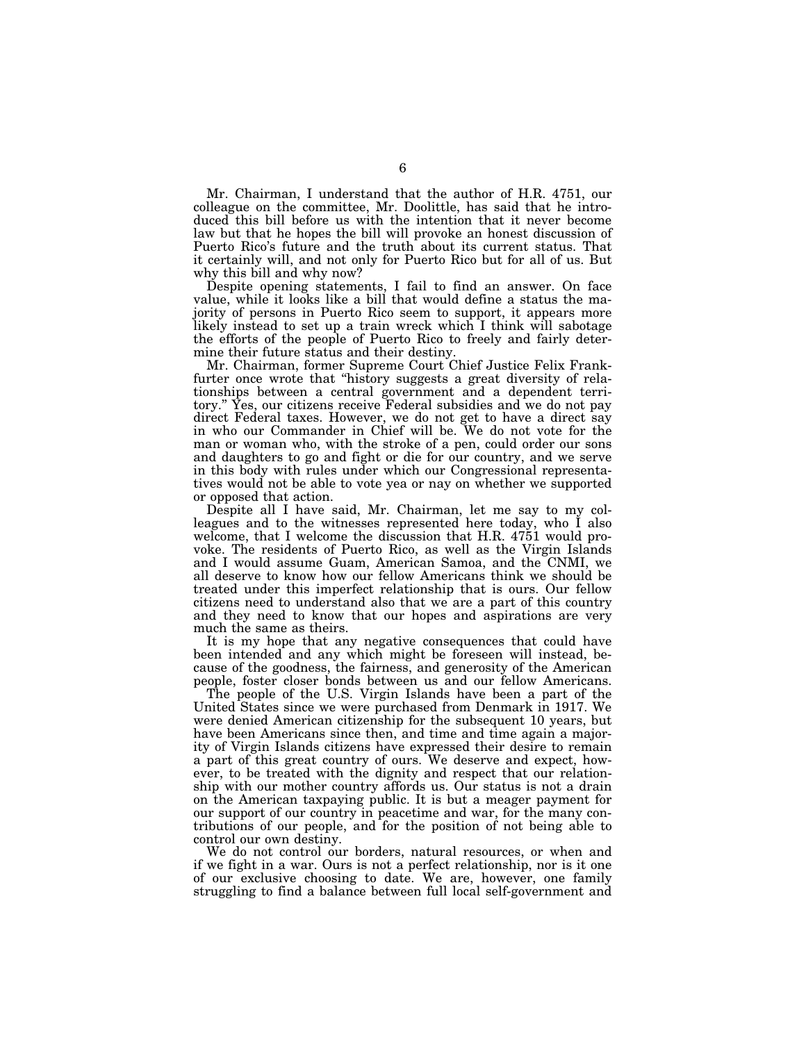Mr. Chairman, I understand that the author of H.R. 4751, our colleague on the committee, Mr. Doolittle, has said that he introduced this bill before us with the intention that it never become law but that he hopes the bill will provoke an honest discussion of Puerto Rico's future and the truth about its current status. That it certainly will, and not only for Puerto Rico but for all of us. But why this bill and why now?

Despite opening statements, I fail to find an answer. On face value, while it looks like a bill that would define a status the majority of persons in Puerto Rico seem to support, it appears more likely instead to set up a train wreck which I think will sabotage the efforts of the people of Puerto Rico to freely and fairly determine their future status and their destiny.

Mr. Chairman, former Supreme Court Chief Justice Felix Frankfurter once wrote that "history suggests a great diversity of relationships between a central government and a dependent territory.'' Yes, our citizens receive Federal subsidies and we do not pay direct Federal taxes. However, we do not get to have a direct say in who our Commander in Chief will be. We do not vote for the man or woman who, with the stroke of a pen, could order our sons and daughters to go and fight or die for our country, and we serve in this body with rules under which our Congressional representatives would not be able to vote yea or nay on whether we supported or opposed that action.

Despite all I have said, Mr. Chairman, let me say to my colleagues and to the witnesses represented here today, who I also welcome, that I welcome the discussion that H.R. 4751 would provoke. The residents of Puerto Rico, as well as the Virgin Islands and I would assume Guam, American Samoa, and the CNMI, we all deserve to know how our fellow Americans think we should be treated under this imperfect relationship that is ours. Our fellow citizens need to understand also that we are a part of this country and they need to know that our hopes and aspirations are very much the same as theirs.

It is my hope that any negative consequences that could have been intended and any which might be foreseen will instead, because of the goodness, the fairness, and generosity of the American people, foster closer bonds between us and our fellow Americans.

The people of the U.S. Virgin Islands have been a part of the United States since we were purchased from Denmark in 1917. We were denied American citizenship for the subsequent 10 years, but have been Americans since then, and time and time again a majority of Virgin Islands citizens have expressed their desire to remain a part of this great country of ours. We deserve and expect, however, to be treated with the dignity and respect that our relationship with our mother country affords us. Our status is not a drain on the American taxpaying public. It is but a meager payment for our support of our country in peacetime and war, for the many contributions of our people, and for the position of not being able to control our own destiny.

We do not control our borders, natural resources, or when and if we fight in a war. Ours is not a perfect relationship, nor is it one of our exclusive choosing to date. We are, however, one family struggling to find a balance between full local self-government and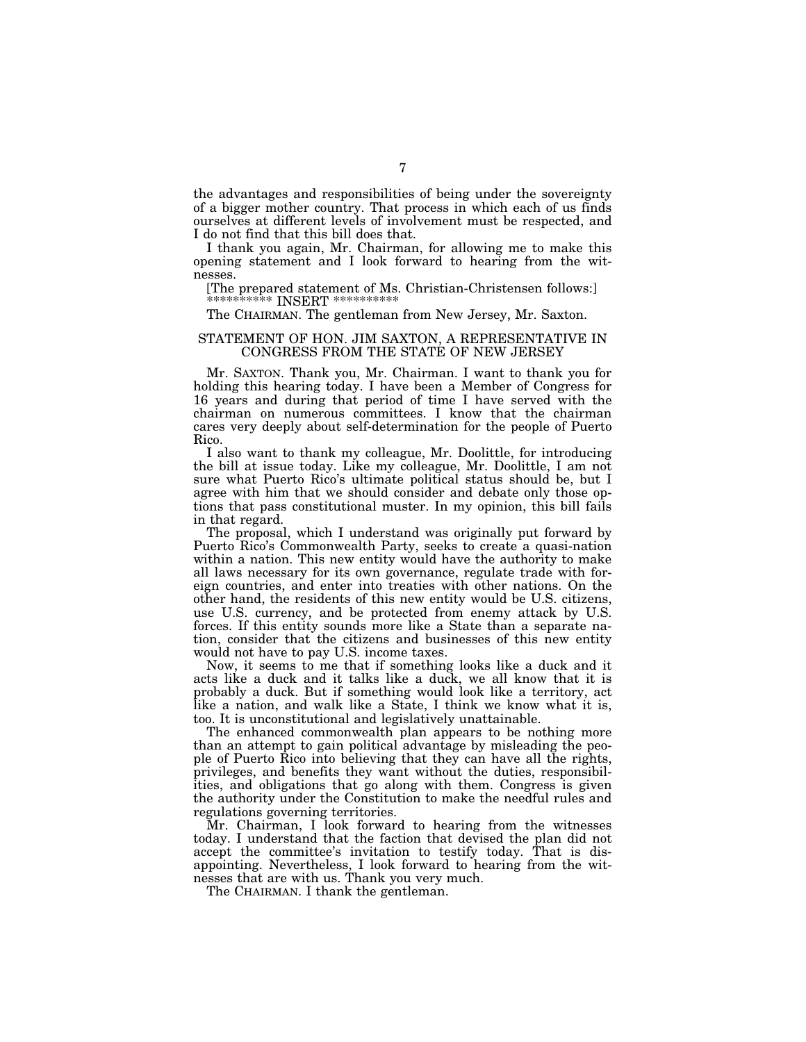the advantages and responsibilities of being under the sovereignty of a bigger mother country. That process in which each of us finds ourselves at different levels of involvement must be respected, and I do not find that this bill does that.

I thank you again, Mr. Chairman, for allowing me to make this opening statement and I look forward to hearing from the witnesses.

[The prepared statement of Ms. Christian-Christensen follows:] \*\*\*\*\*\*\*\*\* INSERT \*

The CHAIRMAN. The gentleman from New Jersey, Mr. Saxton.

# STATEMENT OF HON. JIM SAXTON, A REPRESENTATIVE IN CONGRESS FROM THE STATE OF NEW JERSEY

Mr. SAXTON. Thank you, Mr. Chairman. I want to thank you for holding this hearing today. I have been a Member of Congress for 16 years and during that period of time I have served with the chairman on numerous committees. I know that the chairman cares very deeply about self-determination for the people of Puerto Rico.

I also want to thank my colleague, Mr. Doolittle, for introducing the bill at issue today. Like my colleague, Mr. Doolittle, I am not sure what Puerto Rico's ultimate political status should be, but I agree with him that we should consider and debate only those options that pass constitutional muster. In my opinion, this bill fails in that regard.

The proposal, which I understand was originally put forward by Puerto Rico's Commonwealth Party, seeks to create a quasi-nation within a nation. This new entity would have the authority to make all laws necessary for its own governance, regulate trade with foreign countries, and enter into treaties with other nations. On the other hand, the residents of this new entity would be U.S. citizens, use U.S. currency, and be protected from enemy attack by U.S. forces. If this entity sounds more like a State than a separate nation, consider that the citizens and businesses of this new entity would not have to pay U.S. income taxes.

Now, it seems to me that if something looks like a duck and it acts like a duck and it talks like a duck, we all know that it is probably a duck. But if something would look like a territory, act like a nation, and walk like a State, I think we know what it is, too. It is unconstitutional and legislatively unattainable.

The enhanced commonwealth plan appears to be nothing more than an attempt to gain political advantage by misleading the people of Puerto Rico into believing that they can have all the rights, privileges, and benefits they want without the duties, responsibilities, and obligations that go along with them. Congress is given the authority under the Constitution to make the needful rules and regulations governing territories.

Mr. Chairman, I look forward to hearing from the witnesses today. I understand that the faction that devised the plan did not accept the committee's invitation to testify today. That is disappointing. Nevertheless, I look forward to hearing from the witnesses that are with us. Thank you very much.

The CHAIRMAN. I thank the gentleman.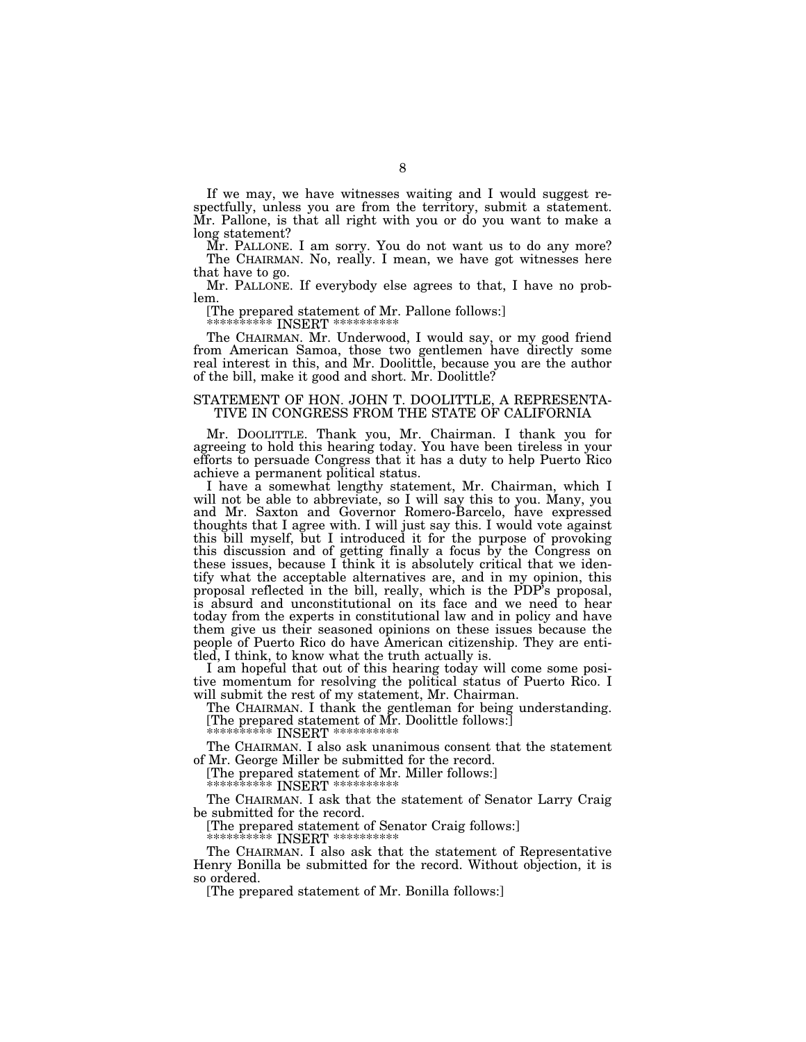If we may, we have witnesses waiting and I would suggest respectfully, unless you are from the territory, submit a statement. Mr. Pallone, is that all right with you or do you want to make a long statement?

Mr. PALLONE. I am sorry. You do not want us to do any more? The CHAIRMAN. No, really. I mean, we have got witnesses here that have to go.

Mr. PALLONE. If everybody else agrees to that, I have no problem.

[The prepared statement of Mr. Pallone follows:]

\*\*\*\*\*\*\*\*\*\*\* INSERT \*\*\*\*\*\*\*\*\*\*\*

The CHAIRMAN. Mr. Underwood, I would say, or my good friend from American Samoa, those two gentlemen have directly some real interest in this, and Mr. Doolittle, because you are the author of the bill, make it good and short. Mr. Doolittle?

#### STATEMENT OF HON. JOHN T. DOOLITTLE, A REPRESENTA-TIVE IN CONGRESS FROM THE STATE OF CALIFORNIA

Mr. DOOLITTLE. Thank you, Mr. Chairman. I thank you for agreeing to hold this hearing today. You have been tireless in your efforts to persuade Congress that it has a duty to help Puerto Rico achieve a permanent political status.

I have a somewhat lengthy statement, Mr. Chairman, which I will not be able to abbreviate, so I will say this to you. Many, you and Mr. Saxton and Governor Romero-Barcelo, have expressed thoughts that I agree with. I will just say this. I would vote against this bill myself, but I introduced it for the purpose of provoking this discussion and of getting finally a focus by the Congress on these issues, because I think it is absolutely critical that we identify what the acceptable alternatives are, and in my opinion, this proposal reflected in the bill, really, which is the PDP's proposal, is absurd and unconstitutional on its face and we need to hear today from the experts in constitutional law and in policy and have them give us their seasoned opinions on these issues because the people of Puerto Rico do have American citizenship. They are entitled, I think, to know what the truth actually is.

I am hopeful that out of this hearing today will come some positive momentum for resolving the political status of Puerto Rico. I will submit the rest of my statement, Mr. Chairman.

The CHAIRMAN. I thank the gentleman for being understanding. [The prepared statement of Mr. Doolittle follows:]

\*\*\*\*\*\*\*\*\*\*\* INSERT \*\*\*\*\*\*\*\*\*\*\*

The CHAIRMAN. I also ask unanimous consent that the statement of Mr. George Miller be submitted for the record.

[The prepared statement of Mr. Miller follows:]

\*\*\*\*\*\*\*\*\*\* INSERT \*\*\*\*\*\*\*\*\*\*

The CHAIRMAN. I ask that the statement of Senator Larry Craig be submitted for the record.

[The prepared statement of Senator Craig follows:] \*\*\*\*\*\*\*\*\*\*\* INSERT \*\*\*\*\*\*\*\*\*\*\*

The CHAIRMAN. I also ask that the statement of Representative Henry Bonilla be submitted for the record. Without objection, it is so ordered.

[The prepared statement of Mr. Bonilla follows:]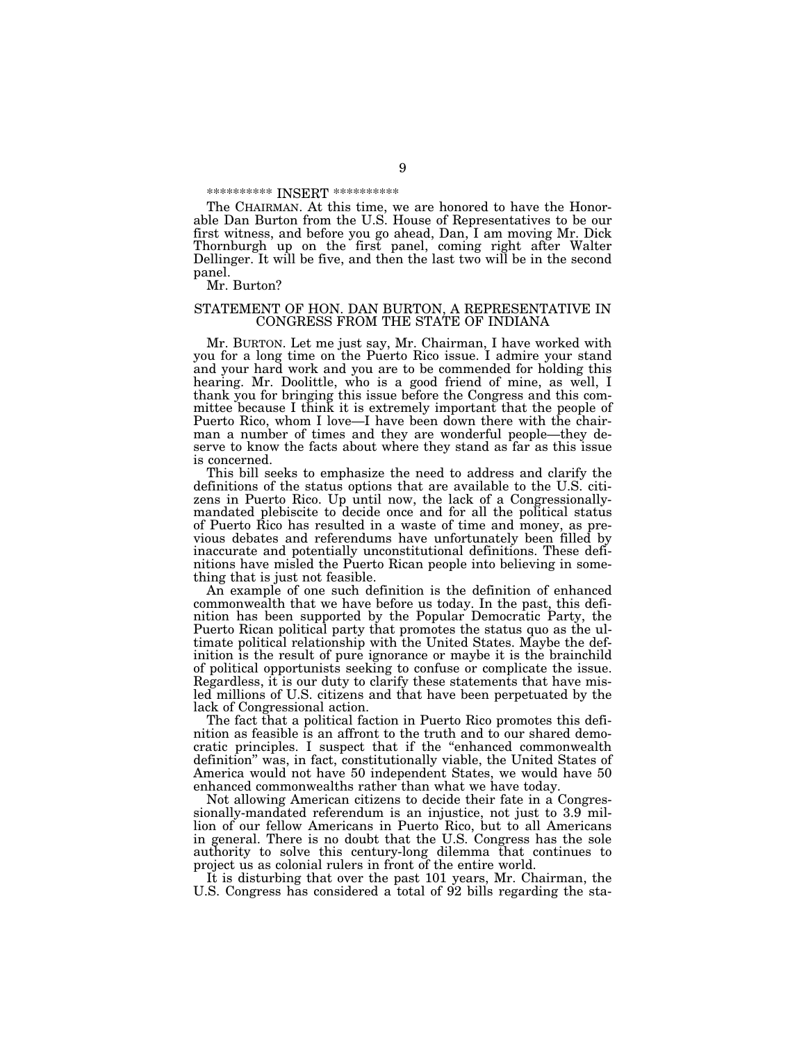#### \*\*\*\*\*\*\*\*\*\*\* INSERT \*\*\*\*\*\*\*\*\*\*\*

The CHAIRMAN. At this time, we are honored to have the Honorable Dan Burton from the U.S. House of Representatives to be our first witness, and before you go ahead, Dan, I am moving Mr. Dick Thornburgh up on the first panel, coming right after Walter Dellinger. It will be five, and then the last two will be in the second panel.

Mr. Burton?

#### STATEMENT OF HON. DAN BURTON, A REPRESENTATIVE IN CONGRESS FROM THE STATE OF INDIANA

Mr. BURTON. Let me just say, Mr. Chairman, I have worked with you for a long time on the Puerto Rico issue. I admire your stand and your hard work and you are to be commended for holding this hearing. Mr. Doolittle, who is a good friend of mine, as well, I thank you for bringing this issue before the Congress and this committee because I think it is extremely important that the people of Puerto Rico, whom I love—I have been down there with the chairman a number of times and they are wonderful people—they deserve to know the facts about where they stand as far as this issue is concerned.

This bill seeks to emphasize the need to address and clarify the definitions of the status options that are available to the U.S. citizens in Puerto Rico. Up until now, the lack of a Congressionallymandated plebiscite to decide once and for all the political status of Puerto Rico has resulted in a waste of time and money, as previous debates and referendums have unfortunately been filled by inaccurate and potentially unconstitutional definitions. These definitions have misled the Puerto Rican people into believing in something that is just not feasible.

An example of one such definition is the definition of enhanced commonwealth that we have before us today. In the past, this definition has been supported by the Popular Democratic Party, the Puerto Rican political party that promotes the status quo as the ultimate political relationship with the United States. Maybe the definition is the result of pure ignorance or maybe it is the brainchild of political opportunists seeking to confuse or complicate the issue. Regardless, it is our duty to clarify these statements that have misled millions of U.S. citizens and that have been perpetuated by the lack of Congressional action.

The fact that a political faction in Puerto Rico promotes this definition as feasible is an affront to the truth and to our shared democratic principles. I suspect that if the ''enhanced commonwealth definition'' was, in fact, constitutionally viable, the United States of America would not have 50 independent States, we would have 50 enhanced commonwealths rather than what we have today.

Not allowing American citizens to decide their fate in a Congressionally-mandated referendum is an injustice, not just to 3.9 million of our fellow Americans in Puerto Rico, but to all Americans in general. There is no doubt that the U.S. Congress has the sole authority to solve this century-long dilemma that continues to project us as colonial rulers in front of the entire world.

It is disturbing that over the past 101 years, Mr. Chairman, the U.S. Congress has considered a total of 92 bills regarding the sta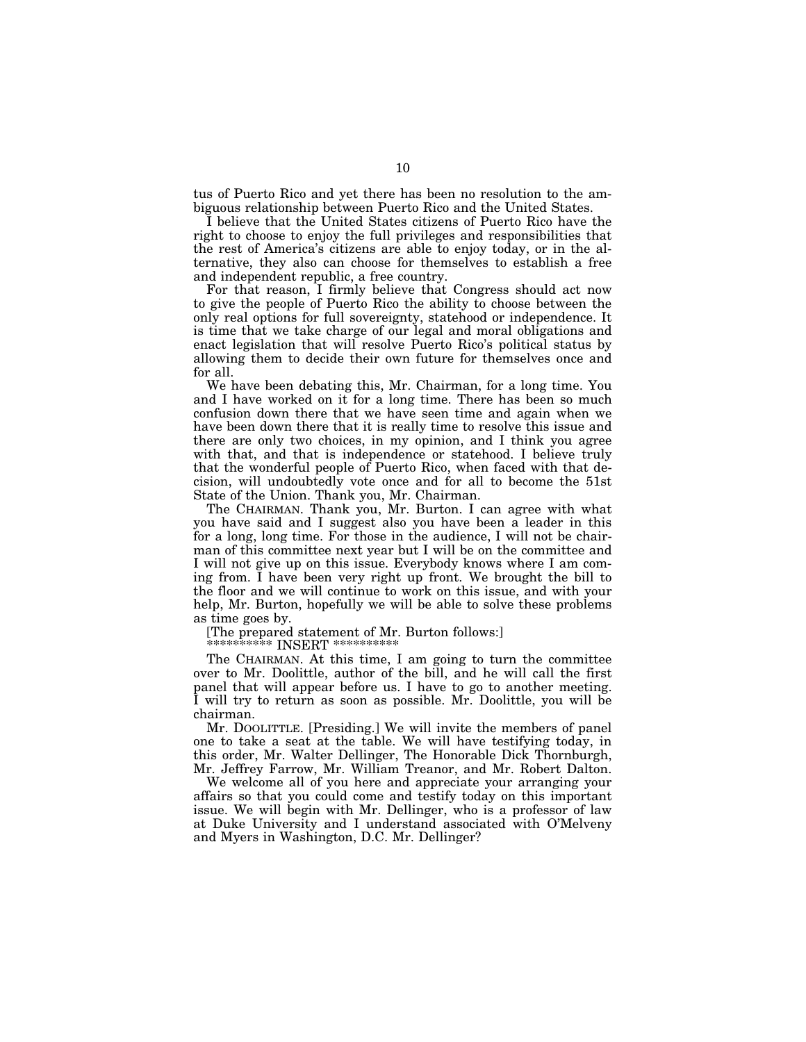tus of Puerto Rico and yet there has been no resolution to the ambiguous relationship between Puerto Rico and the United States.

I believe that the United States citizens of Puerto Rico have the right to choose to enjoy the full privileges and responsibilities that the rest of America's citizens are able to enjoy today, or in the alternative, they also can choose for themselves to establish a free and independent republic, a free country.

For that reason, I firmly believe that Congress should act now to give the people of Puerto Rico the ability to choose between the only real options for full sovereignty, statehood or independence. It is time that we take charge of our legal and moral obligations and enact legislation that will resolve Puerto Rico's political status by allowing them to decide their own future for themselves once and for all.

We have been debating this, Mr. Chairman, for a long time. You and I have worked on it for a long time. There has been so much confusion down there that we have seen time and again when we have been down there that it is really time to resolve this issue and there are only two choices, in my opinion, and I think you agree with that, and that is independence or statehood. I believe truly that the wonderful people of Puerto Rico, when faced with that decision, will undoubtedly vote once and for all to become the 51st State of the Union. Thank you, Mr. Chairman.

The CHAIRMAN. Thank you, Mr. Burton. I can agree with what you have said and I suggest also you have been a leader in this for a long, long time. For those in the audience, I will not be chairman of this committee next year but I will be on the committee and I will not give up on this issue. Everybody knows where I am coming from. I have been very right up front. We brought the bill to the floor and we will continue to work on this issue, and with your help, Mr. Burton, hopefully we will be able to solve these problems as time goes by.

[The prepared statement of Mr. Burton follows:]

\*\*\*\*\*\*\*\*\*\*\* INSERT \*\*\*\*\*\*\*\*\*\*\*

The CHAIRMAN. At this time, I am going to turn the committee over to Mr. Doolittle, author of the bill, and he will call the first panel that will appear before us. I have to go to another meeting. I will try to return as soon as possible. Mr. Doolittle, you will be chairman.

Mr. DOOLITTLE. [Presiding.] We will invite the members of panel one to take a seat at the table. We will have testifying today, in this order, Mr. Walter Dellinger, The Honorable Dick Thornburgh, Mr. Jeffrey Farrow, Mr. William Treanor, and Mr. Robert Dalton.

We welcome all of you here and appreciate your arranging your affairs so that you could come and testify today on this important issue. We will begin with Mr. Dellinger, who is a professor of law at Duke University and I understand associated with O'Melveny and Myers in Washington, D.C. Mr. Dellinger?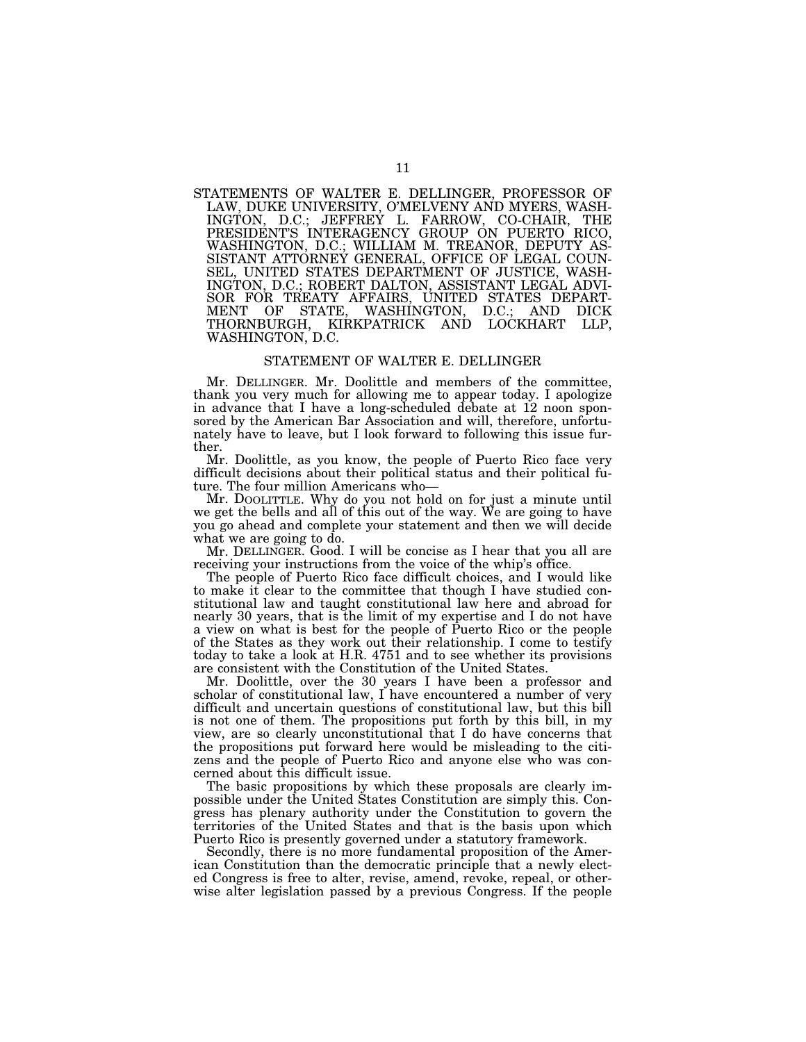STATEMENTS OF WALTER E. DELLINGER, PROFESSOR OF LAW, DUKE UNIVERSITY, O'MELVENY AND MYERS, WASH-INGTON, D.C.; JEFFREY L. FARROW, CO-CHAIR, THE PRESIDENT'S INTERAGENCY GROUP ON PUERTO RICO, WASHINGTON, D.C.; WILLIAM M. TREANOR, DEPUTY AS-SISTANT ATTORNEY GENERAL, OFFICE OF LEGAL COUN-SEL, UNITED STATES DEPARTMENT OF JUSTICE, WASH-INGTON, D.C.; ROBERT DALTON, ASSISTANT LEGAL ADVI-SOR FOR TREATY AFFAIRS, UNITED STATES DEPART-MENT OF STATE, WASHINGTON, D.C.; AND DICK THORNBURGH, KIRKPATRICK AND LOCKHART LLP, WASHINGTON, D.C.

# STATEMENT OF WALTER E. DELLINGER

Mr. DELLINGER. Mr. Doolittle and members of the committee, thank you very much for allowing me to appear today. I apologize in advance that I have a long-scheduled debate at 12 noon sponsored by the American Bar Association and will, therefore, unfortunately have to leave, but I look forward to following this issue further.

Mr. Doolittle, as you know, the people of Puerto Rico face very difficult decisions about their political status and their political future. The four million Americans who—<br>Mr. DOOLITTLE. Why do you not hold on for just a minute until

we get the bells and all of this out of the way. We are going to have you go ahead and complete your statement and then we will decide what we are going to do.

Mr. DELLINGER. Good. I will be concise as I hear that you all are receiving your instructions from the voice of the whip's office.

The people of Puerto Rico face difficult choices, and I would like to make it clear to the committee that though I have studied constitutional law and taught constitutional law here and abroad for nearly 30 years, that is the limit of my expertise and I do not have a view on what is best for the people of Puerto Rico or the people of the States as they work out their relationship. I come to testify today to take a look at H.R. 4751 and to see whether its provisions are consistent with the Constitution of the United States.

Mr. Doolittle, over the 30 years I have been a professor and scholar of constitutional law, I have encountered a number of very difficult and uncertain questions of constitutional law, but this bill is not one of them. The propositions put forth by this bill, in my view, are so clearly unconstitutional that I do have concerns that the propositions put forward here would be misleading to the citizens and the people of Puerto Rico and anyone else who was concerned about this difficult issue.

The basic propositions by which these proposals are clearly impossible under the United States Constitution are simply this. Congress has plenary authority under the Constitution to govern the territories of the United States and that is the basis upon which Puerto Rico is presently governed under a statutory framework.

Secondly, there is no more fundamental proposition of the American Constitution than the democratic principle that a newly elected Congress is free to alter, revise, amend, revoke, repeal, or otherwise alter legislation passed by a previous Congress. If the people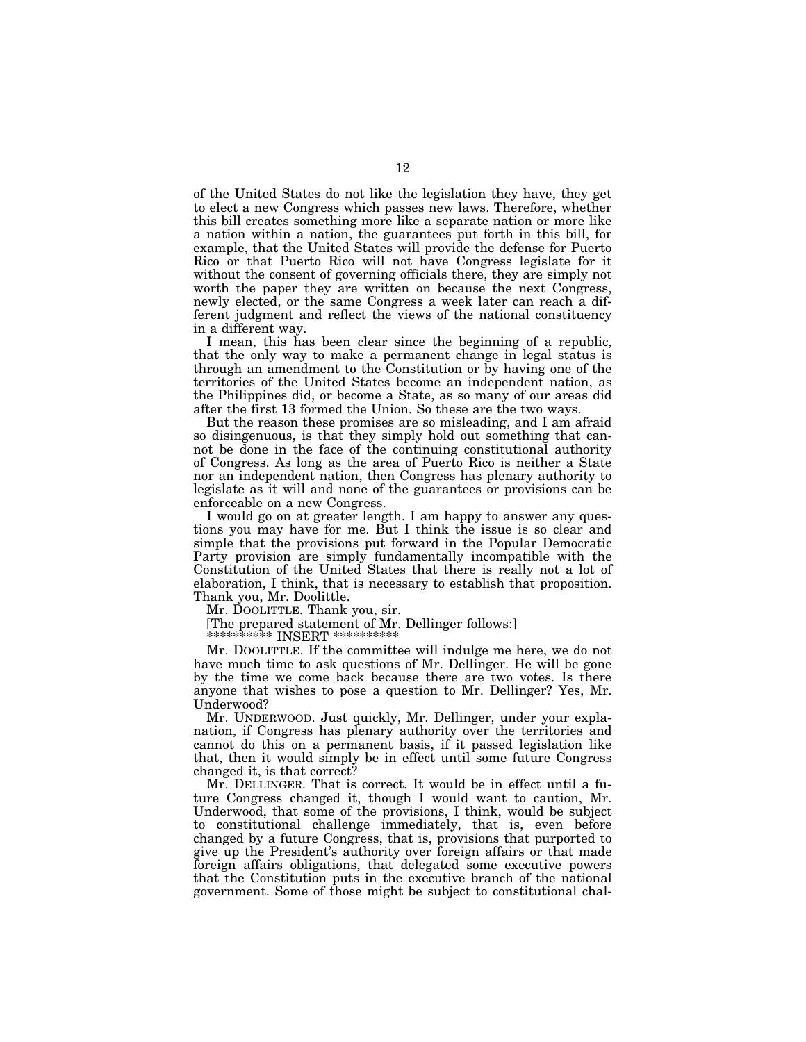of the United States do not like the legislation they have, they get to elect a new Congress which passes new laws. Therefore, whether this bill creates something more like a separate nation or more like a nation within a nation, the guarantees put forth in this bill, for example, that the United States will provide the defense for Puerto Rico or that Puerto Rico will not have Congress legislate for it without the consent of governing officials there, they are simply not worth the paper they are written on because the next Congress, newly elected, or the same Congress a week later can reach a different judgment and reflect the views of the national constituency in a different way.

I mean, this has been clear since the beginning of a republic, that the only way to make a permanent change in legal status is through an amendment to the Constitution or by having one of the territories of the United States become an independent nation, as the Philippines did, or become a State, as so many of our areas did after the first 13 formed the Union. So these are the two ways.

But the reason these promises are so misleading, and I am afraid so disingenuous, is that they simply hold out something that cannot be done in the face of the continuing constitutional authority of Congress. As long as the area of Puerto Rico is neither a State nor an independent nation, then Congress has plenary authority to legislate as it will and none of the guarantees or provisions can be enforceable on a new Congress.

I would go on at greater length. I am happy to answer any questions you may have for me. But I think the issue is so clear and simple that the provisions put forward in the Popular Democratic Party provision are simply fundamentally incompatible with the Constitution of the United States that there is really not a lot of elaboration, I think, that is necessary to establish that proposition. Thank you, Mr. Doolittle.

Mr. DOOLITTLE. Thank you, sir.

[The prepared statement of Mr. Dellinger follows:]

\*\*\*\*\* INSERT \*\*\*\*\*\*

Mr. DOOLITTLE. If the committee will indulge me here, we do not have much time to ask questions of Mr. Dellinger. He will be gone by the time we come back because there are two votes. Is there anyone that wishes to pose a question to Mr. Dellinger? Yes, Mr. Underwood?

Mr. UNDERWOOD. Just quickly, Mr. Dellinger, under your explanation, if Congress has plenary authority over the territories and cannot do this on a permanent basis, if it passed legislation like that, then it would simply be in effect until some future Congress changed it, is that correct?

Mr. DELLINGER. That is correct. It would be in effect until a future Congress changed it, though I would want to caution, Mr. Underwood, that some of the provisions, I think, would be subject to constitutional challenge immediately, that is, even before changed by a future Congress, that is, provisions that purported to give up the President's authority over foreign affairs or that made foreign affairs obligations, that delegated some executive powers that the Constitution puts in the executive branch of the national government. Some of those might be subject to constitutional chal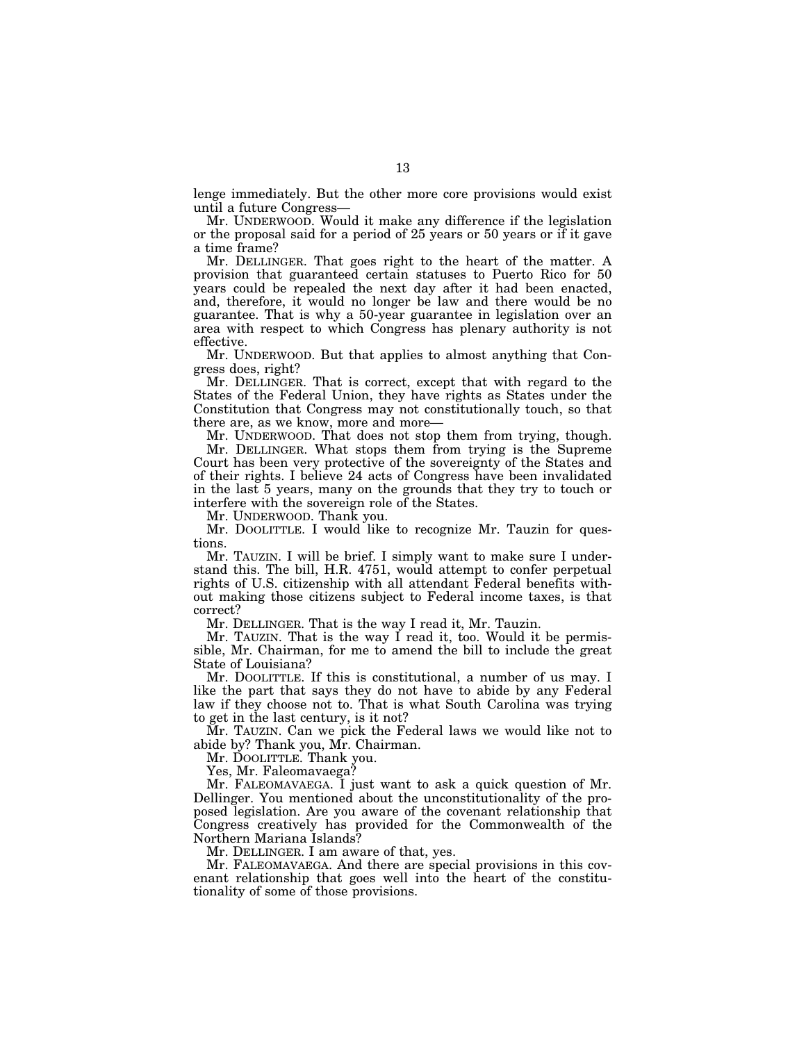lenge immediately. But the other more core provisions would exist until a future Congress—

Mr. UNDERWOOD. Would it make any difference if the legislation or the proposal said for a period of 25 years or 50 years or if it gave a time frame?

Mr. DELLINGER. That goes right to the heart of the matter. A provision that guaranteed certain statuses to Puerto Rico for 50 years could be repealed the next day after it had been enacted, and, therefore, it would no longer be law and there would be no guarantee. That is why a 50-year guarantee in legislation over an area with respect to which Congress has plenary authority is not effective.

Mr. UNDERWOOD. But that applies to almost anything that Congress does, right?

Mr. DELLINGER. That is correct, except that with regard to the States of the Federal Union, they have rights as States under the Constitution that Congress may not constitutionally touch, so that there are, as we know, more and more—

Mr. UNDERWOOD. That does not stop them from trying, though.

Mr. DELLINGER. What stops them from trying is the Supreme Court has been very protective of the sovereignty of the States and of their rights. I believe 24 acts of Congress have been invalidated in the last 5 years, many on the grounds that they try to touch or interfere with the sovereign role of the States.

Mr. UNDERWOOD. Thank you.

Mr. DOOLITTLE. I would like to recognize Mr. Tauzin for questions.

Mr. TAUZIN. I will be brief. I simply want to make sure I understand this. The bill, H.R. 4751, would attempt to confer perpetual rights of U.S. citizenship with all attendant Federal benefits without making those citizens subject to Federal income taxes, is that correct?

Mr. DELLINGER. That is the way I read it, Mr. Tauzin.

Mr. TAUZIN. That is the way I read it, too. Would it be permissible, Mr. Chairman, for me to amend the bill to include the great State of Louisiana?

Mr. DOOLITTLE. If this is constitutional, a number of us may. I like the part that says they do not have to abide by any Federal law if they choose not to. That is what South Carolina was trying to get in the last century, is it not?

Mr. TAUZIN. Can we pick the Federal laws we would like not to abide by? Thank you, Mr. Chairman.

Mr. DOOLITTLE. Thank you.

Yes, Mr. Faleomavaega?

Mr. FALEOMAVAEGA. I just want to ask a quick question of Mr. Dellinger. You mentioned about the unconstitutionality of the proposed legislation. Are you aware of the covenant relationship that Congress creatively has provided for the Commonwealth of the Northern Mariana Islands?

Mr. DELLINGER. I am aware of that, yes.

Mr. FALEOMAVAEGA. And there are special provisions in this covenant relationship that goes well into the heart of the constitutionality of some of those provisions.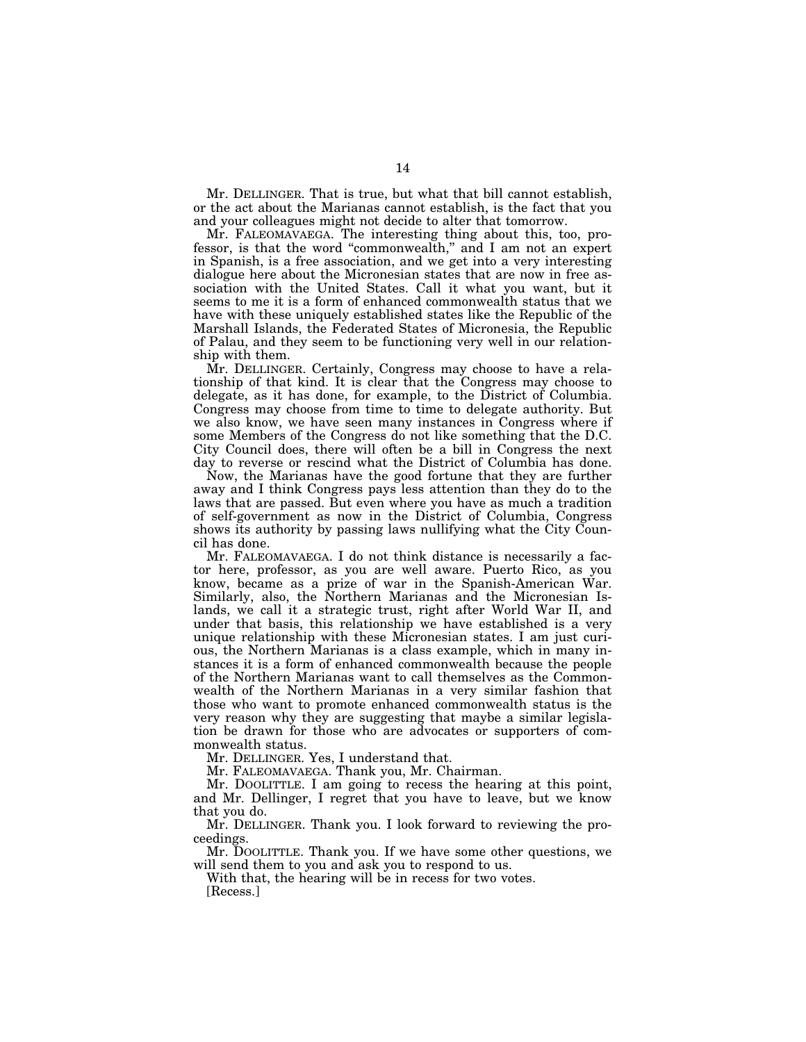Mr. DELLINGER. That is true, but what that bill cannot establish, or the act about the Marianas cannot establish, is the fact that you and your colleagues might not decide to alter that tomorrow.

Mr. FALEOMAVAEGA. The interesting thing about this, too, professor, is that the word "commonwealth," and I am not an expert in Spanish, is a free association, and we get into a very interesting dialogue here about the Micronesian states that are now in free association with the United States. Call it what you want, but it seems to me it is a form of enhanced commonwealth status that we have with these uniquely established states like the Republic of the Marshall Islands, the Federated States of Micronesia, the Republic of Palau, and they seem to be functioning very well in our relationship with them.

Mr. DELLINGER. Certainly, Congress may choose to have a relationship of that kind. It is clear that the Congress may choose to delegate, as it has done, for example, to the District of Columbia. Congress may choose from time to time to delegate authority. But we also know, we have seen many instances in Congress where if some Members of the Congress do not like something that the D.C. City Council does, there will often be a bill in Congress the next day to reverse or rescind what the District of Columbia has done.

Now, the Marianas have the good fortune that they are further away and I think Congress pays less attention than they do to the laws that are passed. But even where you have as much a tradition of self-government as now in the District of Columbia, Congress shows its authority by passing laws nullifying what the City Council has done.

Mr. FALEOMAVAEGA. I do not think distance is necessarily a factor here, professor, as you are well aware. Puerto Rico, as you know, became as a prize of war in the Spanish-American War. Similarly, also, the Northern Marianas and the Micronesian Islands, we call it a strategic trust, right after World War II, and under that basis, this relationship we have established is a very unique relationship with these Micronesian states. I am just curious, the Northern Marianas is a class example, which in many instances it is a form of enhanced commonwealth because the people of the Northern Marianas want to call themselves as the Commonwealth of the Northern Marianas in a very similar fashion that those who want to promote enhanced commonwealth status is the very reason why they are suggesting that maybe a similar legislation be drawn for those who are advocates or supporters of commonwealth status.

Mr. DELLINGER. Yes, I understand that.

Mr. FALEOMAVAEGA. Thank you, Mr. Chairman.

Mr. DOOLITTLE. I am going to recess the hearing at this point, and Mr. Dellinger, I regret that you have to leave, but we know that you do.

Mr. DELLINGER. Thank you. I look forward to reviewing the proceedings.

Mr. DOOLITTLE. Thank you. If we have some other questions, we will send them to you and ask you to respond to us.

With that, the hearing will be in recess for two votes. [Recess.]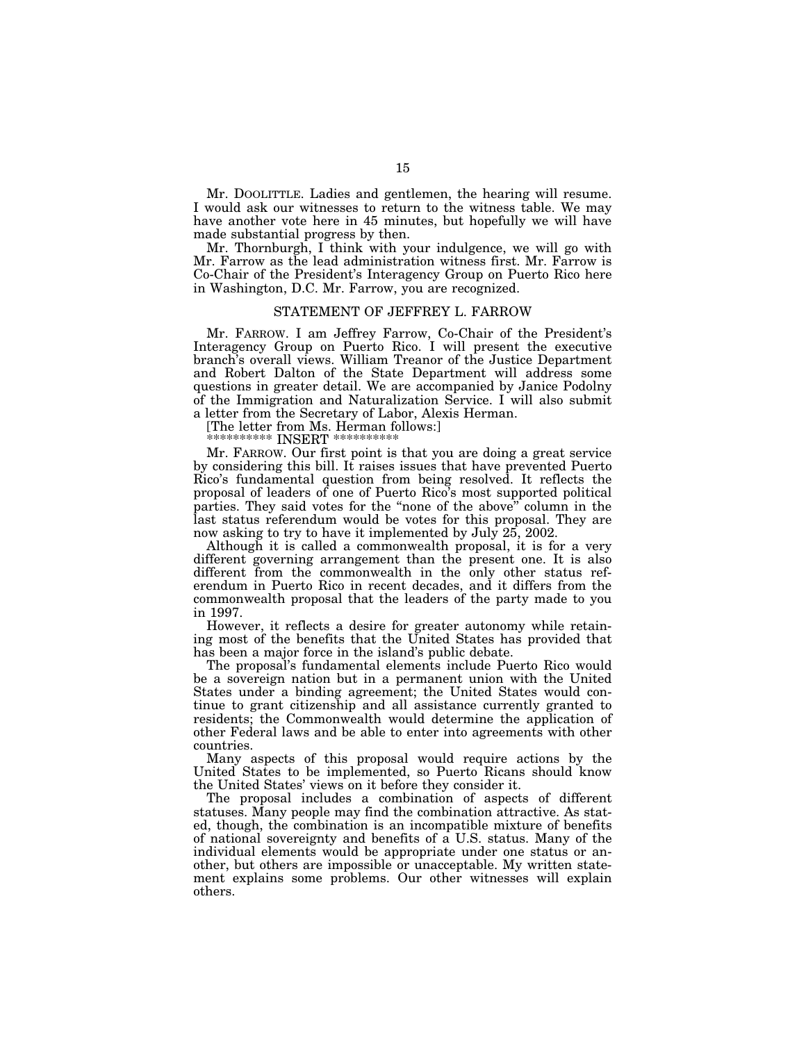Mr. DOOLITTLE. Ladies and gentlemen, the hearing will resume. I would ask our witnesses to return to the witness table. We may have another vote here in 45 minutes, but hopefully we will have made substantial progress by then.

Mr. Thornburgh, I think with your indulgence, we will go with Mr. Farrow as the lead administration witness first. Mr. Farrow is Co-Chair of the President's Interagency Group on Puerto Rico here in Washington, D.C. Mr. Farrow, you are recognized.

#### STATEMENT OF JEFFREY L. FARROW

Mr. FARROW. I am Jeffrey Farrow, Co-Chair of the President's Interagency Group on Puerto Rico. I will present the executive branch's overall views. William Treanor of the Justice Department and Robert Dalton of the State Department will address some questions in greater detail. We are accompanied by Janice Podolny of the Immigration and Naturalization Service. I will also submit a letter from the Secretary of Labor, Alexis Herman.

[The letter from Ms. Herman follows:]

\*\*\*\*\*\*\*\*\*\* INSERT \*\*\*\*\*\*\*\*\*\*

Mr. FARROW. Our first point is that you are doing a great service by considering this bill. It raises issues that have prevented Puerto Rico's fundamental question from being resolved. It reflects the proposal of leaders of one of Puerto Rico's most supported political parties. They said votes for the ''none of the above'' column in the last status referendum would be votes for this proposal. They are now asking to try to have it implemented by July 25, 2002.

Although it is called a commonwealth proposal, it is for a very different governing arrangement than the present one. It is also different from the commonwealth in the only other status referendum in Puerto Rico in recent decades, and it differs from the commonwealth proposal that the leaders of the party made to you in 1997.

However, it reflects a desire for greater autonomy while retaining most of the benefits that the United States has provided that has been a major force in the island's public debate.

The proposal's fundamental elements include Puerto Rico would be a sovereign nation but in a permanent union with the United States under a binding agreement; the United States would continue to grant citizenship and all assistance currently granted to residents; the Commonwealth would determine the application of other Federal laws and be able to enter into agreements with other countries.

Many aspects of this proposal would require actions by the United States to be implemented, so Puerto Ricans should know the United States' views on it before they consider it.

The proposal includes a combination of aspects of different statuses. Many people may find the combination attractive. As stated, though, the combination is an incompatible mixture of benefits of national sovereignty and benefits of a U.S. status. Many of the individual elements would be appropriate under one status or another, but others are impossible or unacceptable. My written statement explains some problems. Our other witnesses will explain others.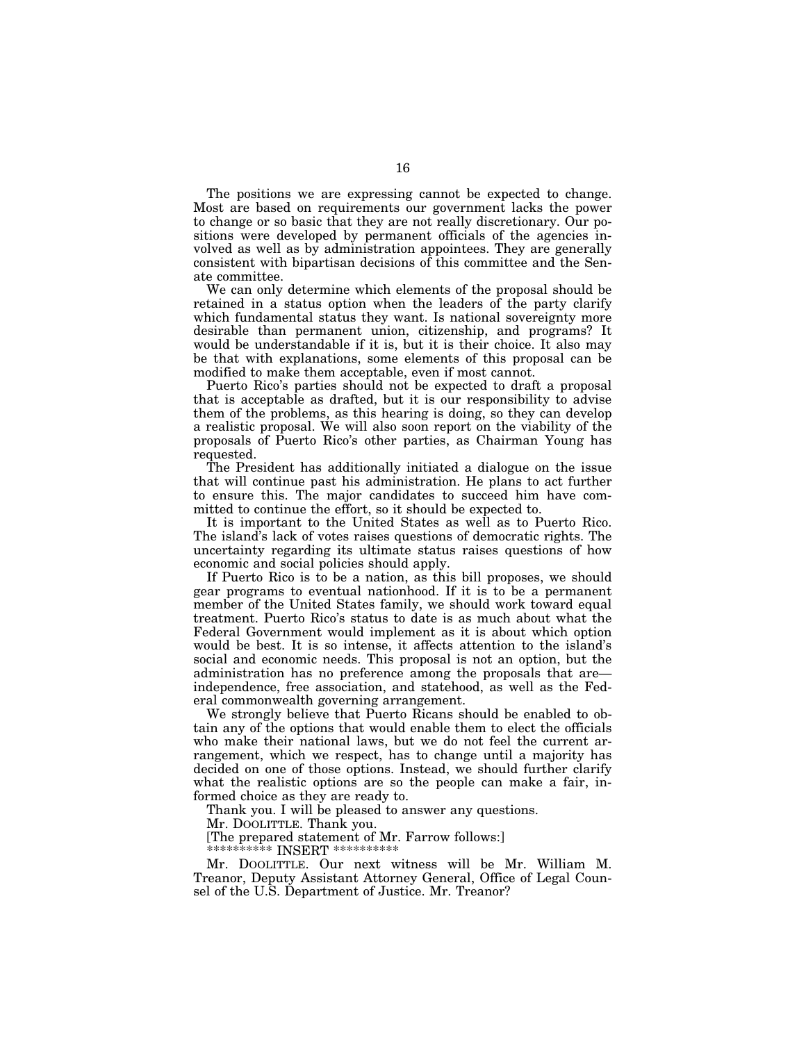The positions we are expressing cannot be expected to change. Most are based on requirements our government lacks the power to change or so basic that they are not really discretionary. Our positions were developed by permanent officials of the agencies involved as well as by administration appointees. They are generally consistent with bipartisan decisions of this committee and the Senate committee.

We can only determine which elements of the proposal should be retained in a status option when the leaders of the party clarify which fundamental status they want. Is national sovereignty more desirable than permanent union, citizenship, and programs? It would be understandable if it is, but it is their choice. It also may be that with explanations, some elements of this proposal can be modified to make them acceptable, even if most cannot.

Puerto Rico's parties should not be expected to draft a proposal that is acceptable as drafted, but it is our responsibility to advise them of the problems, as this hearing is doing, so they can develop a realistic proposal. We will also soon report on the viability of the proposals of Puerto Rico's other parties, as Chairman Young has requested.

The President has additionally initiated a dialogue on the issue that will continue past his administration. He plans to act further to ensure this. The major candidates to succeed him have committed to continue the effort, so it should be expected to.

It is important to the United States as well as to Puerto Rico. The island's lack of votes raises questions of democratic rights. The uncertainty regarding its ultimate status raises questions of how economic and social policies should apply.

If Puerto Rico is to be a nation, as this bill proposes, we should gear programs to eventual nationhood. If it is to be a permanent member of the United States family, we should work toward equal treatment. Puerto Rico's status to date is as much about what the Federal Government would implement as it is about which option would be best. It is so intense, it affects attention to the island's social and economic needs. This proposal is not an option, but the administration has no preference among the proposals that are independence, free association, and statehood, as well as the Federal commonwealth governing arrangement.

We strongly believe that Puerto Ricans should be enabled to obtain any of the options that would enable them to elect the officials who make their national laws, but we do not feel the current arrangement, which we respect, has to change until a majority has decided on one of those options. Instead, we should further clarify what the realistic options are so the people can make a fair, informed choice as they are ready to.

Thank you. I will be pleased to answer any questions.

Mr. DOOLITTLE. Thank you.

[The prepared statement of Mr. Farrow follows:]

\*\*\*\*\*\*\*\*\*\* INSERT \*\*\*\*\*\*\*\*\*\*

Mr. DOOLITTLE. Our next witness will be Mr. William M. Treanor, Deputy Assistant Attorney General, Office of Legal Counsel of the U.S. Department of Justice. Mr. Treanor?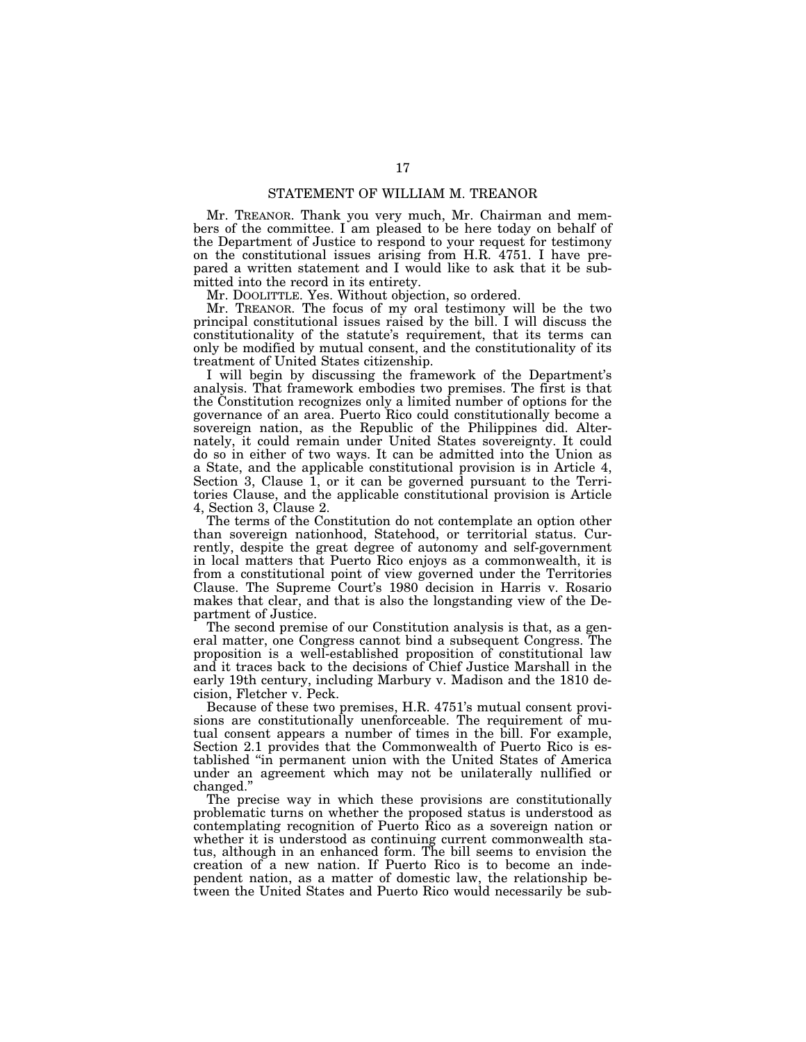# STATEMENT OF WILLIAM M. TREANOR

Mr. TREANOR. Thank you very much, Mr. Chairman and members of the committee. I am pleased to be here today on behalf of the Department of Justice to respond to your request for testimony on the constitutional issues arising from H.R. 4751. I have prepared a written statement and I would like to ask that it be submitted into the record in its entirety.

Mr. DOOLITTLE. Yes. Without objection, so ordered.

Mr. TREANOR. The focus of my oral testimony will be the two principal constitutional issues raised by the bill. I will discuss the constitutionality of the statute's requirement, that its terms can only be modified by mutual consent, and the constitutionality of its treatment of United States citizenship.

I will begin by discussing the framework of the Department's analysis. That framework embodies two premises. The first is that the Constitution recognizes only a limited number of options for the governance of an area. Puerto Rico could constitutionally become a sovereign nation, as the Republic of the Philippines did. Alternately, it could remain under United States sovereignty. It could do so in either of two ways. It can be admitted into the Union as a State, and the applicable constitutional provision is in Article 4, Section 3, Clause 1, or it can be governed pursuant to the Territories Clause, and the applicable constitutional provision is Article 4, Section 3, Clause 2.

The terms of the Constitution do not contemplate an option other than sovereign nationhood, Statehood, or territorial status. Currently, despite the great degree of autonomy and self-government in local matters that Puerto Rico enjoys as a commonwealth, it is from a constitutional point of view governed under the Territories Clause. The Supreme Court's 1980 decision in Harris v. Rosario makes that clear, and that is also the longstanding view of the Department of Justice.

The second premise of our Constitution analysis is that, as a general matter, one Congress cannot bind a subsequent Congress. The proposition is a well-established proposition of constitutional law and it traces back to the decisions of Chief Justice Marshall in the early 19th century, including Marbury v. Madison and the 1810 decision, Fletcher v. Peck.

Because of these two premises, H.R. 4751's mutual consent provisions are constitutionally unenforceable. The requirement of mutual consent appears a number of times in the bill. For example, Section 2.1 provides that the Commonwealth of Puerto Rico is established ''in permanent union with the United States of America under an agreement which may not be unilaterally nullified or changed.''

The precise way in which these provisions are constitutionally problematic turns on whether the proposed status is understood as contemplating recognition of Puerto Rico as a sovereign nation or whether it is understood as continuing current commonwealth status, although in an enhanced form. The bill seems to envision the creation of a new nation. If Puerto Rico is to become an independent nation, as a matter of domestic law, the relationship between the United States and Puerto Rico would necessarily be sub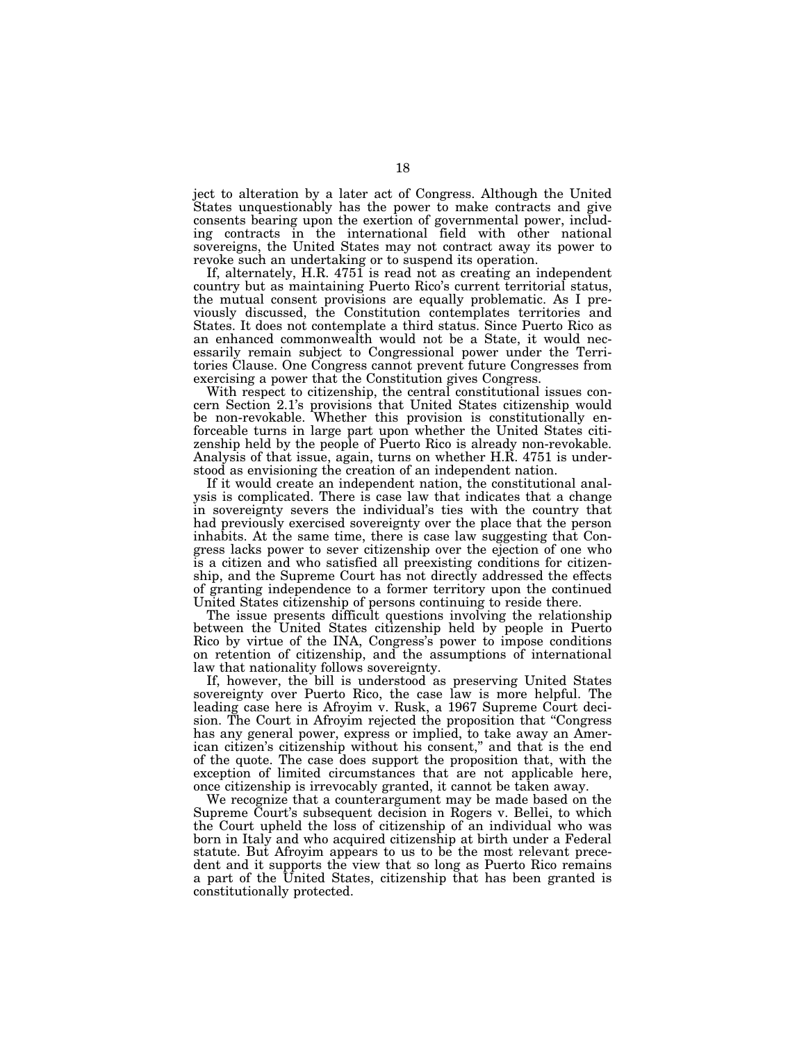ject to alteration by a later act of Congress. Although the United States unquestionably has the power to make contracts and give consents bearing upon the exertion of governmental power, including contracts in the international field with other national sovereigns, the United States may not contract away its power to revoke such an undertaking or to suspend its operation.

If, alternately, H.R. 4751 is read not as creating an independent country but as maintaining Puerto Rico's current territorial status, the mutual consent provisions are equally problematic. As I previously discussed, the Constitution contemplates territories and States. It does not contemplate a third status. Since Puerto Rico as an enhanced commonwealth would not be a State, it would necessarily remain subject to Congressional power under the Territories Clause. One Congress cannot prevent future Congresses from exercising a power that the Constitution gives Congress.

With respect to citizenship, the central constitutional issues concern Section 2.1's provisions that United States citizenship would be non-revokable. Whether this provision is constitutionally enforceable turns in large part upon whether the United States citizenship held by the people of Puerto Rico is already non-revokable. Analysis of that issue, again, turns on whether H.R. 4751 is understood as envisioning the creation of an independent nation.

If it would create an independent nation, the constitutional analysis is complicated. There is case law that indicates that a change in sovereignty severs the individual's ties with the country that had previously exercised sovereignty over the place that the person inhabits. At the same time, there is case law suggesting that Congress lacks power to sever citizenship over the ejection of one who is a citizen and who satisfied all preexisting conditions for citizenship, and the Supreme Court has not directly addressed the effects of granting independence to a former territory upon the continued United States citizenship of persons continuing to reside there.

The issue presents difficult questions involving the relationship between the United States citizenship held by people in Puerto Rico by virtue of the INA, Congress's power to impose conditions on retention of citizenship, and the assumptions of international law that nationality follows sovereignty.

If, however, the bill is understood as preserving United States sovereignty over Puerto Rico, the case law is more helpful. The leading case here is Afroyim v. Rusk, a 1967 Supreme Court decision. The Court in Afroyim rejected the proposition that ''Congress has any general power, express or implied, to take away an American citizen's citizenship without his consent,'' and that is the end of the quote. The case does support the proposition that, with the exception of limited circumstances that are not applicable here, once citizenship is irrevocably granted, it cannot be taken away.

We recognize that a counterargument may be made based on the Supreme Court's subsequent decision in Rogers v. Bellei, to which the Court upheld the loss of citizenship of an individual who was born in Italy and who acquired citizenship at birth under a Federal statute. But Afroyim appears to us to be the most relevant precedent and it supports the view that so long as Puerto Rico remains a part of the United States, citizenship that has been granted is constitutionally protected.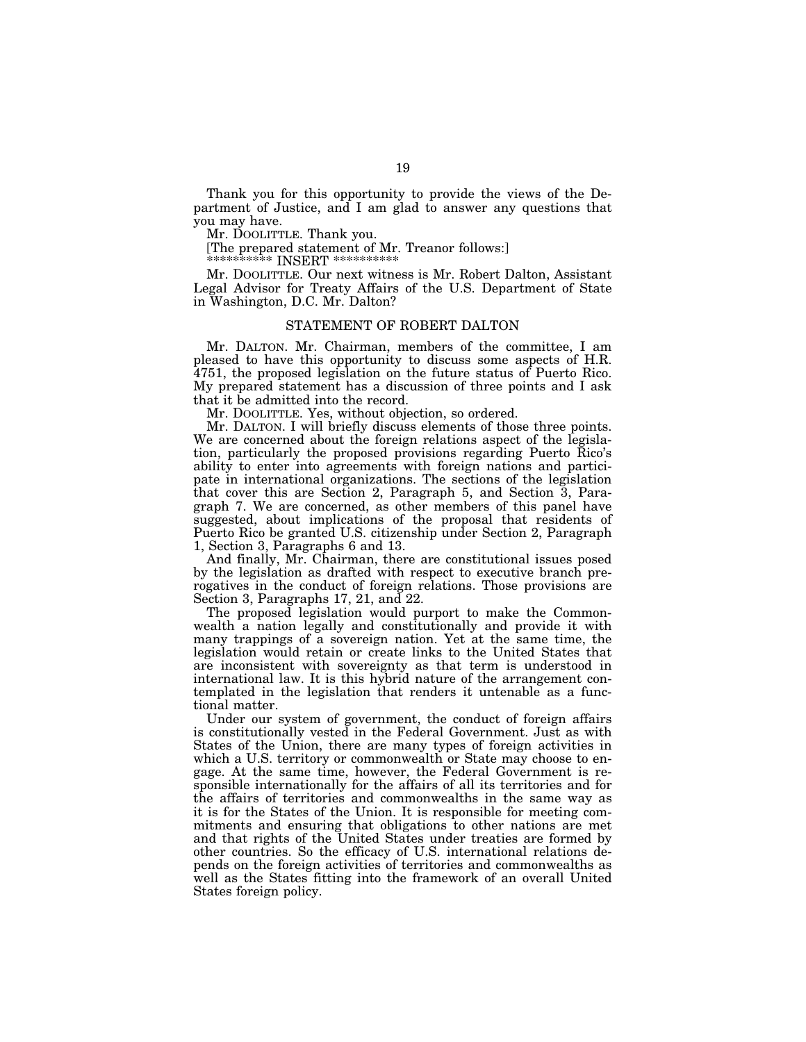Thank you for this opportunity to provide the views of the Department of Justice, and I am glad to answer any questions that you may have.

Mr. DOOLITTLE. Thank you.

[The prepared statement of Mr. Treanor follows:]

\*\*\*\*\*\*\*\*\*\*\* INSERT \*\*\*\*\*\*\*\*\*\*\*

Mr. DOOLITTLE. Our next witness is Mr. Robert Dalton, Assistant Legal Advisor for Treaty Affairs of the U.S. Department of State in Washington, D.C. Mr. Dalton?

# STATEMENT OF ROBERT DALTON

Mr. DALTON. Mr. Chairman, members of the committee, I am pleased to have this opportunity to discuss some aspects of H.R. 4751, the proposed legislation on the future status of Puerto Rico. My prepared statement has a discussion of three points and I ask that it be admitted into the record.

Mr. DOOLITTLE. Yes, without objection, so ordered.

Mr. DALTON. I will briefly discuss elements of those three points. We are concerned about the foreign relations aspect of the legislation, particularly the proposed provisions regarding Puerto Rico's ability to enter into agreements with foreign nations and participate in international organizations. The sections of the legislation that cover this are Section 2, Paragraph 5, and Section 3, Paragraph 7. We are concerned, as other members of this panel have suggested, about implications of the proposal that residents of Puerto Rico be granted U.S. citizenship under Section 2, Paragraph 1, Section 3, Paragraphs 6 and 13.

And finally, Mr. Chairman, there are constitutional issues posed by the legislation as drafted with respect to executive branch prerogatives in the conduct of foreign relations. Those provisions are Section 3, Paragraphs 17, 21, and 22.

The proposed legislation would purport to make the Commonwealth a nation legally and constitutionally and provide it with many trappings of a sovereign nation. Yet at the same time, the legislation would retain or create links to the United States that are inconsistent with sovereignty as that term is understood in international law. It is this hybrid nature of the arrangement contemplated in the legislation that renders it untenable as a functional matter.

Under our system of government, the conduct of foreign affairs is constitutionally vested in the Federal Government. Just as with States of the Union, there are many types of foreign activities in which a U.S. territory or commonwealth or State may choose to engage. At the same time, however, the Federal Government is responsible internationally for the affairs of all its territories and for the affairs of territories and commonwealths in the same way as it is for the States of the Union. It is responsible for meeting commitments and ensuring that obligations to other nations are met and that rights of the United States under treaties are formed by other countries. So the efficacy of U.S. international relations depends on the foreign activities of territories and commonwealths as well as the States fitting into the framework of an overall United States foreign policy.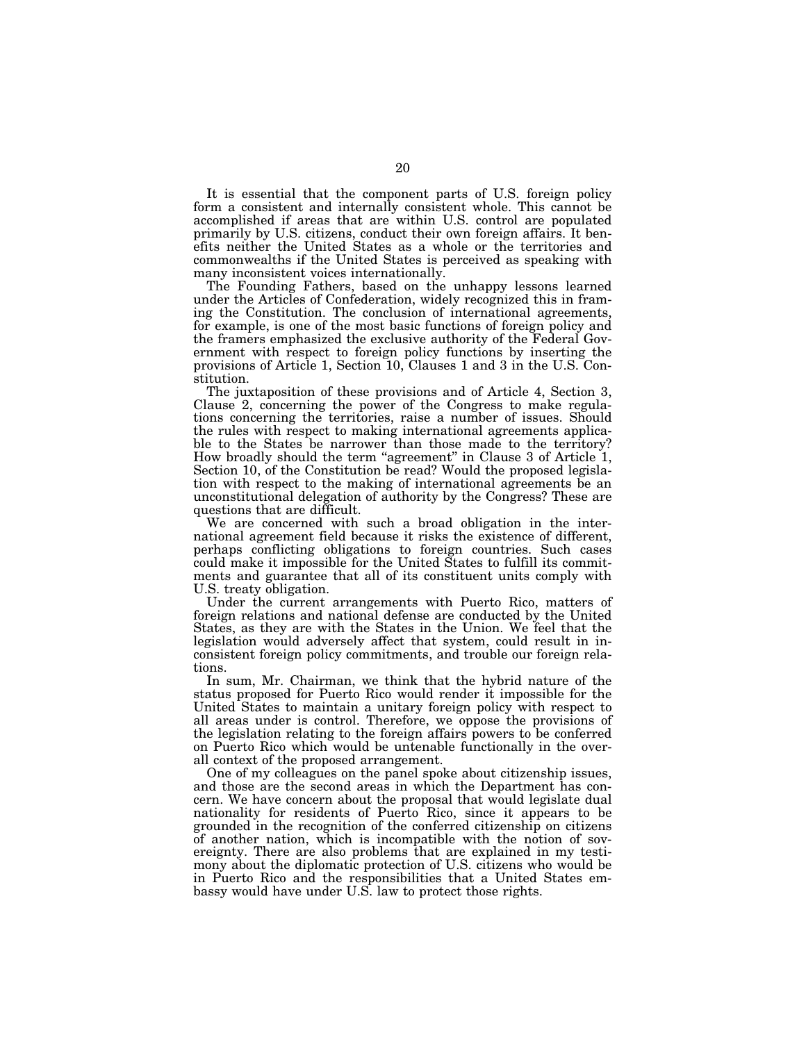It is essential that the component parts of U.S. foreign policy form a consistent and internally consistent whole. This cannot be accomplished if areas that are within U.S. control are populated primarily by U.S. citizens, conduct their own foreign affairs. It benefits neither the United States as a whole or the territories and commonwealths if the United States is perceived as speaking with many inconsistent voices internationally.

The Founding Fathers, based on the unhappy lessons learned under the Articles of Confederation, widely recognized this in framing the Constitution. The conclusion of international agreements, for example, is one of the most basic functions of foreign policy and the framers emphasized the exclusive authority of the Federal Government with respect to foreign policy functions by inserting the provisions of Article 1, Section 10, Clauses 1 and 3 in the U.S. Constitution.

The juxtaposition of these provisions and of Article 4, Section 3, Clause 2, concerning the power of the Congress to make regulations concerning the territories, raise a number of issues. Should the rules with respect to making international agreements applicable to the States be narrower than those made to the territory? How broadly should the term "agreement" in Clause 3 of Article 1, Section 10, of the Constitution be read? Would the proposed legislation with respect to the making of international agreements be an unconstitutional delegation of authority by the Congress? These are questions that are difficult.

We are concerned with such a broad obligation in the international agreement field because it risks the existence of different, perhaps conflicting obligations to foreign countries. Such cases could make it impossible for the United States to fulfill its commitments and guarantee that all of its constituent units comply with U.S. treaty obligation.

Under the current arrangements with Puerto Rico, matters of foreign relations and national defense are conducted by the United States, as they are with the States in the Union. We feel that the legislation would adversely affect that system, could result in inconsistent foreign policy commitments, and trouble our foreign relations.

In sum, Mr. Chairman, we think that the hybrid nature of the status proposed for Puerto Rico would render it impossible for the United States to maintain a unitary foreign policy with respect to all areas under is control. Therefore, we oppose the provisions of the legislation relating to the foreign affairs powers to be conferred on Puerto Rico which would be untenable functionally in the overall context of the proposed arrangement.

One of my colleagues on the panel spoke about citizenship issues, and those are the second areas in which the Department has concern. We have concern about the proposal that would legislate dual nationality for residents of Puerto Rico, since it appears to be grounded in the recognition of the conferred citizenship on citizens of another nation, which is incompatible with the notion of sovereignty. There are also problems that are explained in my testimony about the diplomatic protection of U.S. citizens who would be in Puerto Rico and the responsibilities that a United States embassy would have under U.S. law to protect those rights.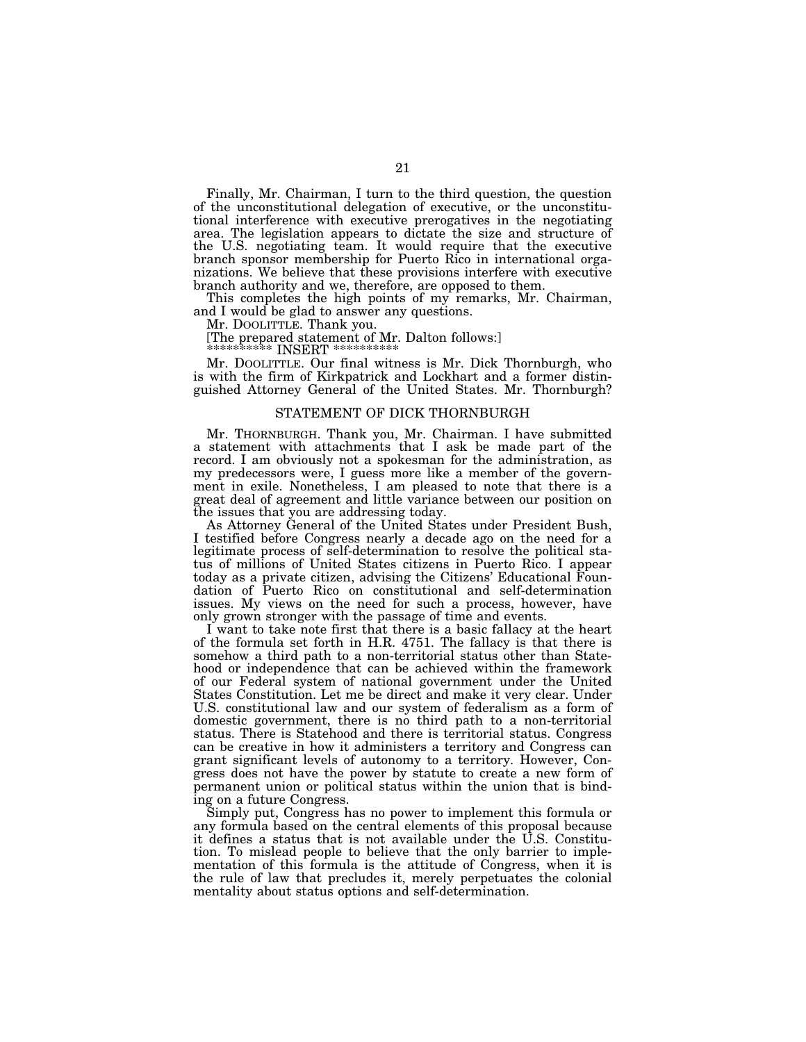Finally, Mr. Chairman, I turn to the third question, the question of the unconstitutional delegation of executive, or the unconstitutional interference with executive prerogatives in the negotiating area. The legislation appears to dictate the size and structure of the U.S. negotiating team. It would require that the executive branch sponsor membership for Puerto Rico in international organizations. We believe that these provisions interfere with executive branch authority and we, therefore, are opposed to them.

This completes the high points of my remarks, Mr. Chairman, and I would be glad to answer any questions.

Mr. DOOLITTLE. Thank you.

[The prepared statement of Mr. Dalton follows:]

 $^{**}$  INSERT  $^{**}$ 

Mr. DOOLITTLE. Our final witness is Mr. Dick Thornburgh, who is with the firm of Kirkpatrick and Lockhart and a former distinguished Attorney General of the United States. Mr. Thornburgh?

# STATEMENT OF DICK THORNBURGH

Mr. THORNBURGH. Thank you, Mr. Chairman. I have submitted a statement with attachments that I ask be made part of the record. I am obviously not a spokesman for the administration, as my predecessors were, I guess more like a member of the government in exile. Nonetheless, I am pleased to note that there is a great deal of agreement and little variance between our position on the issues that you are addressing today.

As Attorney General of the United States under President Bush, I testified before Congress nearly a decade ago on the need for a legitimate process of self-determination to resolve the political status of millions of United States citizens in Puerto Rico. I appear today as a private citizen, advising the Citizens' Educational Foundation of Puerto Rico on constitutional and self-determination issues. My views on the need for such a process, however, have only grown stronger with the passage of time and events.

I want to take note first that there is a basic fallacy at the heart of the formula set forth in H.R. 4751. The fallacy is that there is somehow a third path to a non-territorial status other than Statehood or independence that can be achieved within the framework of our Federal system of national government under the United States Constitution. Let me be direct and make it very clear. Under U.S. constitutional law and our system of federalism as a form of domestic government, there is no third path to a non-territorial status. There is Statehood and there is territorial status. Congress can be creative in how it administers a territory and Congress can grant significant levels of autonomy to a territory. However, Congress does not have the power by statute to create a new form of permanent union or political status within the union that is binding on a future Congress.

Simply put, Congress has no power to implement this formula or any formula based on the central elements of this proposal because it defines a status that is not available under the U.S. Constitution. To mislead people to believe that the only barrier to implementation of this formula is the attitude of Congress, when it is the rule of law that precludes it, merely perpetuates the colonial mentality about status options and self-determination.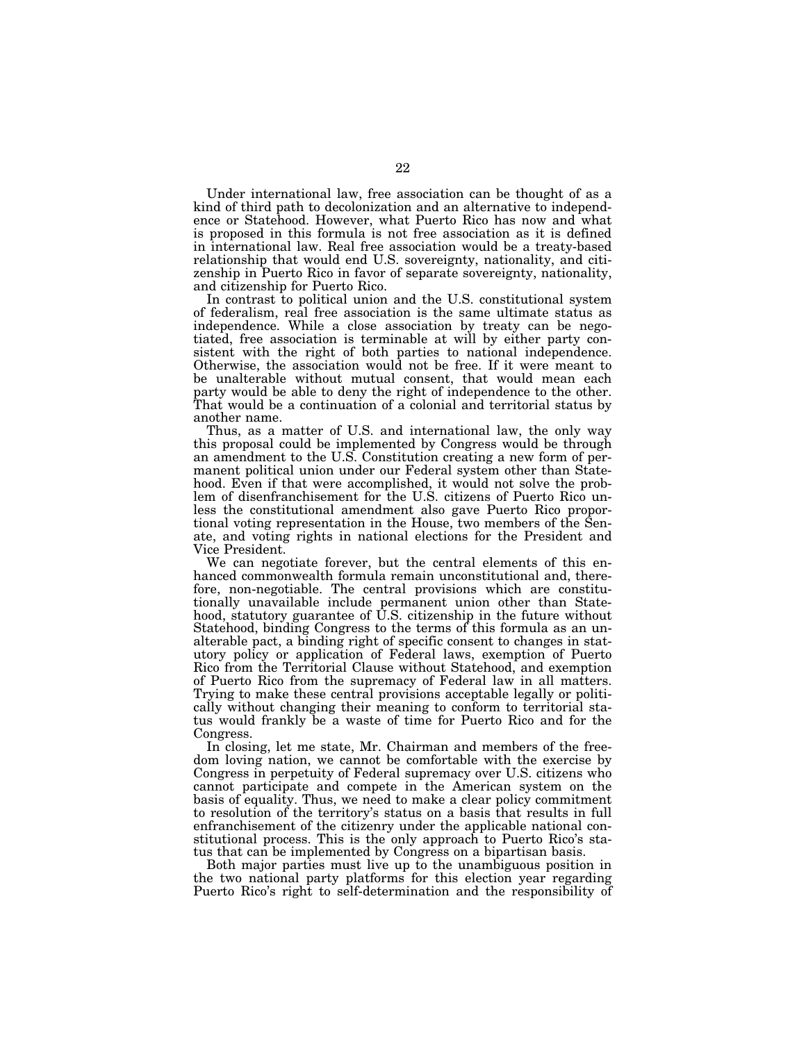Under international law, free association can be thought of as a kind of third path to decolonization and an alternative to independence or Statehood. However, what Puerto Rico has now and what is proposed in this formula is not free association as it is defined in international law. Real free association would be a treaty-based relationship that would end U.S. sovereignty, nationality, and citizenship in Puerto Rico in favor of separate sovereignty, nationality, and citizenship for Puerto Rico.

In contrast to political union and the U.S. constitutional system of federalism, real free association is the same ultimate status as independence. While a close association by treaty can be negotiated, free association is terminable at will by either party consistent with the right of both parties to national independence. Otherwise, the association would not be free. If it were meant to be unalterable without mutual consent, that would mean each party would be able to deny the right of independence to the other. That would be a continuation of a colonial and territorial status by another name.

Thus, as a matter of U.S. and international law, the only way this proposal could be implemented by Congress would be through an amendment to the U.S. Constitution creating a new form of permanent political union under our Federal system other than Statehood. Even if that were accomplished, it would not solve the problem of disenfranchisement for the U.S. citizens of Puerto Rico unless the constitutional amendment also gave Puerto Rico proportional voting representation in the House, two members of the Senate, and voting rights in national elections for the President and Vice President.

We can negotiate forever, but the central elements of this enhanced commonwealth formula remain unconstitutional and, therefore, non-negotiable. The central provisions which are constitutionally unavailable include permanent union other than Statehood, statutory guarantee of  $\dot{U}$ .S. citizenship in the future without Statehood, binding Congress to the terms of this formula as an unalterable pact, a binding right of specific consent to changes in statutory policy or application of Federal laws, exemption of Puerto Rico from the Territorial Clause without Statehood, and exemption of Puerto Rico from the supremacy of Federal law in all matters. Trying to make these central provisions acceptable legally or politically without changing their meaning to conform to territorial status would frankly be a waste of time for Puerto Rico and for the Congress.

In closing, let me state, Mr. Chairman and members of the freedom loving nation, we cannot be comfortable with the exercise by Congress in perpetuity of Federal supremacy over U.S. citizens who cannot participate and compete in the American system on the basis of equality. Thus, we need to make a clear policy commitment to resolution of the territory's status on a basis that results in full enfranchisement of the citizenry under the applicable national constitutional process. This is the only approach to Puerto Rico's status that can be implemented by Congress on a bipartisan basis.

Both major parties must live up to the unambiguous position in the two national party platforms for this election year regarding Puerto Rico's right to self-determination and the responsibility of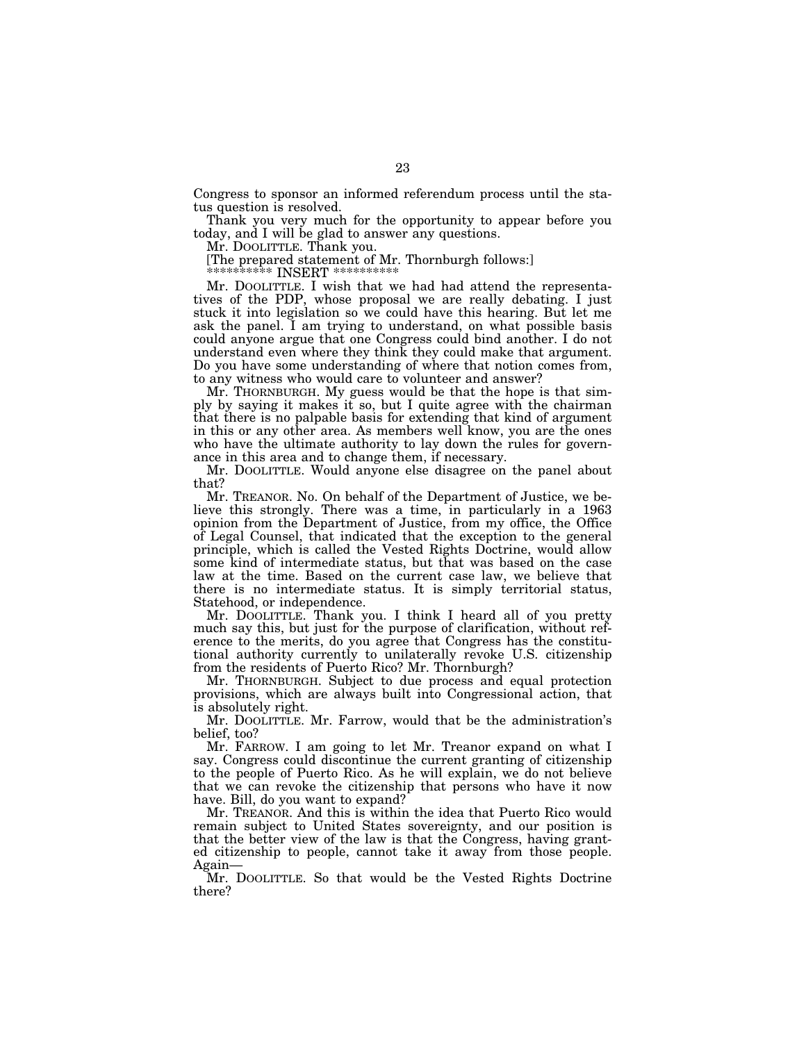Congress to sponsor an informed referendum process until the status question is resolved.

Thank you very much for the opportunity to appear before you today, and I will be glad to answer any questions.

Mr. DOOLITTLE. Thank you.

[The prepared statement of Mr. Thornburgh follows:]

\*\*\*\*\*\*\*\*\*\* INSERT \*\*\*\*\*\*\*\*\*\*

Mr. DOOLITTLE. I wish that we had had attend the representatives of the PDP, whose proposal we are really debating. I just stuck it into legislation so we could have this hearing. But let me ask the panel. I am trying to understand, on what possible basis could anyone argue that one Congress could bind another. I do not understand even where they think they could make that argument. Do you have some understanding of where that notion comes from, to any witness who would care to volunteer and answer?

Mr. THORNBURGH. My guess would be that the hope is that simply by saying it makes it so, but I quite agree with the chairman that there is no palpable basis for extending that kind of argument in this or any other area. As members well know, you are the ones who have the ultimate authority to lay down the rules for governance in this area and to change them, if necessary.

Mr. DOOLITTLE. Would anyone else disagree on the panel about that?

Mr. TREANOR. No. On behalf of the Department of Justice, we believe this strongly. There was a time, in particularly in a 1963 opinion from the Department of Justice, from my office, the Office of Legal Counsel, that indicated that the exception to the general principle, which is called the Vested Rights Doctrine, would allow some kind of intermediate status, but that was based on the case law at the time. Based on the current case law, we believe that there is no intermediate status. It is simply territorial status, Statehood, or independence.

Mr. DOOLITTLE. Thank you. I think I heard all of you pretty much say this, but just for the purpose of clarification, without reference to the merits, do you agree that Congress has the constitutional authority currently to unilaterally revoke U.S. citizenship from the residents of Puerto Rico? Mr. Thornburgh?

Mr. THORNBURGH. Subject to due process and equal protection provisions, which are always built into Congressional action, that is absolutely right.

Mr. DOOLITTLE. Mr. Farrow, would that be the administration's belief, too?

Mr. FARROW. I am going to let Mr. Treanor expand on what I say. Congress could discontinue the current granting of citizenship to the people of Puerto Rico. As he will explain, we do not believe that we can revoke the citizenship that persons who have it now have. Bill, do you want to expand?

Mr. TREANOR. And this is within the idea that Puerto Rico would remain subject to United States sovereignty, and our position is that the better view of the law is that the Congress, having granted citizenship to people, cannot take it away from those people. Again—

Mr. DOOLITTLE. So that would be the Vested Rights Doctrine there?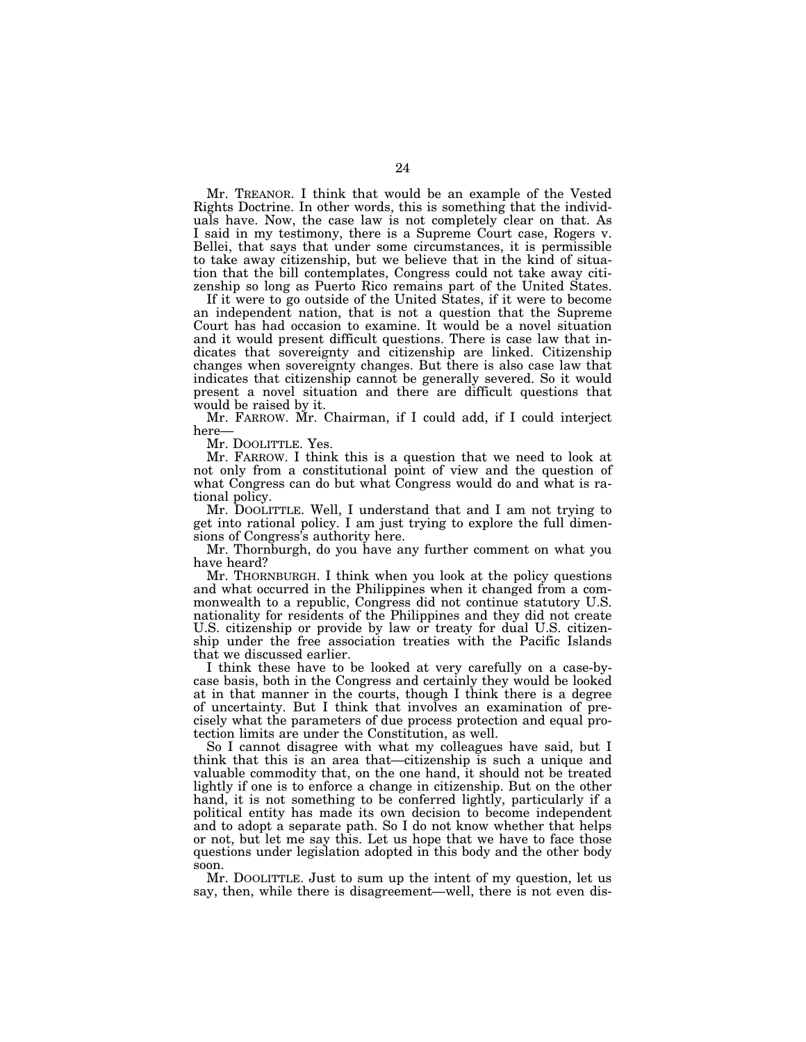Mr. TREANOR. I think that would be an example of the Vested Rights Doctrine. In other words, this is something that the individuals have. Now, the case law is not completely clear on that. As I said in my testimony, there is a Supreme Court case, Rogers v. Bellei, that says that under some circumstances, it is permissible to take away citizenship, but we believe that in the kind of situation that the bill contemplates, Congress could not take away citizenship so long as Puerto Rico remains part of the United States.

If it were to go outside of the United States, if it were to become an independent nation, that is not a question that the Supreme Court has had occasion to examine. It would be a novel situation and it would present difficult questions. There is case law that indicates that sovereignty and citizenship are linked. Citizenship changes when sovereignty changes. But there is also case law that indicates that citizenship cannot be generally severed. So it would present a novel situation and there are difficult questions that would be raised by it.

Mr. FARROW. Mr. Chairman, if I could add, if I could interject here—<br>Mr. DOOLITTLE. Yes.

Mr. FARROW. I think this is a question that we need to look at not only from a constitutional point of view and the question of what Congress can do but what Congress would do and what is rational policy.

Mr. DOOLITTLE. Well, I understand that and I am not trying to get into rational policy. I am just trying to explore the full dimensions of Congress's authority here.

Mr. Thornburgh, do you have any further comment on what you have heard?

Mr. THORNBURGH. I think when you look at the policy questions and what occurred in the Philippines when it changed from a commonwealth to a republic, Congress did not continue statutory U.S. nationality for residents of the Philippines and they did not create U.S. citizenship or provide by law or treaty for dual U.S. citizenship under the free association treaties with the Pacific Islands that we discussed earlier.

I think these have to be looked at very carefully on a case-bycase basis, both in the Congress and certainly they would be looked at in that manner in the courts, though I think there is a degree of uncertainty. But I think that involves an examination of precisely what the parameters of due process protection and equal protection limits are under the Constitution, as well.

So I cannot disagree with what my colleagues have said, but I think that this is an area that—citizenship is such a unique and valuable commodity that, on the one hand, it should not be treated lightly if one is to enforce a change in citizenship. But on the other hand, it is not something to be conferred lightly, particularly if a political entity has made its own decision to become independent and to adopt a separate path. So I do not know whether that helps or not, but let me say this. Let us hope that we have to face those questions under legislation adopted in this body and the other body soon.

Mr. DOOLITTLE. Just to sum up the intent of my question, let us say, then, while there is disagreement—well, there is not even dis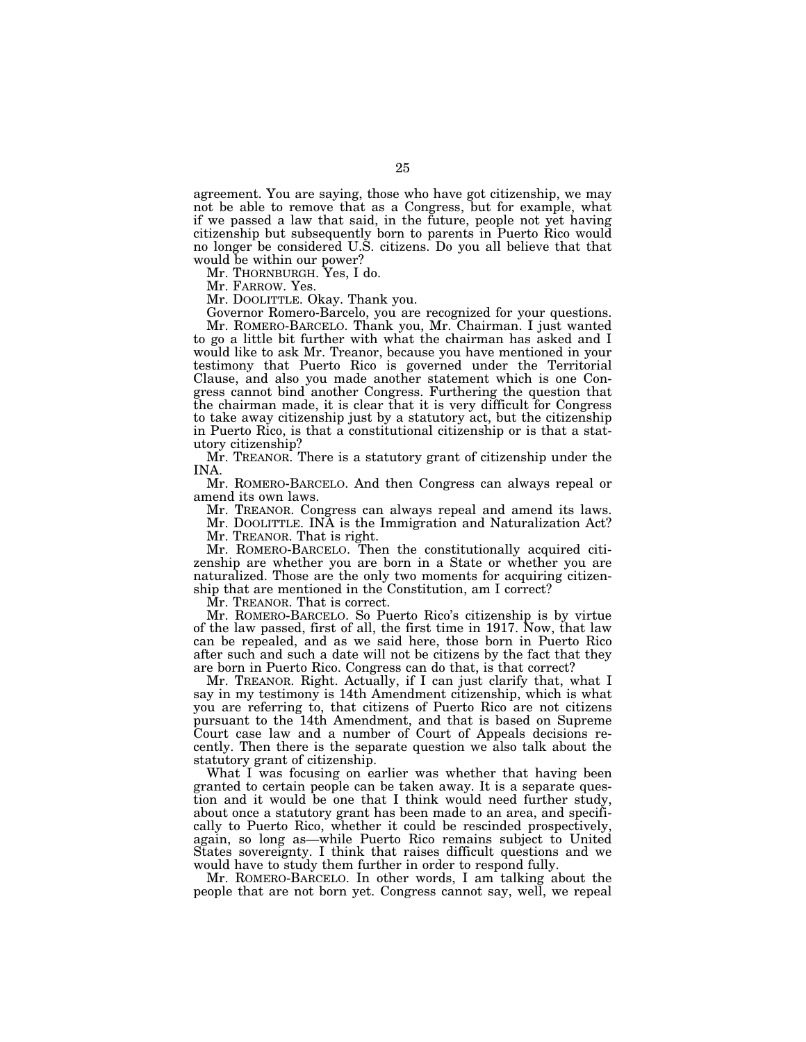agreement. You are saying, those who have got citizenship, we may not be able to remove that as a Congress, but for example, what if we passed a law that said, in the future, people not yet having citizenship but subsequently born to parents in Puerto Rico would no longer be considered U.S. citizens. Do you all believe that that would be within our power?

Mr. THORNBURGH. Yes, I do.

Mr. FARROW. Yes.

Mr. DOOLITTLE. Okay. Thank you.

Governor Romero-Barcelo, you are recognized for your questions. Mr. ROMERO-BARCELO. Thank you, Mr. Chairman. I just wanted to go a little bit further with what the chairman has asked and I would like to ask Mr. Treanor, because you have mentioned in your testimony that Puerto Rico is governed under the Territorial Clause, and also you made another statement which is one Congress cannot bind another Congress. Furthering the question that the chairman made, it is clear that it is very difficult for Congress to take away citizenship just by a statutory act, but the citizenship in Puerto Rico, is that a constitutional citizenship or is that a statutory citizenship?

Mr. TREANOR. There is a statutory grant of citizenship under the INA.

Mr. ROMERO-BARCELO. And then Congress can always repeal or amend its own laws.

Mr. TREANOR. Congress can always repeal and amend its laws.

Mr. DOOLITTLE. INA is the Immigration and Naturalization Act? Mr. TREANOR. That is right.

Mr. ROMERO-BARCELO. Then the constitutionally acquired citizenship are whether you are born in a State or whether you are naturalized. Those are the only two moments for acquiring citizenship that are mentioned in the Constitution, am I correct?

Mr. TREANOR. That is correct.

Mr. ROMERO-BARCELO. So Puerto Rico's citizenship is by virtue of the law passed, first of all, the first time in 1917. Now, that law can be repealed, and as we said here, those born in Puerto Rico after such and such a date will not be citizens by the fact that they are born in Puerto Rico. Congress can do that, is that correct?

Mr. TREANOR. Right. Actually, if I can just clarify that, what I say in my testimony is 14th Amendment citizenship, which is what you are referring to, that citizens of Puerto Rico are not citizens pursuant to the 14th Amendment, and that is based on Supreme Court case law and a number of Court of Appeals decisions recently. Then there is the separate question we also talk about the statutory grant of citizenship.

What I was focusing on earlier was whether that having been granted to certain people can be taken away. It is a separate question and it would be one that I think would need further study, about once a statutory grant has been made to an area, and specifically to Puerto Rico, whether it could be rescinded prospectively, again, so long as—while Puerto Rico remains subject to United States sovereignty. I think that raises difficult questions and we would have to study them further in order to respond fully.

Mr. ROMERO-BARCELO. In other words, I am talking about the people that are not born yet. Congress cannot say, well, we repeal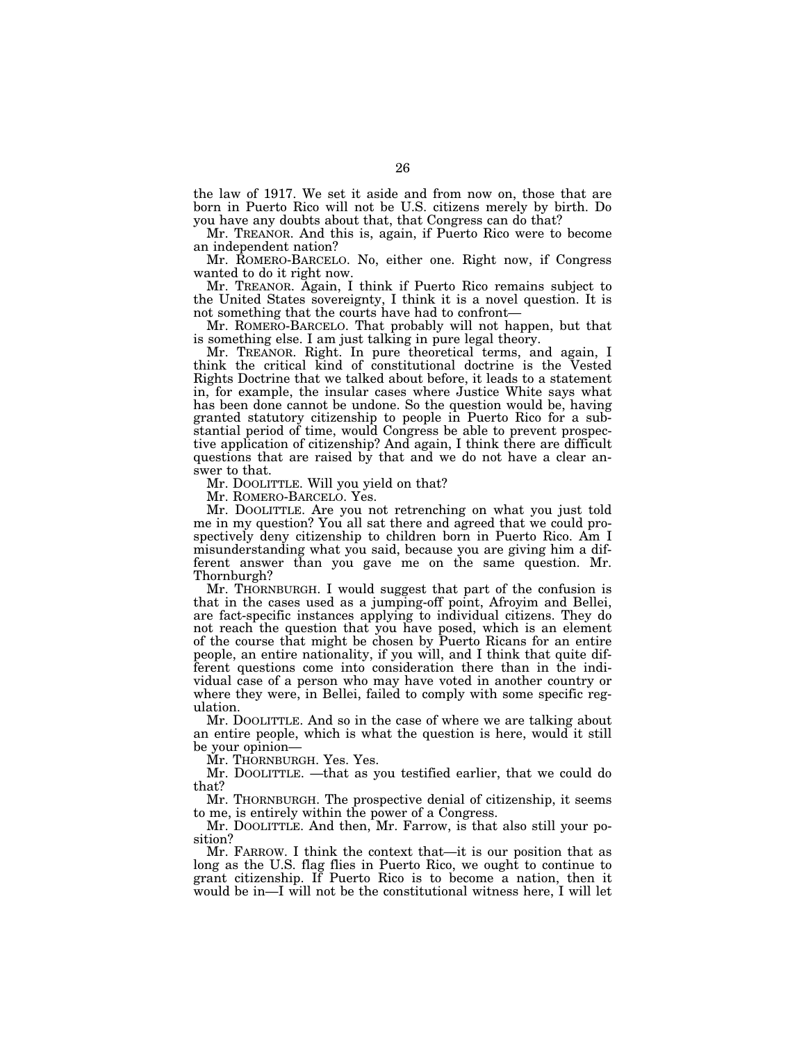the law of 1917. We set it aside and from now on, those that are born in Puerto Rico will not be U.S. citizens merely by birth. Do you have any doubts about that, that Congress can do that?

Mr. TREANOR. And this is, again, if Puerto Rico were to become an independent nation?

Mr. ROMERO-BARCELO. No, either one. Right now, if Congress wanted to do it right now.

Mr. TREANOR. Again, I think if Puerto Rico remains subject to the United States sovereignty, I think it is a novel question. It is

Mr. ROMERO-BARCELO. That probably will not happen, but that is something else. I am just talking in pure legal theory.

Mr. TREANOR. Right. In pure theoretical terms, and again, I think the critical kind of constitutional doctrine is the Vested Rights Doctrine that we talked about before, it leads to a statement in, for example, the insular cases where Justice White says what has been done cannot be undone. So the question would be, having granted statutory citizenship to people in Puerto Rico for a substantial period of time, would Congress be able to prevent prospective application of citizenship? And again, I think there are difficult questions that are raised by that and we do not have a clear answer to that.

Mr. DOOLITTLE. Will you yield on that?

Mr. ROMERO-BARCELO. Yes.

Mr. DOOLITTLE. Are you not retrenching on what you just told me in my question? You all sat there and agreed that we could prospectively deny citizenship to children born in Puerto Rico. Am I misunderstanding what you said, because you are giving him a different answer than you gave me on the same question. Mr. Thornburgh?

Mr. THORNBURGH. I would suggest that part of the confusion is that in the cases used as a jumping-off point, Afroyim and Bellei, are fact-specific instances applying to individual citizens. They do not reach the question that you have posed, which is an element of the course that might be chosen by Puerto Ricans for an entire people, an entire nationality, if you will, and I think that quite different questions come into consideration there than in the individual case of a person who may have voted in another country or where they were, in Bellei, failed to comply with some specific regulation.

Mr. DOOLITTLE. And so in the case of where we are talking about an entire people, which is what the question is here, would it still be your opinion—

Mr. THORNBURGH. Yes. Yes.

Mr. DOOLITTLE. —that as you testified earlier, that we could do that?

Mr. THORNBURGH. The prospective denial of citizenship, it seems to me, is entirely within the power of a Congress.

Mr. DOOLITTLE. And then, Mr. Farrow, is that also still your position?

Mr. FARROW. I think the context that—it is our position that as long as the U.S. flag flies in Puerto Rico, we ought to continue to grant citizenship. If Puerto Rico is to become a nation, then it would be in—I will not be the constitutional witness here, I will let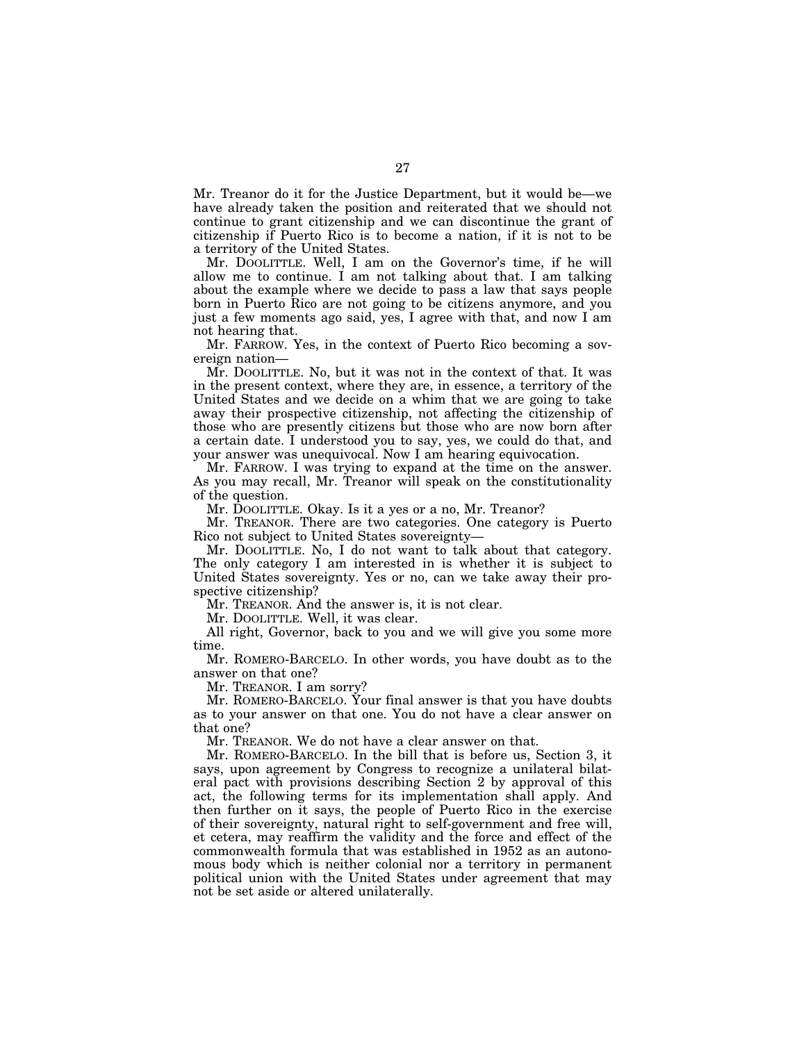Mr. Treanor do it for the Justice Department, but it would be—we have already taken the position and reiterated that we should not continue to grant citizenship and we can discontinue the grant of citizenship if Puerto Rico is to become a nation, if it is not to be a territory of the United States.

Mr. DOOLITTLE. Well, I am on the Governor's time, if he will allow me to continue. I am not talking about that. I am talking about the example where we decide to pass a law that says people born in Puerto Rico are not going to be citizens anymore, and you just a few moments ago said, yes, I agree with that, and now I am not hearing that.

Mr. FARROW. Yes, in the context of Puerto Rico becoming a sovereign nation—

Mr. DOOLITTLE. No, but it was not in the context of that. It was in the present context, where they are, in essence, a territory of the United States and we decide on a whim that we are going to take away their prospective citizenship, not affecting the citizenship of those who are presently citizens but those who are now born after a certain date. I understood you to say, yes, we could do that, and your answer was unequivocal. Now I am hearing equivocation.

Mr. FARROW. I was trying to expand at the time on the answer. As you may recall, Mr. Treanor will speak on the constitutionality of the question.

Mr. DOOLITTLE. Okay. Is it a yes or a no, Mr. Treanor?

Mr. TREANOR. There are two categories. One category is Puerto Rico not subject to United States sovereignty—

Mr. DOOLITTLE. No, I do not want to talk about that category. The only category I am interested in is whether it is subject to United States sovereignty. Yes or no, can we take away their prospective citizenship?

Mr. TREANOR. And the answer is, it is not clear.

Mr. DOOLITTLE. Well, it was clear.

All right, Governor, back to you and we will give you some more time.

Mr. ROMERO-BARCELO. In other words, you have doubt as to the answer on that one?

Mr. TREANOR. I am sorry?

Mr. ROMERO-BARCELO. Your final answer is that you have doubts as to your answer on that one. You do not have a clear answer on that one?

Mr. TREANOR. We do not have a clear answer on that.

Mr. ROMERO-BARCELO. In the bill that is before us, Section 3, it says, upon agreement by Congress to recognize a unilateral bilateral pact with provisions describing Section 2 by approval of this act, the following terms for its implementation shall apply. And then further on it says, the people of Puerto Rico in the exercise of their sovereignty, natural right to self-government and free will, et cetera, may reaffirm the validity and the force and effect of the commonwealth formula that was established in 1952 as an autonomous body which is neither colonial nor a territory in permanent political union with the United States under agreement that may not be set aside or altered unilaterally.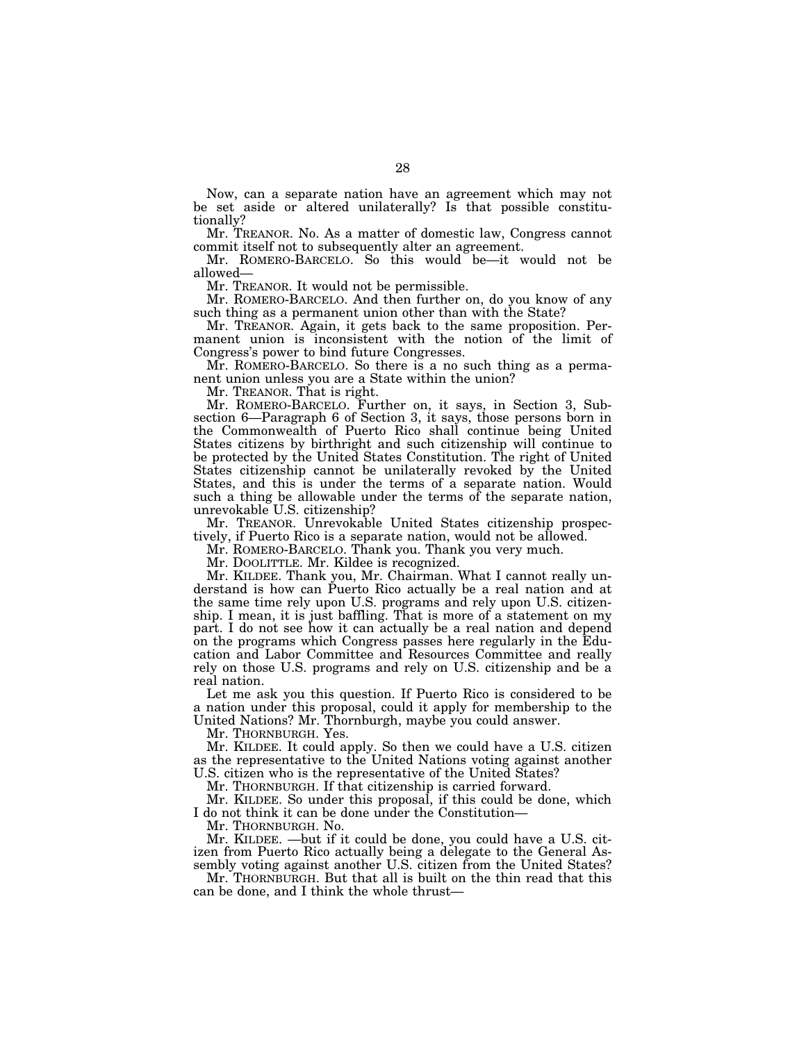Now, can a separate nation have an agreement which may not be set aside or altered unilaterally? Is that possible constitutionally?

Mr. TREANOR. No. As a matter of domestic law, Congress cannot commit itself not to subsequently alter an agreement.

Mr. ROMERO-BARCELO. So this would be—it would not be allowed— Mr. TREANOR. It would not be permissible.

Mr. ROMERO-BARCELO. And then further on, do you know of any such thing as a permanent union other than with the State?

Mr. TREANOR. Again, it gets back to the same proposition. Permanent union is inconsistent with the notion of the limit of Congress's power to bind future Congresses.

Mr. ROMERO-BARCELO. So there is a no such thing as a permanent union unless you are a State within the union?

Mr. TREANOR. That is right.

Mr. ROMERO-BARCELO. Further on, it says, in Section 3, Subsection 6—Paragraph 6 of Section 3, it says, those persons born in the Commonwealth of Puerto Rico shall continue being United States citizens by birthright and such citizenship will continue to be protected by the United States Constitution. The right of United States citizenship cannot be unilaterally revoked by the United States, and this is under the terms of a separate nation. Would such a thing be allowable under the terms of the separate nation, unrevokable U.S. citizenship?

Mr. TREANOR. Unrevokable United States citizenship prospectively, if Puerto Rico is a separate nation, would not be allowed.

Mr. ROMERO-BARCELO. Thank you. Thank you very much.

Mr. DOOLITTLE. Mr. Kildee is recognized.

Mr. KILDEE. Thank you, Mr. Chairman. What I cannot really understand is how can Puerto Rico actually be a real nation and at the same time rely upon U.S. programs and rely upon U.S. citizenship. I mean, it is just baffling. That is more of a statement on my part. I do not see how it can actually be a real nation and depend on the programs which Congress passes here regularly in the Education and Labor Committee and Resources Committee and really rely on those U.S. programs and rely on U.S. citizenship and be a real nation.

Let me ask you this question. If Puerto Rico is considered to be a nation under this proposal, could it apply for membership to the United Nations? Mr. Thornburgh, maybe you could answer.

Mr. THORNBURGH. Yes.

Mr. KILDEE. It could apply. So then we could have a U.S. citizen as the representative to the United Nations voting against another U.S. citizen who is the representative of the United States?

Mr. THORNBURGH. If that citizenship is carried forward.

Mr. KILDEE. So under this proposal, if this could be done, which I do not think it can be done under the Constitution—

Mr. THORNBURGH. No.

Mr. KILDEE. —but if it could be done, you could have a U.S. citizen from Puerto Rico actually being a delegate to the General Assembly voting against another U.S. citizen from the United States?

Mr. THORNBURGH. But that all is built on the thin read that this can be done, and I think the whole thrust—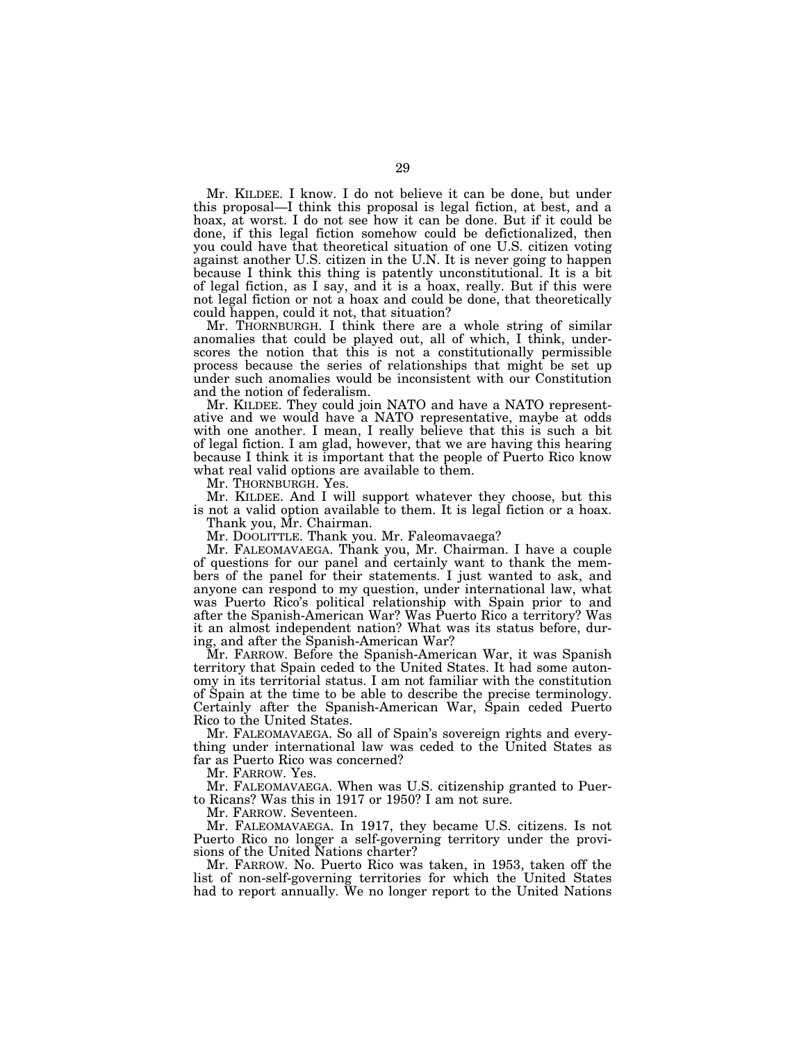Mr. KILDEE. I know. I do not believe it can be done, but under this proposal—I think this proposal is legal fiction, at best, and a hoax, at worst. I do not see how it can be done. But if it could be done, if this legal fiction somehow could be defictionalized, then you could have that theoretical situation of one U.S. citizen voting against another U.S. citizen in the U.N. It is never going to happen because I think this thing is patently unconstitutional. It is a bit of legal fiction, as I say, and it is a hoax, really. But if this were not legal fiction or not a hoax and could be done, that theoretically could happen, could it not, that situation?

Mr. THORNBURGH. I think there are a whole string of similar anomalies that could be played out, all of which, I think, underscores the notion that this is not a constitutionally permissible process because the series of relationships that might be set up under such anomalies would be inconsistent with our Constitution and the notion of federalism.

Mr. KILDEE. They could join NATO and have a NATO representative and we would have a NATO representative, maybe at odds with one another. I mean, I really believe that this is such a bit of legal fiction. I am glad, however, that we are having this hearing because I think it is important that the people of Puerto Rico know what real valid options are available to them.

Mr. THORNBURGH. Yes.

Mr. KILDEE. And I will support whatever they choose, but this is not a valid option available to them. It is legal fiction or a hoax.

Thank you, Mr. Chairman.

Mr. DOOLITTLE. Thank you. Mr. Faleomavaega?

Mr. FALEOMAVAEGA. Thank you, Mr. Chairman. I have a couple of questions for our panel and certainly want to thank the members of the panel for their statements. I just wanted to ask, and anyone can respond to my question, under international law, what was Puerto Rico's political relationship with Spain prior to and after the Spanish-American War? Was Puerto Rico a territory? Was it an almost independent nation? What was its status before, during, and after the Spanish-American War?

Mr. FARROW. Before the Spanish-American War, it was Spanish territory that Spain ceded to the United States. It had some autonomy in its territorial status. I am not familiar with the constitution of Spain at the time to be able to describe the precise terminology. Certainly after the Spanish-American War, Spain ceded Puerto Rico to the United States.

Mr. FALEOMAVAEGA. So all of Spain's sovereign rights and everything under international law was ceded to the United States as far as Puerto Rico was concerned?

Mr. FARROW. Yes.

Mr. FALEOMAVAEGA. When was U.S. citizenship granted to Puerto Ricans? Was this in 1917 or 1950? I am not sure.

Mr. FARROW. Seventeen.

Mr. FALEOMAVAEGA. In 1917, they became U.S. citizens. Is not Puerto Rico no longer a self-governing territory under the provisions of the United Nations charter?

Mr. FARROW. No. Puerto Rico was taken, in 1953, taken off the list of non-self-governing territories for which the United States had to report annually. We no longer report to the United Nations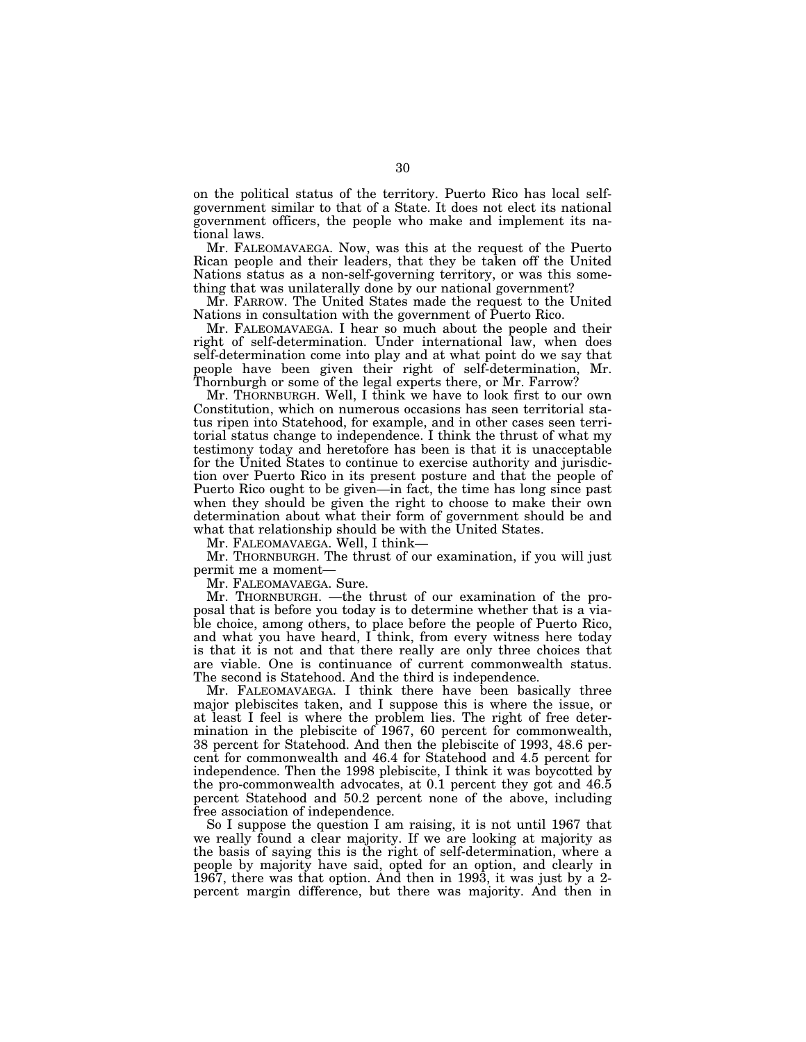on the political status of the territory. Puerto Rico has local selfgovernment similar to that of a State. It does not elect its national government officers, the people who make and implement its national laws.

Mr. FALEOMAVAEGA. Now, was this at the request of the Puerto Rican people and their leaders, that they be taken off the United Nations status as a non-self-governing territory, or was this something that was unilaterally done by our national government?

Mr. FARROW. The United States made the request to the United Nations in consultation with the government of Puerto Rico.

Mr. FALEOMAVAEGA. I hear so much about the people and their right of self-determination. Under international law, when does self-determination come into play and at what point do we say that people have been given their right of self-determination, Mr. Thornburgh or some of the legal experts there, or Mr. Farrow?

Mr. THORNBURGH. Well, I think we have to look first to our own Constitution, which on numerous occasions has seen territorial status ripen into Statehood, for example, and in other cases seen territorial status change to independence. I think the thrust of what my testimony today and heretofore has been is that it is unacceptable for the United States to continue to exercise authority and jurisdiction over Puerto Rico in its present posture and that the people of Puerto Rico ought to be given—in fact, the time has long since past when they should be given the right to choose to make their own determination about what their form of government should be and what that relationship should be with the United States.

Mr. FALEOMAVAEGA. Well, I think—

Mr. THORNBURGH. The thrust of our examination, if you will just permit me a moment—

Mr. FALEOMAVAEGA. Sure.

Mr. THORNBURGH. —the thrust of our examination of the proposal that is before you today is to determine whether that is a viable choice, among others, to place before the people of Puerto Rico, and what you have heard, I think, from every witness here today is that it is not and that there really are only three choices that are viable. One is continuance of current commonwealth status. The second is Statehood. And the third is independence.

Mr. FALEOMAVAEGA. I think there have been basically three major plebiscites taken, and I suppose this is where the issue, or at least I feel is where the problem lies. The right of free determination in the plebiscite of 1967, 60 percent for commonwealth, 38 percent for Statehood. And then the plebiscite of 1993, 48.6 percent for commonwealth and 46.4 for Statehood and 4.5 percent for independence. Then the 1998 plebiscite, I think it was boycotted by the pro-commonwealth advocates, at 0.1 percent they got and 46.5 percent Statehood and 50.2 percent none of the above, including free association of independence.

So I suppose the question I am raising, it is not until 1967 that we really found a clear majority. If we are looking at majority as the basis of saying this is the right of self-determination, where a people by majority have said, opted for an option, and clearly in 1967, there was that option. And then in 1993, it was just by a 2 percent margin difference, but there was majority. And then in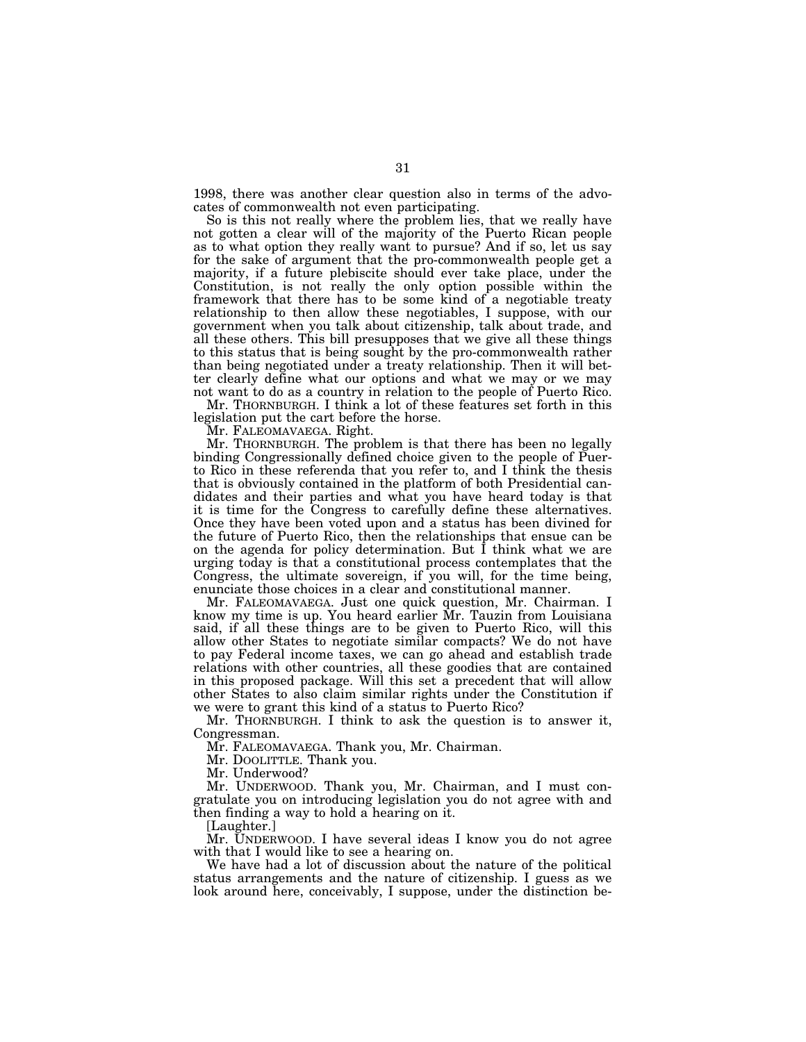1998, there was another clear question also in terms of the advocates of commonwealth not even participating.

So is this not really where the problem lies, that we really have not gotten a clear will of the majority of the Puerto Rican people as to what option they really want to pursue? And if so, let us say for the sake of argument that the pro-commonwealth people get a majority, if a future plebiscite should ever take place, under the Constitution, is not really the only option possible within the framework that there has to be some kind of a negotiable treaty relationship to then allow these negotiables, I suppose, with our government when you talk about citizenship, talk about trade, and all these others. This bill presupposes that we give all these things to this status that is being sought by the pro-commonwealth rather than being negotiated under a treaty relationship. Then it will better clearly define what our options and what we may or we may not want to do as a country in relation to the people of Puerto Rico.

Mr. THORNBURGH. I think a lot of these features set forth in this legislation put the cart before the horse.

Mr. FALEOMAVAEGA. Right.

Mr. THORNBURGH. The problem is that there has been no legally binding Congressionally defined choice given to the people of Puerto Rico in these referenda that you refer to, and I think the thesis that is obviously contained in the platform of both Presidential candidates and their parties and what you have heard today is that it is time for the Congress to carefully define these alternatives. Once they have been voted upon and a status has been divined for the future of Puerto Rico, then the relationships that ensue can be on the agenda for policy determination. But I think what we are urging today is that a constitutional process contemplates that the Congress, the ultimate sovereign, if you will, for the time being, enunciate those choices in a clear and constitutional manner.

Mr. FALEOMAVAEGA. Just one quick question, Mr. Chairman. I know my time is up. You heard earlier Mr. Tauzin from Louisiana said, if all these things are to be given to Puerto Rico, will this allow other States to negotiate similar compacts? We do not have to pay Federal income taxes, we can go ahead and establish trade relations with other countries, all these goodies that are contained in this proposed package. Will this set a precedent that will allow other States to also claim similar rights under the Constitution if we were to grant this kind of a status to Puerto Rico?

Mr. THORNBURGH. I think to ask the question is to answer it, Congressman.

Mr. FALEOMAVAEGA. Thank you, Mr. Chairman.

Mr. DOOLITTLE. Thank you.

Mr. Underwood?

Mr. UNDERWOOD. Thank you, Mr. Chairman, and I must congratulate you on introducing legislation you do not agree with and then finding a way to hold a hearing on it.

[Laughter.]

Mr. UNDERWOOD. I have several ideas I know you do not agree with that I would like to see a hearing on.

We have had a lot of discussion about the nature of the political status arrangements and the nature of citizenship. I guess as we look around here, conceivably, I suppose, under the distinction be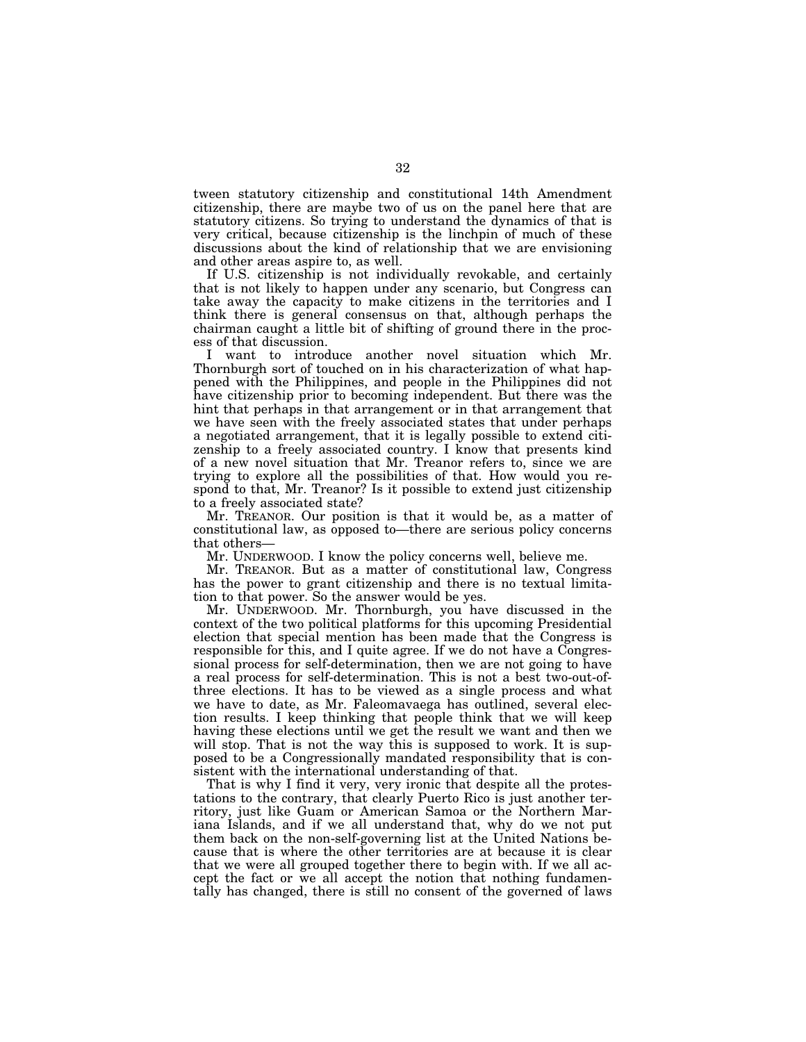tween statutory citizenship and constitutional 14th Amendment citizenship, there are maybe two of us on the panel here that are statutory citizens. So trying to understand the dynamics of that is very critical, because citizenship is the linchpin of much of these discussions about the kind of relationship that we are envisioning and other areas aspire to, as well.

If U.S. citizenship is not individually revokable, and certainly that is not likely to happen under any scenario, but Congress can take away the capacity to make citizens in the territories and I think there is general consensus on that, although perhaps the chairman caught a little bit of shifting of ground there in the process of that discussion.

I want to introduce another novel situation which Mr. Thornburgh sort of touched on in his characterization of what happened with the Philippines, and people in the Philippines did not have citizenship prior to becoming independent. But there was the hint that perhaps in that arrangement or in that arrangement that we have seen with the freely associated states that under perhaps a negotiated arrangement, that it is legally possible to extend citizenship to a freely associated country. I know that presents kind of a new novel situation that Mr. Treanor refers to, since we are trying to explore all the possibilities of that. How would you respond to that, Mr. Treanor? Is it possible to extend just citizenship to a freely associated state?

Mr. TREANOR. Our position is that it would be, as a matter of constitutional law, as opposed to—there are serious policy concerns that others—

Mr. UNDERWOOD. I know the policy concerns well, believe me.

Mr. TREANOR. But as a matter of constitutional law, Congress has the power to grant citizenship and there is no textual limitation to that power. So the answer would be yes.

Mr. UNDERWOOD. Mr. Thornburgh, you have discussed in the context of the two political platforms for this upcoming Presidential election that special mention has been made that the Congress is responsible for this, and I quite agree. If we do not have a Congressional process for self-determination, then we are not going to have a real process for self-determination. This is not a best two-out-ofthree elections. It has to be viewed as a single process and what we have to date, as Mr. Faleomavaega has outlined, several election results. I keep thinking that people think that we will keep having these elections until we get the result we want and then we will stop. That is not the way this is supposed to work. It is supposed to be a Congressionally mandated responsibility that is consistent with the international understanding of that.

That is why I find it very, very ironic that despite all the protestations to the contrary, that clearly Puerto Rico is just another territory, just like Guam or American Samoa or the Northern Mariana Islands, and if we all understand that, why do we not put them back on the non-self-governing list at the United Nations because that is where the other territories are at because it is clear that we were all grouped together there to begin with. If we all accept the fact or we all accept the notion that nothing fundamentally has changed, there is still no consent of the governed of laws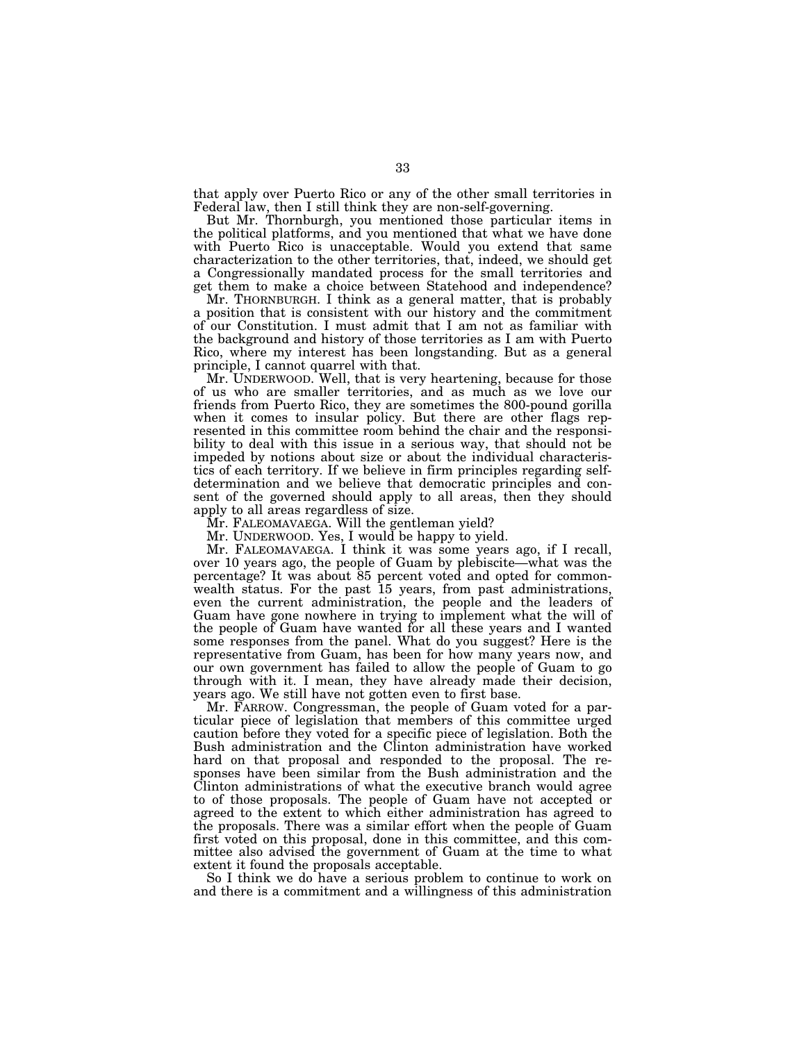that apply over Puerto Rico or any of the other small territories in Federal law, then I still think they are non-self-governing.

But Mr. Thornburgh, you mentioned those particular items in the political platforms, and you mentioned that what we have done with Puerto Rico is unacceptable. Would you extend that same characterization to the other territories, that, indeed, we should get a Congressionally mandated process for the small territories and get them to make a choice between Statehood and independence?

Mr. THORNBURGH. I think as a general matter, that is probably a position that is consistent with our history and the commitment of our Constitution. I must admit that I am not as familiar with the background and history of those territories as I am with Puerto Rico, where my interest has been longstanding. But as a general principle, I cannot quarrel with that.

Mr. UNDERWOOD. Well, that is very heartening, because for those of us who are smaller territories, and as much as we love our friends from Puerto Rico, they are sometimes the 800-pound gorilla when it comes to insular policy. But there are other flags represented in this committee room behind the chair and the responsibility to deal with this issue in a serious way, that should not be impeded by notions about size or about the individual characteristics of each territory. If we believe in firm principles regarding selfdetermination and we believe that democratic principles and consent of the governed should apply to all areas, then they should apply to all areas regardless of size.

Mr. FALEOMAVAEGA. Will the gentleman yield?

Mr. UNDERWOOD. Yes, I would be happy to yield.

Mr. FALEOMAVAEGA. I think it was some years ago, if I recall, over 10 years ago, the people of Guam by plebiscite—what was the percentage? It was about 85 percent voted and opted for commonwealth status. For the past 15 years, from past administrations, even the current administration, the people and the leaders of Guam have gone nowhere in trying to implement what the will of the people of Guam have wanted for all these years and I wanted some responses from the panel. What do you suggest? Here is the representative from Guam, has been for how many years now, and our own government has failed to allow the people of Guam to go through with it. I mean, they have already made their decision, years ago. We still have not gotten even to first base.

Mr. FARROW. Congressman, the people of Guam voted for a particular piece of legislation that members of this committee urged caution before they voted for a specific piece of legislation. Both the Bush administration and the Clinton administration have worked hard on that proposal and responded to the proposal. The responses have been similar from the Bush administration and the Clinton administrations of what the executive branch would agree to of those proposals. The people of Guam have not accepted or agreed to the extent to which either administration has agreed to the proposals. There was a similar effort when the people of Guam first voted on this proposal, done in this committee, and this committee also advised the government of Guam at the time to what extent it found the proposals acceptable.

So I think we do have a serious problem to continue to work on and there is a commitment and a willingness of this administration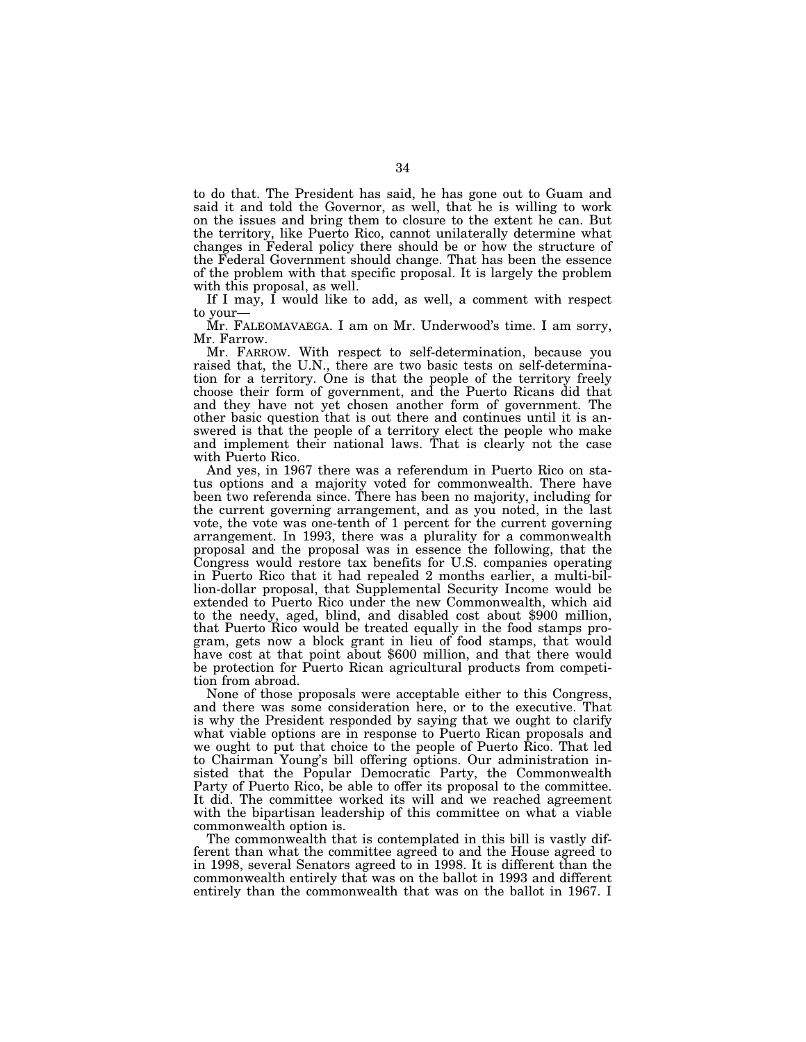to do that. The President has said, he has gone out to Guam and said it and told the Governor, as well, that he is willing to work on the issues and bring them to closure to the extent he can. But the territory, like Puerto Rico, cannot unilaterally determine what changes in Federal policy there should be or how the structure of the Federal Government should change. That has been the essence of the problem with that specific proposal. It is largely the problem with this proposal, as well.

If I may, I would like to add, as well, a comment with respect to your— Mr. FALEOMAVAEGA. I am on Mr. Underwood's time. I am sorry,

Mr. Farrow.

Mr. FARROW. With respect to self-determination, because you raised that, the U.N., there are two basic tests on self-determination for a territory. One is that the people of the territory freely choose their form of government, and the Puerto Ricans did that and they have not yet chosen another form of government. The other basic question that is out there and continues until it is answered is that the people of a territory elect the people who make and implement their national laws. That is clearly not the case with Puerto Rico.

And yes, in 1967 there was a referendum in Puerto Rico on status options and a majority voted for commonwealth. There have been two referenda since. There has been no majority, including for the current governing arrangement, and as you noted, in the last vote, the vote was one-tenth of 1 percent for the current governing arrangement. In 1993, there was a plurality for a commonwealth proposal and the proposal was in essence the following, that the Congress would restore tax benefits for U.S. companies operating in Puerto Rico that it had repealed 2 months earlier, a multi-billion-dollar proposal, that Supplemental Security Income would be extended to Puerto Rico under the new Commonwealth, which aid to the needy, aged, blind, and disabled cost about \$900 million, that Puerto Rico would be treated equally in the food stamps program, gets now a block grant in lieu of food stamps, that would have cost at that point about \$600 million, and that there would be protection for Puerto Rican agricultural products from competition from abroad.

None of those proposals were acceptable either to this Congress, and there was some consideration here, or to the executive. That is why the President responded by saying that we ought to clarify what viable options are in response to Puerto Rican proposals and we ought to put that choice to the people of Puerto Rico. That led to Chairman Young's bill offering options. Our administration insisted that the Popular Democratic Party, the Commonwealth Party of Puerto Rico, be able to offer its proposal to the committee. It did. The committee worked its will and we reached agreement with the bipartisan leadership of this committee on what a viable commonwealth option is.

The commonwealth that is contemplated in this bill is vastly different than what the committee agreed to and the House agreed to in 1998, several Senators agreed to in 1998. It is different than the commonwealth entirely that was on the ballot in 1993 and different entirely than the commonwealth that was on the ballot in 1967. I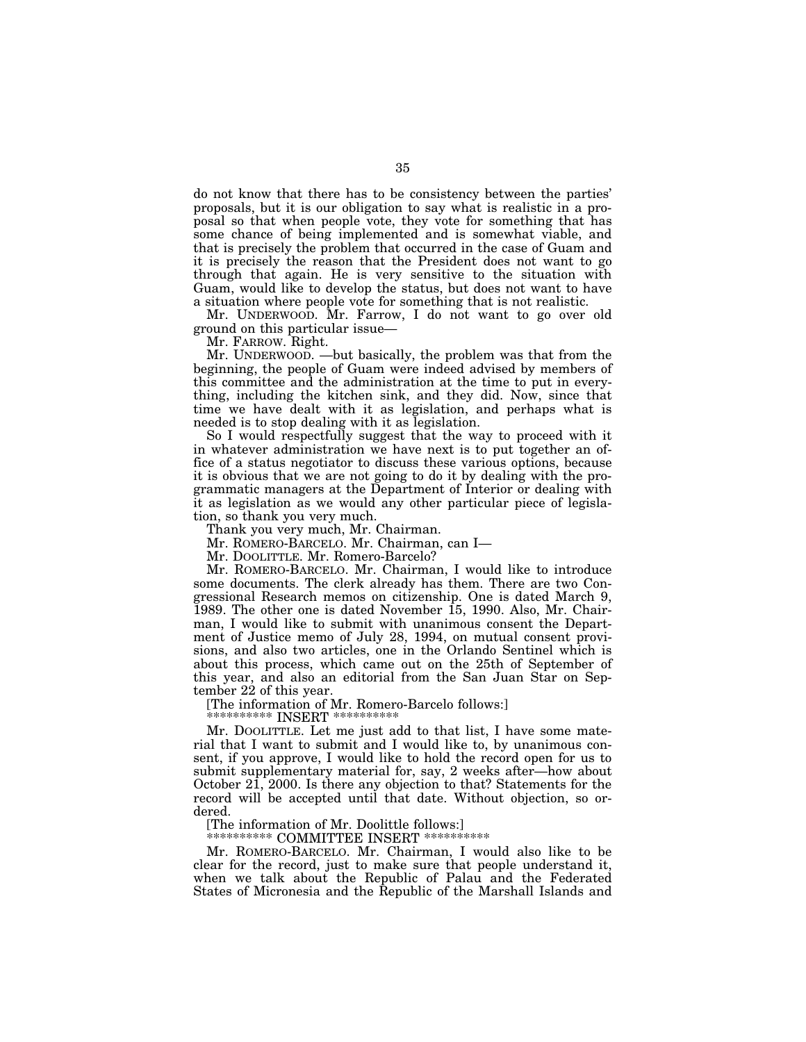do not know that there has to be consistency between the parties' proposals, but it is our obligation to say what is realistic in a proposal so that when people vote, they vote for something that has some chance of being implemented and is somewhat viable, and that is precisely the problem that occurred in the case of Guam and it is precisely the reason that the President does not want to go through that again. He is very sensitive to the situation with Guam, would like to develop the status, but does not want to have a situation where people vote for something that is not realistic.

Mr. UNDERWOOD. Mr. Farrow, I do not want to go over old ground on this particular issue—

Mr. FARROW. Right.

Mr. UNDERWOOD. —but basically, the problem was that from the beginning, the people of Guam were indeed advised by members of this committee and the administration at the time to put in everything, including the kitchen sink, and they did. Now, since that time we have dealt with it as legislation, and perhaps what is needed is to stop dealing with it as legislation.

So I would respectfully suggest that the way to proceed with it in whatever administration we have next is to put together an office of a status negotiator to discuss these various options, because it is obvious that we are not going to do it by dealing with the programmatic managers at the Department of Interior or dealing with it as legislation as we would any other particular piece of legislation, so thank you very much.

Thank you very much, Mr. Chairman.

Mr. ROMERO-BARCELO. Mr. Chairman, can I—

Mr. DOOLITTLE. Mr. Romero-Barcelo?

Mr. ROMERO-BARCELO. Mr. Chairman, I would like to introduce some documents. The clerk already has them. There are two Congressional Research memos on citizenship. One is dated March 9, 1989. The other one is dated November 15, 1990. Also, Mr. Chairman, I would like to submit with unanimous consent the Department of Justice memo of July 28, 1994, on mutual consent provisions, and also two articles, one in the Orlando Sentinel which is about this process, which came out on the 25th of September of this year, and also an editorial from the San Juan Star on September 22 of this year.

[The information of Mr. Romero-Barcelo follows:]

\*\*\*\*\*\*\*\*\*\*\* INSERT \*\*\*\*\*\*\*\*\*\*\*

Mr. DOOLITTLE. Let me just add to that list, I have some material that I want to submit and I would like to, by unanimous consent, if you approve, I would like to hold the record open for us to submit supplementary material for, say, 2 weeks after—how about October 21, 2000. Is there any objection to that? Statements for the record will be accepted until that date. Without objection, so ordered.

[The information of Mr. Doolittle follows:]

\*\*\*\*\*\*\*\*\*\*\* COMMITTEE INSERT \*\*\*\*\*\*\*\*\*\*\*

Mr. ROMERO-BARCELO. Mr. Chairman, I would also like to be clear for the record, just to make sure that people understand it, when we talk about the Republic of Palau and the Federated States of Micronesia and the Republic of the Marshall Islands and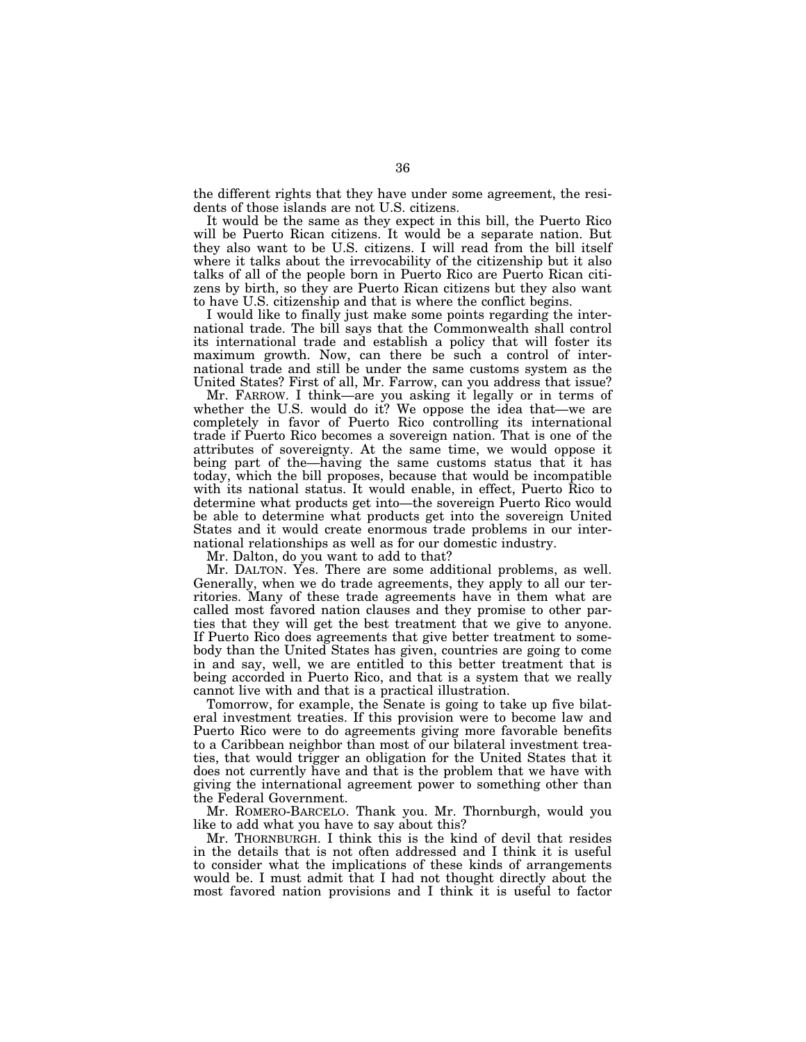the different rights that they have under some agreement, the residents of those islands are not U.S. citizens.

It would be the same as they expect in this bill, the Puerto Rico will be Puerto Rican citizens. It would be a separate nation. But they also want to be U.S. citizens. I will read from the bill itself where it talks about the irrevocability of the citizenship but it also talks of all of the people born in Puerto Rico are Puerto Rican citizens by birth, so they are Puerto Rican citizens but they also want to have U.S. citizenship and that is where the conflict begins.

I would like to finally just make some points regarding the international trade. The bill says that the Commonwealth shall control its international trade and establish a policy that will foster its maximum growth. Now, can there be such a control of international trade and still be under the same customs system as the United States? First of all, Mr. Farrow, can you address that issue?

Mr. FARROW. I think—are you asking it legally or in terms of whether the U.S. would do it? We oppose the idea that—we are completely in favor of Puerto Rico controlling its international trade if Puerto Rico becomes a sovereign nation. That is one of the attributes of sovereignty. At the same time, we would oppose it being part of the—having the same customs status that it has today, which the bill proposes, because that would be incompatible with its national status. It would enable, in effect, Puerto Rico to determine what products get into—the sovereign Puerto Rico would be able to determine what products get into the sovereign United States and it would create enormous trade problems in our international relationships as well as for our domestic industry.

Mr. Dalton, do you want to add to that?

Mr. DALTON. Yes. There are some additional problems, as well. Generally, when we do trade agreements, they apply to all our territories. Many of these trade agreements have in them what are called most favored nation clauses and they promise to other parties that they will get the best treatment that we give to anyone. If Puerto Rico does agreements that give better treatment to somebody than the United States has given, countries are going to come in and say, well, we are entitled to this better treatment that is being accorded in Puerto Rico, and that is a system that we really cannot live with and that is a practical illustration.

Tomorrow, for example, the Senate is going to take up five bilateral investment treaties. If this provision were to become law and Puerto Rico were to do agreements giving more favorable benefits to a Caribbean neighbor than most of our bilateral investment treaties, that would trigger an obligation for the United States that it does not currently have and that is the problem that we have with giving the international agreement power to something other than the Federal Government.

Mr. ROMERO-BARCELO. Thank you. Mr. Thornburgh, would you like to add what you have to say about this?

Mr. THORNBURGH. I think this is the kind of devil that resides in the details that is not often addressed and I think it is useful to consider what the implications of these kinds of arrangements would be. I must admit that I had not thought directly about the most favored nation provisions and I think it is useful to factor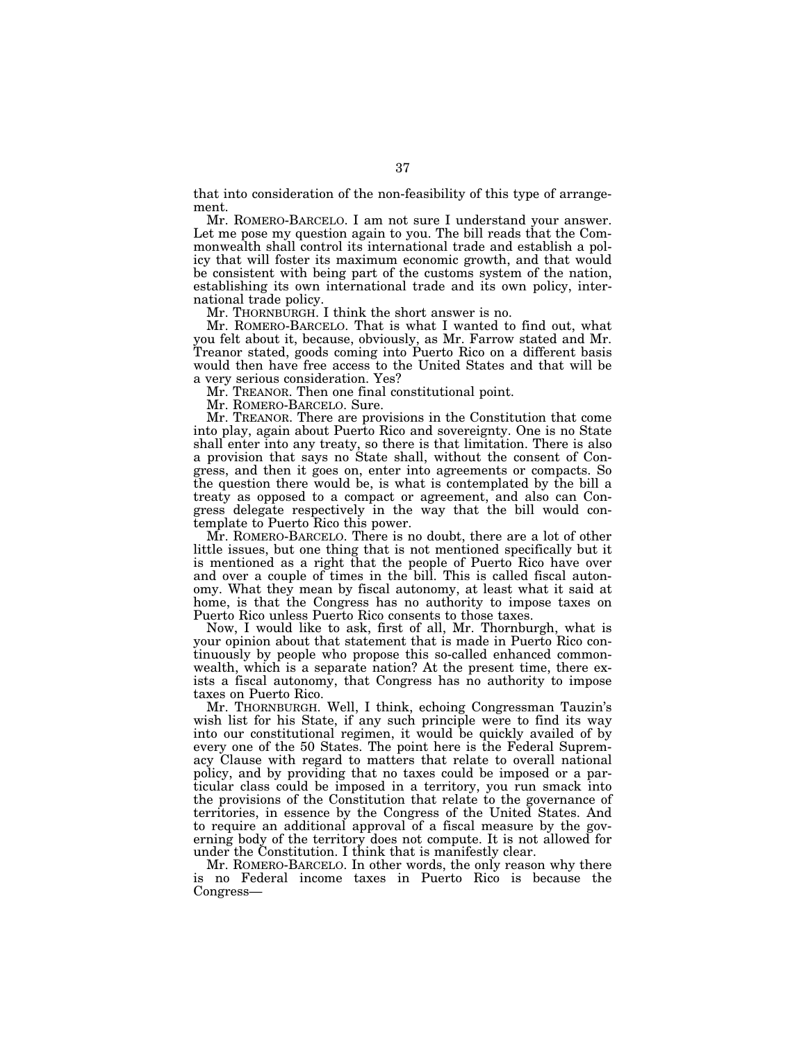that into consideration of the non-feasibility of this type of arrangement.

Mr. ROMERO-BARCELO. I am not sure I understand your answer. Let me pose my question again to you. The bill reads that the Commonwealth shall control its international trade and establish a policy that will foster its maximum economic growth, and that would be consistent with being part of the customs system of the nation, establishing its own international trade and its own policy, international trade policy.

Mr. THORNBURGH. I think the short answer is no.

Mr. ROMERO-BARCELO. That is what I wanted to find out, what you felt about it, because, obviously, as Mr. Farrow stated and Mr. Treanor stated, goods coming into Puerto Rico on a different basis would then have free access to the United States and that will be a very serious consideration. Yes?

Mr. TREANOR. Then one final constitutional point.

Mr. ROMERO-BARCELO. Sure.

Mr. TREANOR. There are provisions in the Constitution that come into play, again about Puerto Rico and sovereignty. One is no State shall enter into any treaty, so there is that limitation. There is also a provision that says no State shall, without the consent of Congress, and then it goes on, enter into agreements or compacts. So the question there would be, is what is contemplated by the bill a treaty as opposed to a compact or agreement, and also can Congress delegate respectively in the way that the bill would contemplate to Puerto Rico this power.

Mr. ROMERO-BARCELO. There is no doubt, there are a lot of other little issues, but one thing that is not mentioned specifically but it is mentioned as a right that the people of Puerto Rico have over and over a couple of times in the bill. This is called fiscal autonomy. What they mean by fiscal autonomy, at least what it said at home, is that the Congress has no authority to impose taxes on Puerto Rico unless Puerto Rico consents to those taxes.

Now, I would like to ask, first of all, Mr. Thornburgh, what is your opinion about that statement that is made in Puerto Rico continuously by people who propose this so-called enhanced commonwealth, which is a separate nation? At the present time, there exists a fiscal autonomy, that Congress has no authority to impose taxes on Puerto Rico.

Mr. THORNBURGH. Well, I think, echoing Congressman Tauzin's wish list for his State, if any such principle were to find its way into our constitutional regimen, it would be quickly availed of by every one of the 50 States. The point here is the Federal Supremacy Clause with regard to matters that relate to overall national policy, and by providing that no taxes could be imposed or a particular class could be imposed in a territory, you run smack into the provisions of the Constitution that relate to the governance of territories, in essence by the Congress of the United States. And to require an additional approval of a fiscal measure by the governing body of the territory does not compute. It is not allowed for under the Constitution. I think that is manifestly clear.

Mr. ROMERO-BARCELO. In other words, the only reason why there is no Federal income taxes in Puerto Rico is because the Congress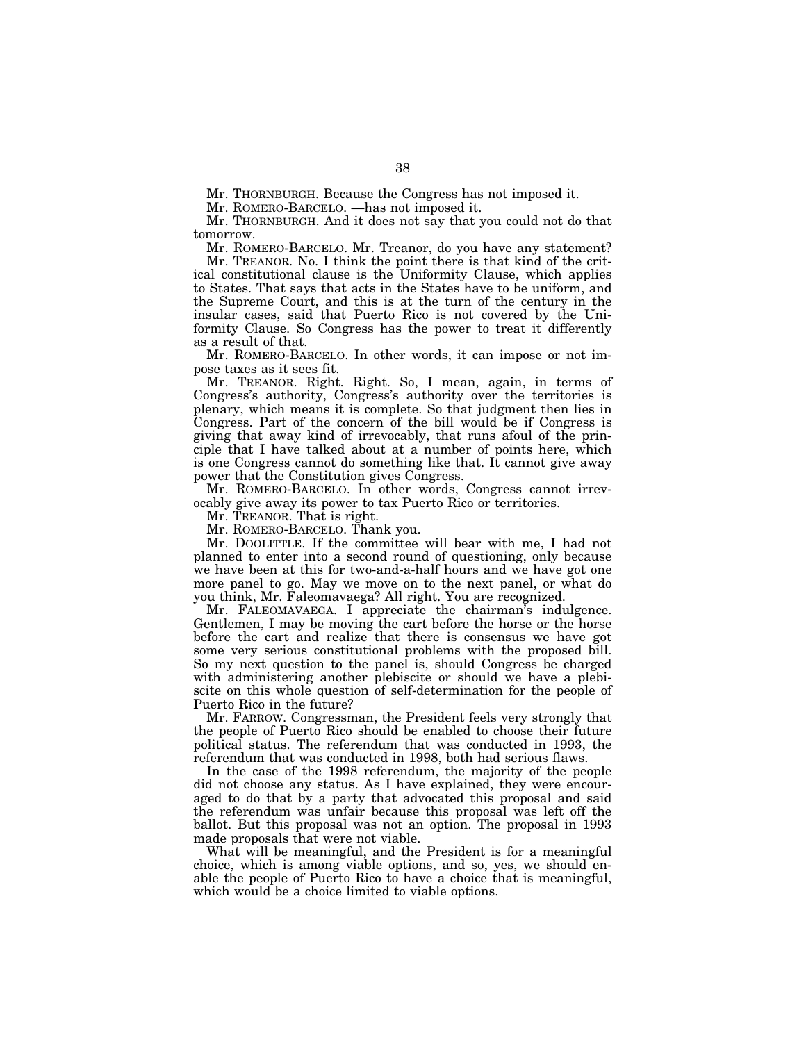Mr. THORNBURGH. Because the Congress has not imposed it.

Mr. ROMERO-BARCELO. —has not imposed it.

Mr. THORNBURGH. And it does not say that you could not do that tomorrow.

Mr. ROMERO-BARCELO. Mr. Treanor, do you have any statement? Mr. TREANOR. No. I think the point there is that kind of the critical constitutional clause is the Uniformity Clause, which applies to States. That says that acts in the States have to be uniform, and the Supreme Court, and this is at the turn of the century in the insular cases, said that Puerto Rico is not covered by the Uniformity Clause. So Congress has the power to treat it differently as a result of that.

Mr. ROMERO-BARCELO. In other words, it can impose or not impose taxes as it sees fit.

Mr. TREANOR. Right. Right. So, I mean, again, in terms of Congress's authority, Congress's authority over the territories is plenary, which means it is complete. So that judgment then lies in Congress. Part of the concern of the bill would be if Congress is giving that away kind of irrevocably, that runs afoul of the principle that I have talked about at a number of points here, which is one Congress cannot do something like that. It cannot give away power that the Constitution gives Congress.

Mr. ROMERO-BARCELO. In other words, Congress cannot irrevocably give away its power to tax Puerto Rico or territories.

Mr. TREANOR. That is right.

Mr. ROMERO-BARCELO. Thank you.

Mr. DOOLITTLE. If the committee will bear with me, I had not planned to enter into a second round of questioning, only because we have been at this for two-and-a-half hours and we have got one more panel to go. May we move on to the next panel, or what do you think, Mr. Faleomavaega? All right. You are recognized.

Mr. FALEOMAVAEGA. I appreciate the chairman's indulgence. Gentlemen, I may be moving the cart before the horse or the horse before the cart and realize that there is consensus we have got some very serious constitutional problems with the proposed bill. So my next question to the panel is, should Congress be charged with administering another plebiscite or should we have a plebiscite on this whole question of self-determination for the people of Puerto Rico in the future?

Mr. FARROW. Congressman, the President feels very strongly that the people of Puerto Rico should be enabled to choose their future political status. The referendum that was conducted in 1993, the referendum that was conducted in 1998, both had serious flaws.

In the case of the 1998 referendum, the majority of the people did not choose any status. As I have explained, they were encouraged to do that by a party that advocated this proposal and said the referendum was unfair because this proposal was left off the ballot. But this proposal was not an option. The proposal in 1993 made proposals that were not viable.

What will be meaningful, and the President is for a meaningful choice, which is among viable options, and so, yes, we should enable the people of Puerto Rico to have a choice that is meaningful, which would be a choice limited to viable options.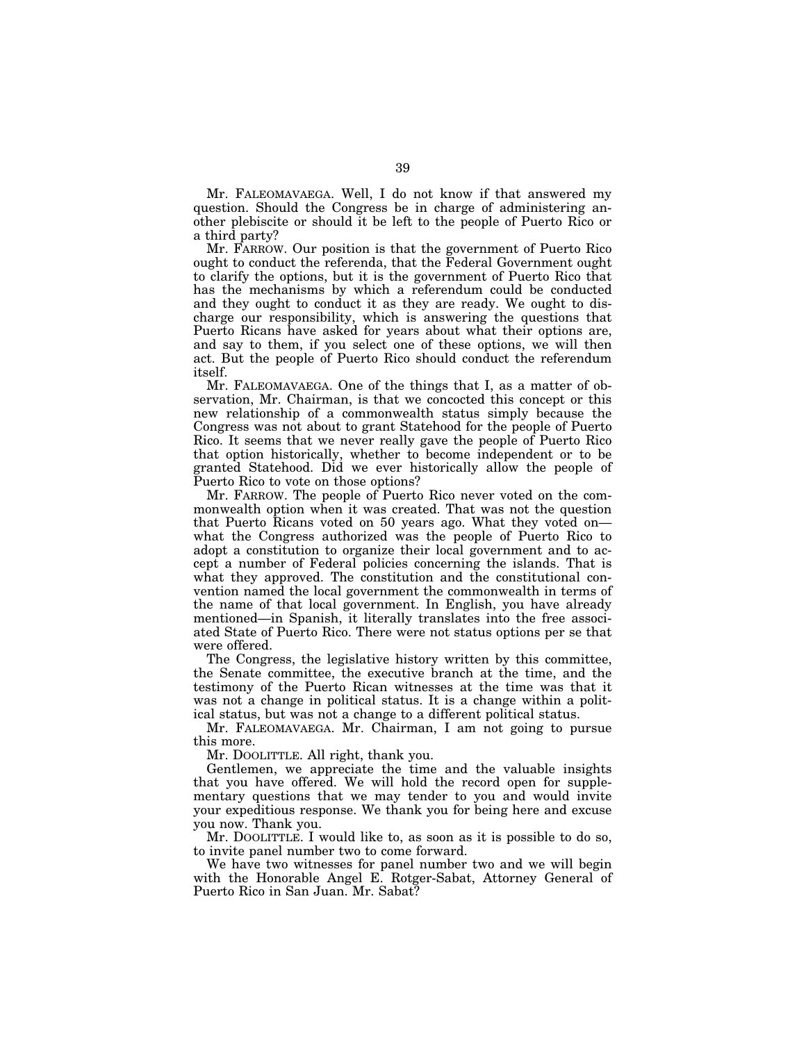Mr. FALEOMAVAEGA. Well, I do not know if that answered my question. Should the Congress be in charge of administering another plebiscite or should it be left to the people of Puerto Rico or a third party?

Mr. FARROW. Our position is that the government of Puerto Rico ought to conduct the referenda, that the Federal Government ought to clarify the options, but it is the government of Puerto Rico that has the mechanisms by which a referendum could be conducted and they ought to conduct it as they are ready. We ought to discharge our responsibility, which is answering the questions that Puerto Ricans have asked for years about what their options are, and say to them, if you select one of these options, we will then act. But the people of Puerto Rico should conduct the referendum itself.

Mr. FALEOMAVAEGA. One of the things that I, as a matter of observation, Mr. Chairman, is that we concocted this concept or this new relationship of a commonwealth status simply because the Congress was not about to grant Statehood for the people of Puerto Rico. It seems that we never really gave the people of Puerto Rico that option historically, whether to become independent or to be granted Statehood. Did we ever historically allow the people of Puerto Rico to vote on those options?

Mr. FARROW. The people of Puerto Rico never voted on the commonwealth option when it was created. That was not the question that Puerto Ricans voted on 50 years ago. What they voted on what the Congress authorized was the people of Puerto Rico to adopt a constitution to organize their local government and to accept a number of Federal policies concerning the islands. That is what they approved. The constitution and the constitutional convention named the local government the commonwealth in terms of the name of that local government. In English, you have already mentioned—in Spanish, it literally translates into the free associated State of Puerto Rico. There were not status options per se that were offered.

The Congress, the legislative history written by this committee, the Senate committee, the executive branch at the time, and the testimony of the Puerto Rican witnesses at the time was that it was not a change in political status. It is a change within a political status, but was not a change to a different political status.

Mr. FALEOMAVAEGA. Mr. Chairman, I am not going to pursue this more.

Mr. DOOLITTLE. All right, thank you.

Gentlemen, we appreciate the time and the valuable insights that you have offered. We will hold the record open for supplementary questions that we may tender to you and would invite your expeditious response. We thank you for being here and excuse you now. Thank you.

Mr. DOOLITTLE. I would like to, as soon as it is possible to do so, to invite panel number two to come forward.

We have two witnesses for panel number two and we will begin with the Honorable Angel E. Rotger-Sabat, Attorney General of Puerto Rico in San Juan. Mr. Sabat?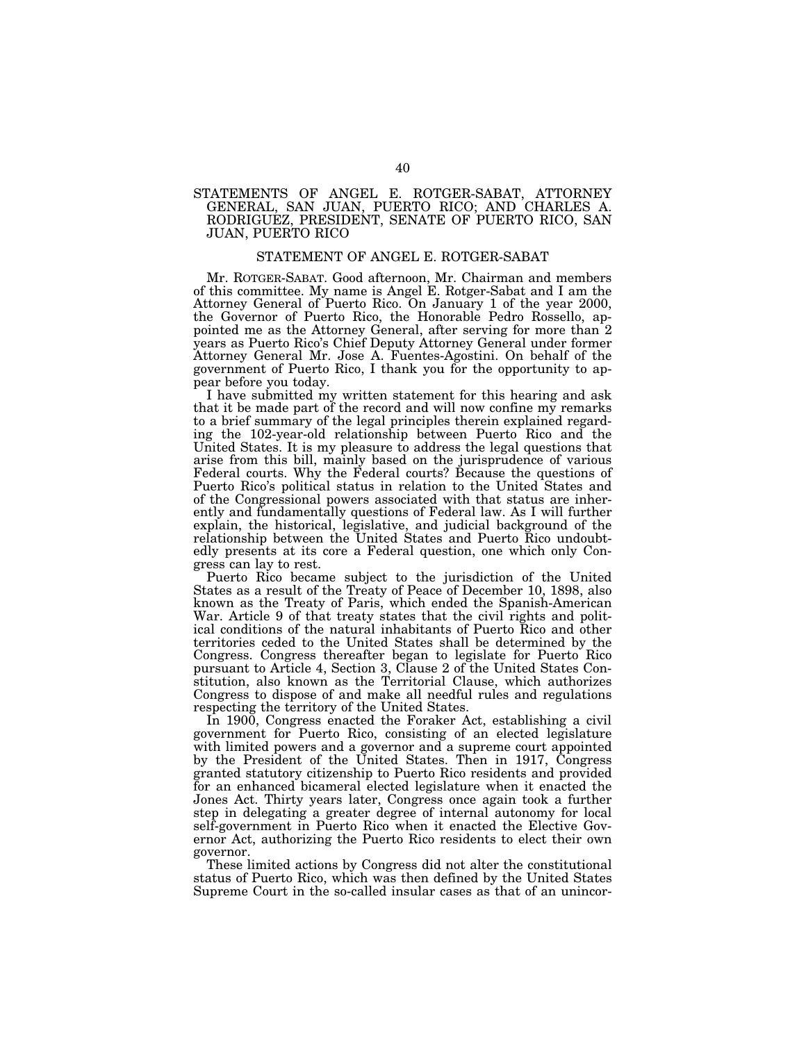#### STATEMENTS OF ANGEL E. ROTGER-SABAT, ATTORNEY GENERAL, SAN JUAN, PUERTO RICO; AND CHARLES A. RODRIGUEZ, PRESIDENT, SENATE OF PUERTO RICO, SAN JUAN, PUERTO RICO

#### STATEMENT OF ANGEL E. ROTGER-SABAT

Mr. ROTGER-SABAT. Good afternoon, Mr. Chairman and members of this committee. My name is Angel E. Rotger-Sabat and I am the Attorney General of Puerto Rico. On January 1 of the year 2000, the Governor of Puerto Rico, the Honorable Pedro Rossello, appointed me as the Attorney General, after serving for more than 2 years as Puerto Rico's Chief Deputy Attorney General under former Attorney General Mr. Jose A. Fuentes-Agostini. On behalf of the government of Puerto Rico, I thank you for the opportunity to appear before you today.

I have submitted my written statement for this hearing and ask that it be made part of the record and will now confine my remarks to a brief summary of the legal principles therein explained regarding the 102-year-old relationship between Puerto Rico and the United States. It is my pleasure to address the legal questions that arise from this bill, mainly based on the jurisprudence of various Federal courts. Why the Federal courts? Because the questions of Puerto Rico's political status in relation to the United States and of the Congressional powers associated with that status are inherently and fundamentally questions of Federal law. As I will further explain, the historical, legislative, and judicial background of the relationship between the United States and Puerto Rico undoubtedly presents at its core a Federal question, one which only Congress can lay to rest.

Puerto Rico became subject to the jurisdiction of the United States as a result of the Treaty of Peace of December 10, 1898, also known as the Treaty of Paris, which ended the Spanish-American War. Article 9 of that treaty states that the civil rights and political conditions of the natural inhabitants of Puerto Rico and other territories ceded to the United States shall be determined by the Congress. Congress thereafter began to legislate for Puerto Rico pursuant to Article 4, Section 3, Clause 2 of the United States Constitution, also known as the Territorial Clause, which authorizes Congress to dispose of and make all needful rules and regulations respecting the territory of the United States.

In 1900, Congress enacted the Foraker Act, establishing a civil government for Puerto Rico, consisting of an elected legislature with limited powers and a governor and a supreme court appointed by the President of the United States. Then in 1917, Congress granted statutory citizenship to Puerto Rico residents and provided for an enhanced bicameral elected legislature when it enacted the Jones Act. Thirty years later, Congress once again took a further step in delegating a greater degree of internal autonomy for local self-government in Puerto Rico when it enacted the Elective Governor Act, authorizing the Puerto Rico residents to elect their own governor.

These limited actions by Congress did not alter the constitutional status of Puerto Rico, which was then defined by the United States Supreme Court in the so-called insular cases as that of an unincor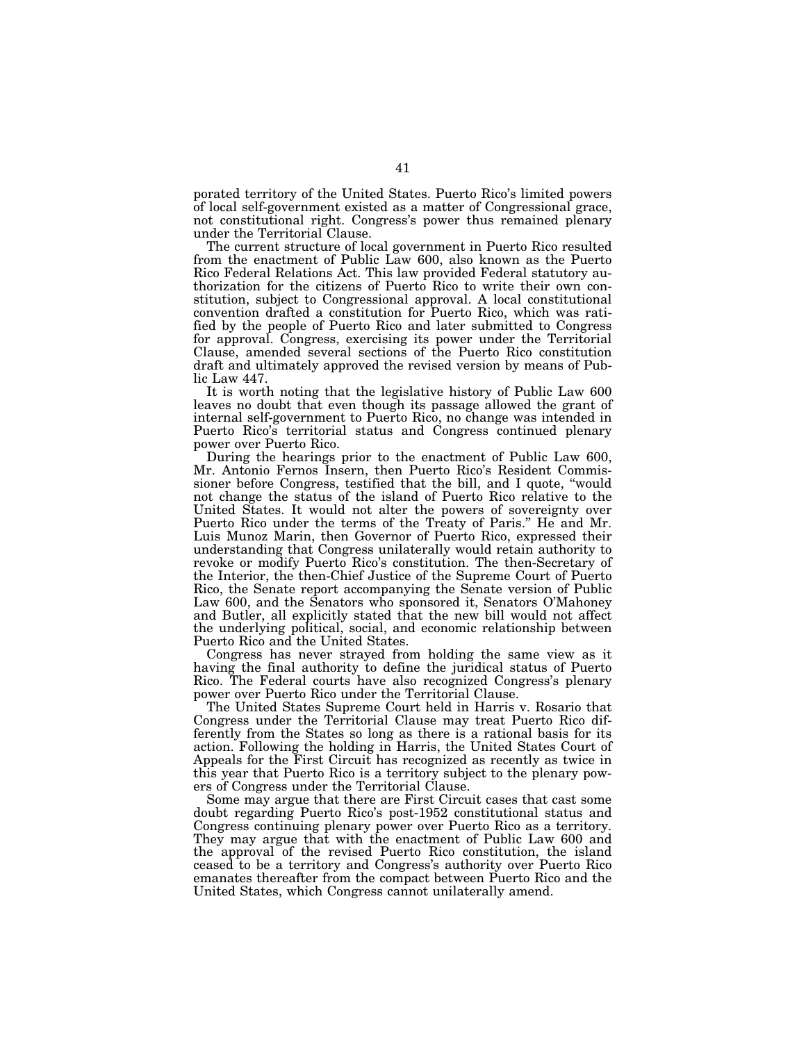porated territory of the United States. Puerto Rico's limited powers of local self-government existed as a matter of Congressional grace, not constitutional right. Congress's power thus remained plenary under the Territorial Clause.

The current structure of local government in Puerto Rico resulted from the enactment of Public Law 600, also known as the Puerto Rico Federal Relations Act. This law provided Federal statutory authorization for the citizens of Puerto Rico to write their own constitution, subject to Congressional approval. A local constitutional convention drafted a constitution for Puerto Rico, which was ratified by the people of Puerto Rico and later submitted to Congress for approval. Congress, exercising its power under the Territorial Clause, amended several sections of the Puerto Rico constitution draft and ultimately approved the revised version by means of Public Law 447.

It is worth noting that the legislative history of Public Law 600 leaves no doubt that even though its passage allowed the grant of internal self-government to Puerto Rico, no change was intended in Puerto Rico's territorial status and Congress continued plenary power over Puerto Rico.

During the hearings prior to the enactment of Public Law 600, Mr. Antonio Fernos Insern, then Puerto Rico's Resident Commissioner before Congress, testified that the bill, and I quote, ''would not change the status of the island of Puerto Rico relative to the United States. It would not alter the powers of sovereignty over Puerto Rico under the terms of the Treaty of Paris.'' He and Mr. Luis Munoz Marin, then Governor of Puerto Rico, expressed their understanding that Congress unilaterally would retain authority to revoke or modify Puerto Rico's constitution. The then-Secretary of the Interior, the then-Chief Justice of the Supreme Court of Puerto Rico, the Senate report accompanying the Senate version of Public Law 600, and the Senators who sponsored it, Senators O'Mahoney and Butler, all explicitly stated that the new bill would not affect the underlying political, social, and economic relationship between Puerto Rico and the United States.

Congress has never strayed from holding the same view as it having the final authority to define the juridical status of Puerto Rico. The Federal courts have also recognized Congress's plenary power over Puerto Rico under the Territorial Clause.

The United States Supreme Court held in Harris v. Rosario that Congress under the Territorial Clause may treat Puerto Rico differently from the States so long as there is a rational basis for its action. Following the holding in Harris, the United States Court of Appeals for the First Circuit has recognized as recently as twice in this year that Puerto Rico is a territory subject to the plenary powers of Congress under the Territorial Clause.

Some may argue that there are First Circuit cases that cast some doubt regarding Puerto Rico's post-1952 constitutional status and Congress continuing plenary power over Puerto Rico as a territory. They may argue that with the enactment of Public Law 600 and the approval of the revised Puerto Rico constitution, the island ceased to be a territory and Congress's authority over Puerto Rico emanates thereafter from the compact between Puerto Rico and the United States, which Congress cannot unilaterally amend.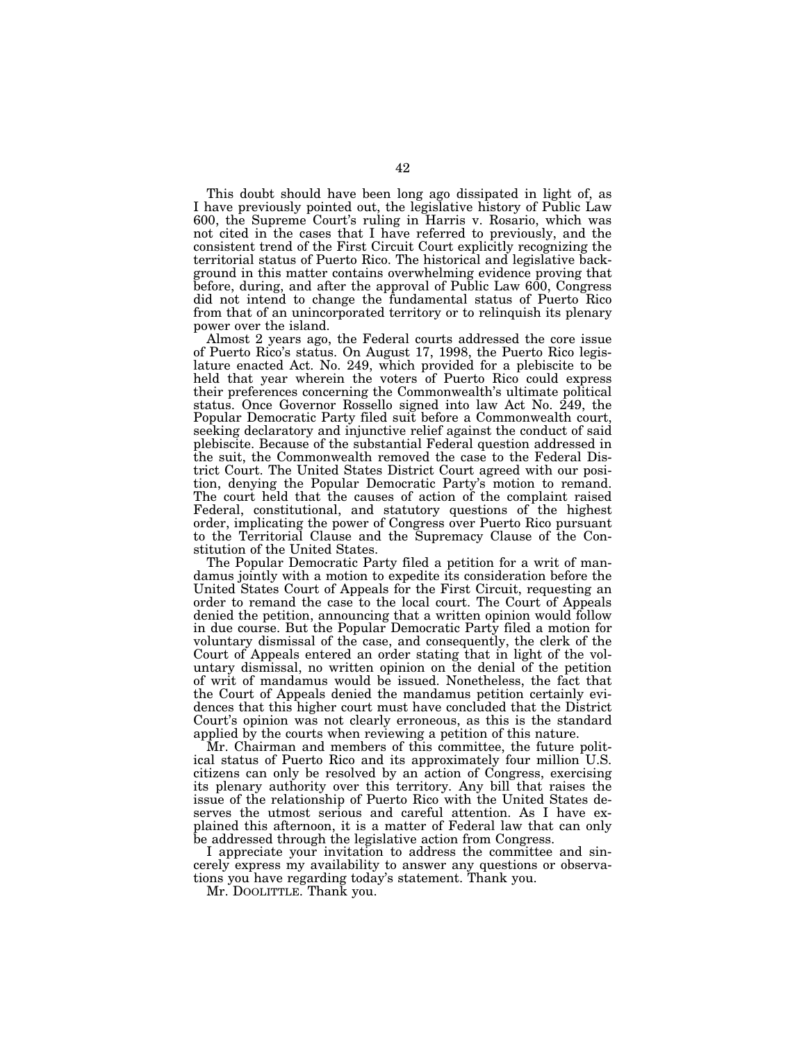This doubt should have been long ago dissipated in light of, as I have previously pointed out, the legislative history of Public Law 600, the Supreme Court's ruling in Harris v. Rosario, which was not cited in the cases that I have referred to previously, and the consistent trend of the First Circuit Court explicitly recognizing the territorial status of Puerto Rico. The historical and legislative background in this matter contains overwhelming evidence proving that before, during, and after the approval of Public Law 600, Congress did not intend to change the fundamental status of Puerto Rico from that of an unincorporated territory or to relinquish its plenary power over the island.

Almost 2 years ago, the Federal courts addressed the core issue of Puerto Rico's status. On August 17, 1998, the Puerto Rico legislature enacted Act. No. 249, which provided for a plebiscite to be held that year wherein the voters of Puerto Rico could express their preferences concerning the Commonwealth's ultimate political status. Once Governor Rossello signed into law Act No. 249, the Popular Democratic Party filed suit before a Commonwealth court, seeking declaratory and injunctive relief against the conduct of said plebiscite. Because of the substantial Federal question addressed in the suit, the Commonwealth removed the case to the Federal District Court. The United States District Court agreed with our position, denying the Popular Democratic Party's motion to remand. The court held that the causes of action of the complaint raised Federal, constitutional, and statutory questions of the highest order, implicating the power of Congress over Puerto Rico pursuant to the Territorial Clause and the Supremacy Clause of the Constitution of the United States.

The Popular Democratic Party filed a petition for a writ of mandamus jointly with a motion to expedite its consideration before the United States Court of Appeals for the First Circuit, requesting an order to remand the case to the local court. The Court of Appeals denied the petition, announcing that a written opinion would follow in due course. But the Popular Democratic Party filed a motion for voluntary dismissal of the case, and consequently, the clerk of the Court of Appeals entered an order stating that in light of the voluntary dismissal, no written opinion on the denial of the petition of writ of mandamus would be issued. Nonetheless, the fact that the Court of Appeals denied the mandamus petition certainly evidences that this higher court must have concluded that the District Court's opinion was not clearly erroneous, as this is the standard applied by the courts when reviewing a petition of this nature.

Mr. Chairman and members of this committee, the future political status of Puerto Rico and its approximately four million U.S. citizens can only be resolved by an action of Congress, exercising its plenary authority over this territory. Any bill that raises the issue of the relationship of Puerto Rico with the United States deserves the utmost serious and careful attention. As I have explained this afternoon, it is a matter of Federal law that can only be addressed through the legislative action from Congress.

I appreciate your invitation to address the committee and sincerely express my availability to answer any questions or observations you have regarding today's statement. Thank you.

Mr. DOOLITTLE. Thank you.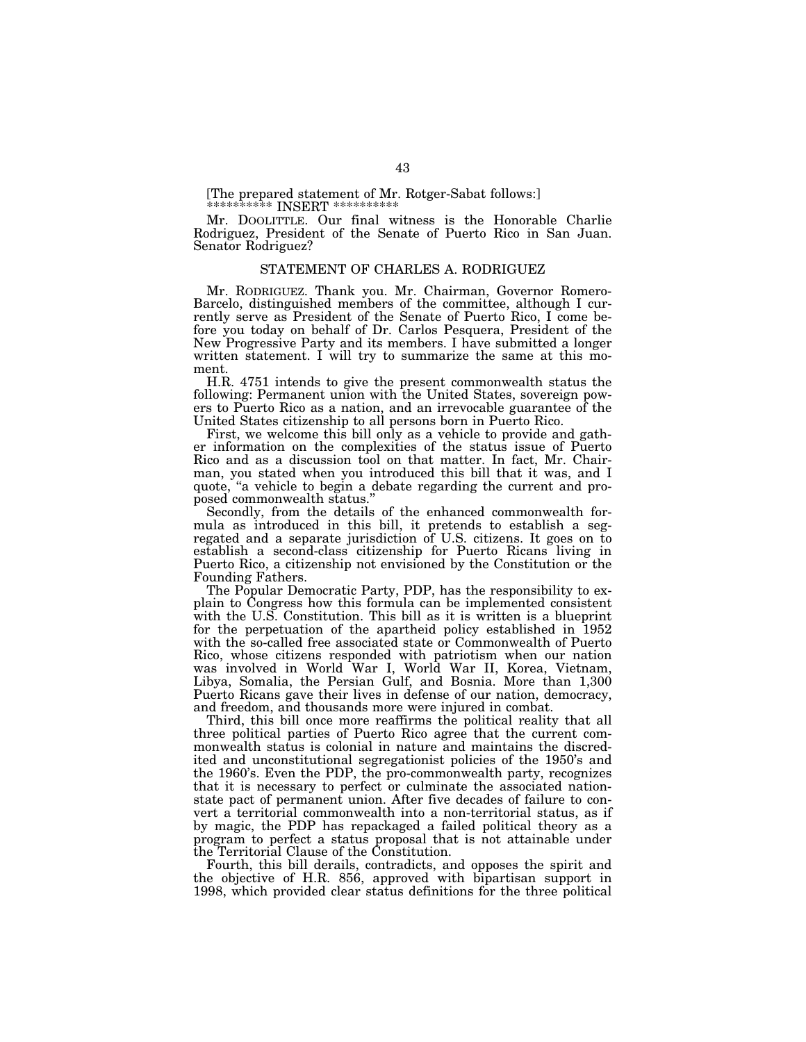[The prepared statement of Mr. Rotger-Sabat follows:]

\*\*\*\*\*\*\*\*\*\* INSERT \*\*\*\*\*\*\*\*\*\*\*

Mr. DOOLITTLE. Our final witness is the Honorable Charlie Rodriguez, President of the Senate of Puerto Rico in San Juan. Senator Rodriguez?

#### STATEMENT OF CHARLES A. RODRIGUEZ

Mr. RODRIGUEZ. Thank you. Mr. Chairman, Governor Romero-Barcelo, distinguished members of the committee, although I currently serve as President of the Senate of Puerto Rico, I come before you today on behalf of Dr. Carlos Pesquera, President of the New Progressive Party and its members. I have submitted a longer written statement. I will try to summarize the same at this moment.

H.R. 4751 intends to give the present commonwealth status the following: Permanent union with the United States, sovereign powers to Puerto Rico as a nation, and an irrevocable guarantee of the United States citizenship to all persons born in Puerto Rico.

First, we welcome this bill only as a vehicle to provide and gather information on the complexities of the status issue of Puerto Rico and as a discussion tool on that matter. In fact, Mr. Chairman, you stated when you introduced this bill that it was, and I quote, ''a vehicle to begin a debate regarding the current and proposed commonwealth status.'' Secondly, from the details of the enhanced commonwealth for-

mula as introduced in this bill, it pretends to establish a segregated and a separate jurisdiction of U.S. citizens. It goes on to establish a second-class citizenship for Puerto Ricans living in Puerto Rico, a citizenship not envisioned by the Constitution or the Founding Fathers.

The Popular Democratic Party, PDP, has the responsibility to explain to Congress how this formula can be implemented consistent with the U.S. Constitution. This bill as it is written is a blueprint for the perpetuation of the apartheid policy established in 1952 with the so-called free associated state or Commonwealth of Puerto Rico, whose citizens responded with patriotism when our nation was involved in World War I, World War II, Korea, Vietnam, Libya, Somalia, the Persian Gulf, and Bosnia. More than 1,300 Puerto Ricans gave their lives in defense of our nation, democracy, and freedom, and thousands more were injured in combat.

Third, this bill once more reaffirms the political reality that all three political parties of Puerto Rico agree that the current commonwealth status is colonial in nature and maintains the discredited and unconstitutional segregationist policies of the 1950's and the 1960's. Even the PDP, the pro-commonwealth party, recognizes that it is necessary to perfect or culminate the associated nationstate pact of permanent union. After five decades of failure to convert a territorial commonwealth into a non-territorial status, as if by magic, the PDP has repackaged a failed political theory as a program to perfect a status proposal that is not attainable under the Territorial Clause of the Constitution.

Fourth, this bill derails, contradicts, and opposes the spirit and the objective of H.R. 856, approved with bipartisan support in 1998, which provided clear status definitions for the three political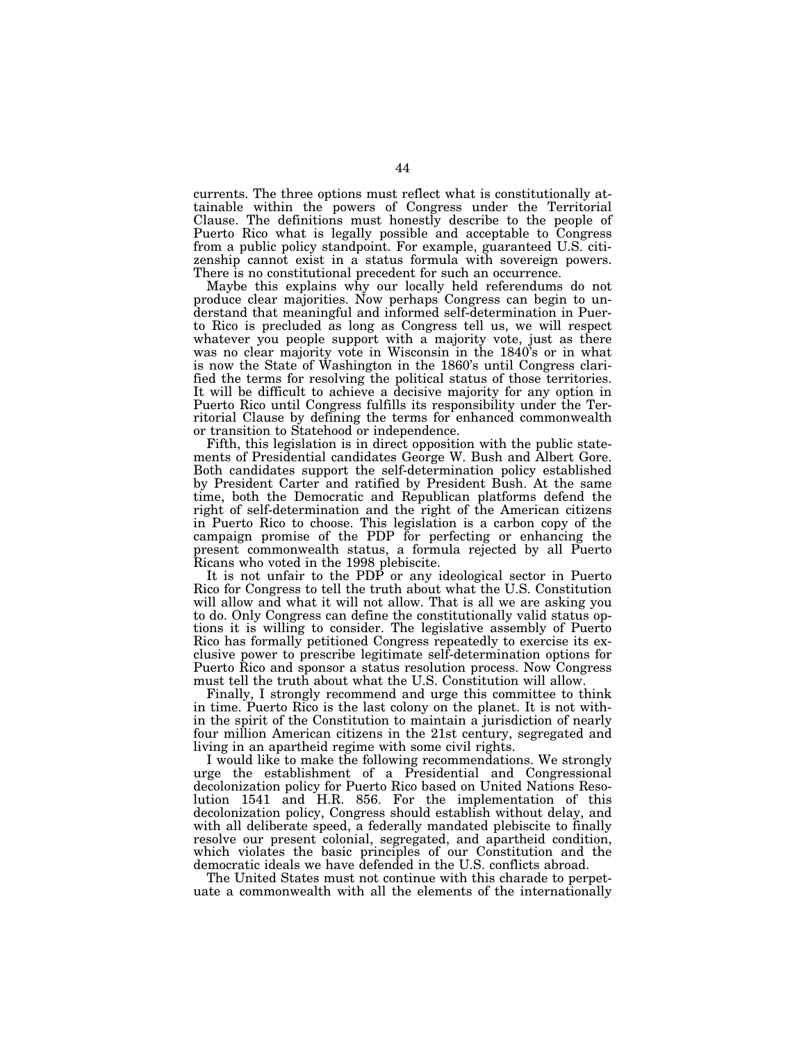currents. The three options must reflect what is constitutionally attainable within the powers of Congress under the Territorial Clause. The definitions must honestly describe to the people of Puerto Rico what is legally possible and acceptable to Congress from a public policy standpoint. For example, guaranteed U.S. citizenship cannot exist in a status formula with sovereign powers. There is no constitutional precedent for such an occurrence.

Maybe this explains why our locally held referendums do not produce clear majorities. Now perhaps Congress can begin to understand that meaningful and informed self-determination in Puerto Rico is precluded as long as Congress tell us, we will respect whatever you people support with a majority vote, just as there was no clear majority vote in Wisconsin in the 1840's or in what is now the State of Washington in the 1860's until Congress clarified the terms for resolving the political status of those territories. It will be difficult to achieve a decisive majority for any option in Puerto Rico until Congress fulfills its responsibility under the Territorial Clause by defining the terms for enhanced commonwealth or transition to Statehood or independence.

Fifth, this legislation is in direct opposition with the public statements of Presidential candidates George W. Bush and Albert Gore. Both candidates support the self-determination policy established by President Carter and ratified by President Bush. At the same time, both the Democratic and Republican platforms defend the right of self-determination and the right of the American citizens in Puerto Rico to choose. This legislation is a carbon copy of the campaign promise of the PDP for perfecting or enhancing the present commonwealth status, a formula rejected by all Puerto Ricans who voted in the 1998 plebiscite.

It is not unfair to the PDP or any ideological sector in Puerto Rico for Congress to tell the truth about what the U.S. Constitution will allow and what it will not allow. That is all we are asking you to do. Only Congress can define the constitutionally valid status options it is willing to consider. The legislative assembly of Puerto Rico has formally petitioned Congress repeatedly to exercise its exclusive power to prescribe legitimate self-determination options for Puerto Rico and sponsor a status resolution process. Now Congress must tell the truth about what the U.S. Constitution will allow.

Finally, I strongly recommend and urge this committee to think in time. Puerto Rico is the last colony on the planet. It is not within the spirit of the Constitution to maintain a jurisdiction of nearly four million American citizens in the 21st century, segregated and living in an apartheid regime with some civil rights.

I would like to make the following recommendations. We strongly urge the establishment of a Presidential and Congressional decolonization policy for Puerto Rico based on United Nations Resolution 1541 and H.R. 856. For the implementation of this decolonization policy, Congress should establish without delay, and with all deliberate speed, a federally mandated plebiscite to finally resolve our present colonial, segregated, and apartheid condition, which violates the basic principles of our Constitution and the democratic ideals we have defended in the U.S. conflicts abroad.

The United States must not continue with this charade to perpetuate a commonwealth with all the elements of the internationally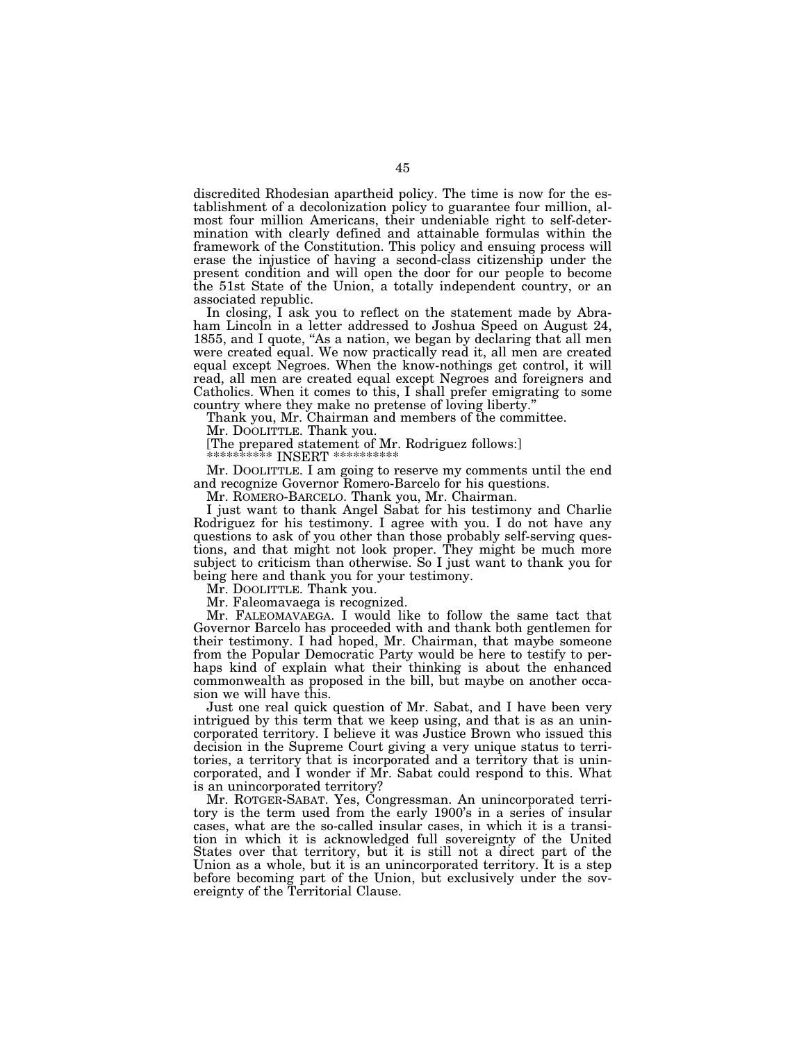discredited Rhodesian apartheid policy. The time is now for the establishment of a decolonization policy to guarantee four million, almost four million Americans, their undeniable right to self-determination with clearly defined and attainable formulas within the framework of the Constitution. This policy and ensuing process will erase the injustice of having a second-class citizenship under the present condition and will open the door for our people to become the 51st State of the Union, a totally independent country, or an associated republic.

In closing, I ask you to reflect on the statement made by Abraham Lincoln in a letter addressed to Joshua Speed on August 24, 1855, and I quote, "As a nation, we began by declaring that all men were created equal. We now practically read it, all men are created equal except Negroes. When the know-nothings get control, it will read, all men are created equal except Negroes and foreigners and Catholics. When it comes to this, I shall prefer emigrating to some

country where they make no pretense of loving liberty.'' Thank you, Mr. Chairman and members of the committee.

Mr. DOOLITTLE. Thank you.

[The prepared statement of Mr. Rodriguez follows:]

\*\*\*\*\*\*\*\*\*\*\* INSERT \*\*\*\*\*\*

Mr. DOOLITTLE. I am going to reserve my comments until the end and recognize Governor Romero-Barcelo for his questions.

Mr. ROMERO-BARCELO. Thank you, Mr. Chairman.

I just want to thank Angel Sabat for his testimony and Charlie Rodriguez for his testimony. I agree with you. I do not have any questions to ask of you other than those probably self-serving questions, and that might not look proper. They might be much more subject to criticism than otherwise. So I just want to thank you for being here and thank you for your testimony.

Mr. DOOLITTLE. Thank you.

Mr. Faleomavaega is recognized.

Mr. FALEOMAVAEGA. I would like to follow the same tact that Governor Barcelo has proceeded with and thank both gentlemen for their testimony. I had hoped, Mr. Chairman, that maybe someone from the Popular Democratic Party would be here to testify to perhaps kind of explain what their thinking is about the enhanced commonwealth as proposed in the bill, but maybe on another occasion we will have this.

Just one real quick question of Mr. Sabat, and I have been very intrigued by this term that we keep using, and that is as an unincorporated territory. I believe it was Justice Brown who issued this decision in the Supreme Court giving a very unique status to territories, a territory that is incorporated and a territory that is unincorporated, and I wonder if Mr. Sabat could respond to this. What is an unincorporated territory?

Mr. ROTGER-SABAT. Yes, Congressman. An unincorporated territory is the term used from the early 1900's in a series of insular cases, what are the so-called insular cases, in which it is a transition in which it is acknowledged full sovereignty of the United States over that territory, but it is still not a direct part of the Union as a whole, but it is an unincorporated territory. It is a step before becoming part of the Union, but exclusively under the sovereignty of the Territorial Clause.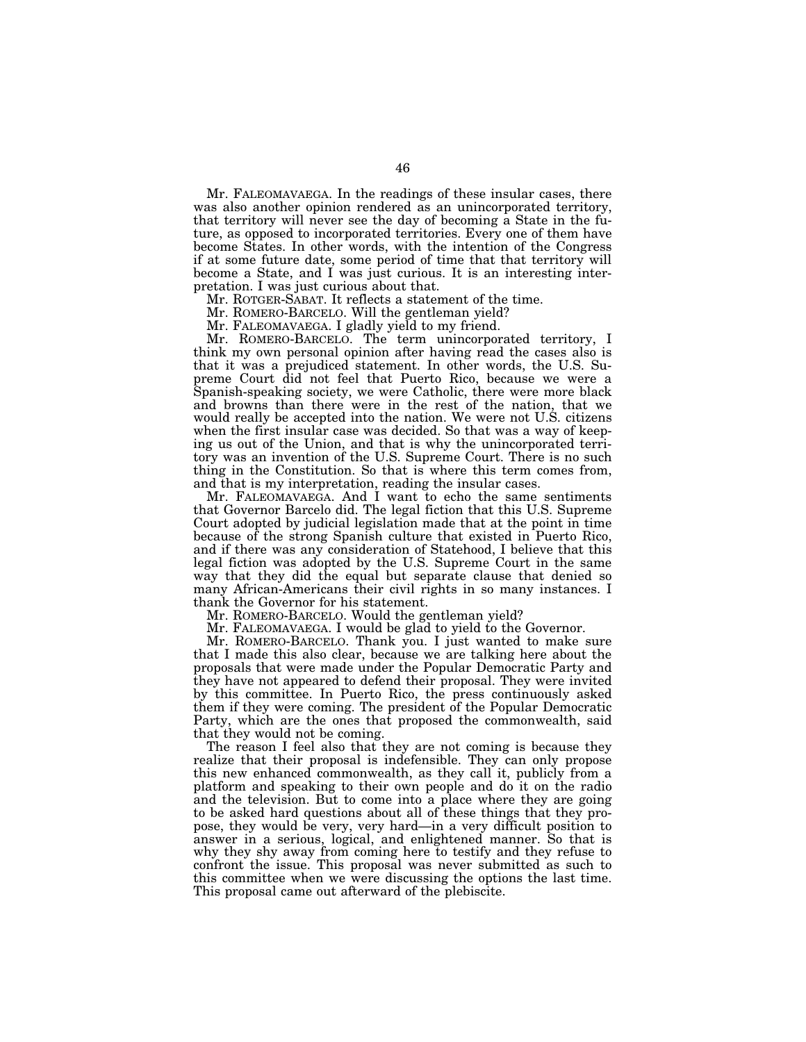Mr. FALEOMAVAEGA. In the readings of these insular cases, there was also another opinion rendered as an unincorporated territory, that territory will never see the day of becoming a State in the future, as opposed to incorporated territories. Every one of them have become States. In other words, with the intention of the Congress if at some future date, some period of time that that territory will become a State, and I was just curious. It is an interesting interpretation. I was just curious about that.

Mr. ROTGER-SABAT. It reflects a statement of the time.

Mr. ROMERO-BARCELO. Will the gentleman yield?

Mr. FALEOMAVAEGA. I gladly yield to my friend.

Mr. ROMERO-BARCELO. The term unincorporated territory, I think my own personal opinion after having read the cases also is that it was a prejudiced statement. In other words, the U.S. Supreme Court did not feel that Puerto Rico, because we were a Spanish-speaking society, we were Catholic, there were more black and browns than there were in the rest of the nation, that we would really be accepted into the nation. We were not U.S. citizens when the first insular case was decided. So that was a way of keeping us out of the Union, and that is why the unincorporated territory was an invention of the U.S. Supreme Court. There is no such thing in the Constitution. So that is where this term comes from, and that is my interpretation, reading the insular cases.

Mr. FALEOMAVAEGA. And I want to echo the same sentiments that Governor Barcelo did. The legal fiction that this U.S. Supreme Court adopted by judicial legislation made that at the point in time because of the strong Spanish culture that existed in Puerto Rico, and if there was any consideration of Statehood, I believe that this legal fiction was adopted by the U.S. Supreme Court in the same way that they did the equal but separate clause that denied so many African-Americans their civil rights in so many instances. I thank the Governor for his statement.

Mr. ROMERO-BARCELO. Would the gentleman yield?

Mr. FALEOMAVAEGA. I would be glad to yield to the Governor.

Mr. ROMERO-BARCELO. Thank you. I just wanted to make sure that I made this also clear, because we are talking here about the proposals that were made under the Popular Democratic Party and they have not appeared to defend their proposal. They were invited by this committee. In Puerto Rico, the press continuously asked them if they were coming. The president of the Popular Democratic Party, which are the ones that proposed the commonwealth, said that they would not be coming.

The reason I feel also that they are not coming is because they realize that their proposal is indefensible. They can only propose this new enhanced commonwealth, as they call it, publicly from a platform and speaking to their own people and do it on the radio and the television. But to come into a place where they are going to be asked hard questions about all of these things that they propose, they would be very, very hard—in a very difficult position to answer in a serious, logical, and enlightened manner. So that is why they shy away from coming here to testify and they refuse to confront the issue. This proposal was never submitted as such to this committee when we were discussing the options the last time. This proposal came out afterward of the plebiscite.